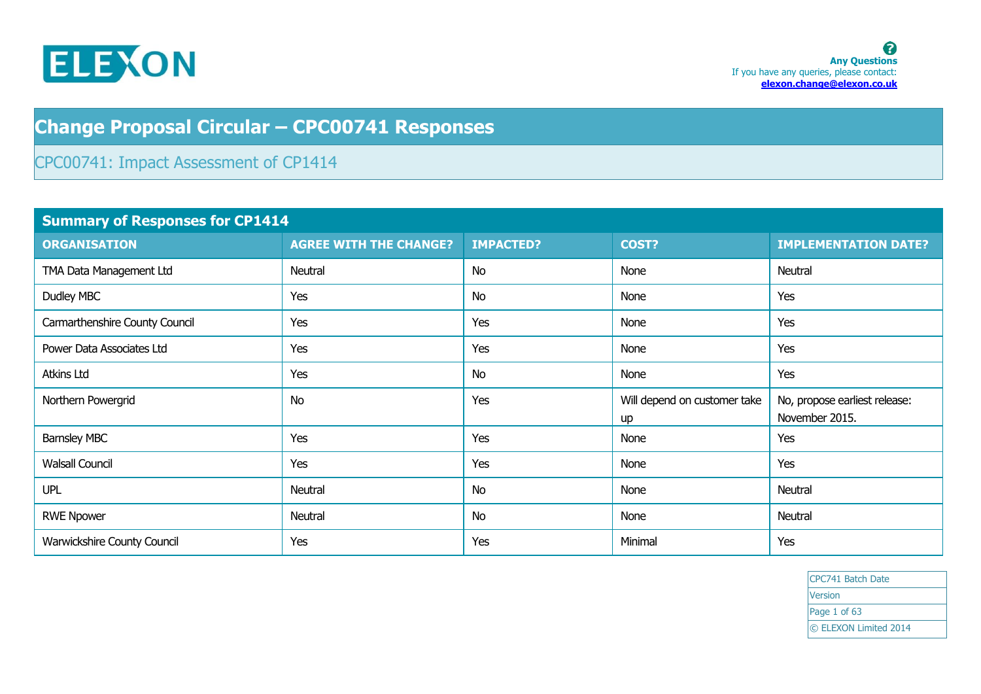

## **Change Proposal Circular – CPC00741 Responses**

## CPC00741: Impact Assessment of CP1414

| <b>Summary of Responses for CP1414</b> |                               |                  |                                    |                                                 |
|----------------------------------------|-------------------------------|------------------|------------------------------------|-------------------------------------------------|
| <b>ORGANISATION</b>                    | <b>AGREE WITH THE CHANGE?</b> | <b>IMPACTED?</b> | COST?                              | <b>IMPLEMENTATION DATE?</b>                     |
| TMA Data Management Ltd                | Neutral                       | <b>No</b>        | None                               | Neutral                                         |
| Dudley MBC                             | Yes                           | <b>No</b>        | None                               | Yes                                             |
| Carmarthenshire County Council         | Yes                           | Yes              | None                               | Yes                                             |
| Power Data Associates Ltd              | Yes                           | Yes              | None                               | Yes                                             |
| <b>Atkins Ltd</b>                      | Yes                           | <b>No</b>        | None                               | Yes                                             |
| Northern Powergrid                     | <b>No</b>                     | Yes              | Will depend on customer take<br>up | No, propose earliest release:<br>November 2015. |
| <b>Barnsley MBC</b>                    | Yes                           | Yes              | None                               | Yes                                             |
| <b>Walsall Council</b>                 | Yes                           | Yes              | None                               | Yes                                             |
| <b>UPL</b>                             | Neutral                       | <b>No</b>        | None                               | Neutral                                         |
| <b>RWE Npower</b>                      | Neutral                       | <b>No</b>        | None                               | Neutral                                         |
| Warwickshire County Council            | Yes                           | Yes              | Minimal                            | Yes                                             |

CPC741 Batch Date Version Page 1 of 63 © ELEXON Limited 2014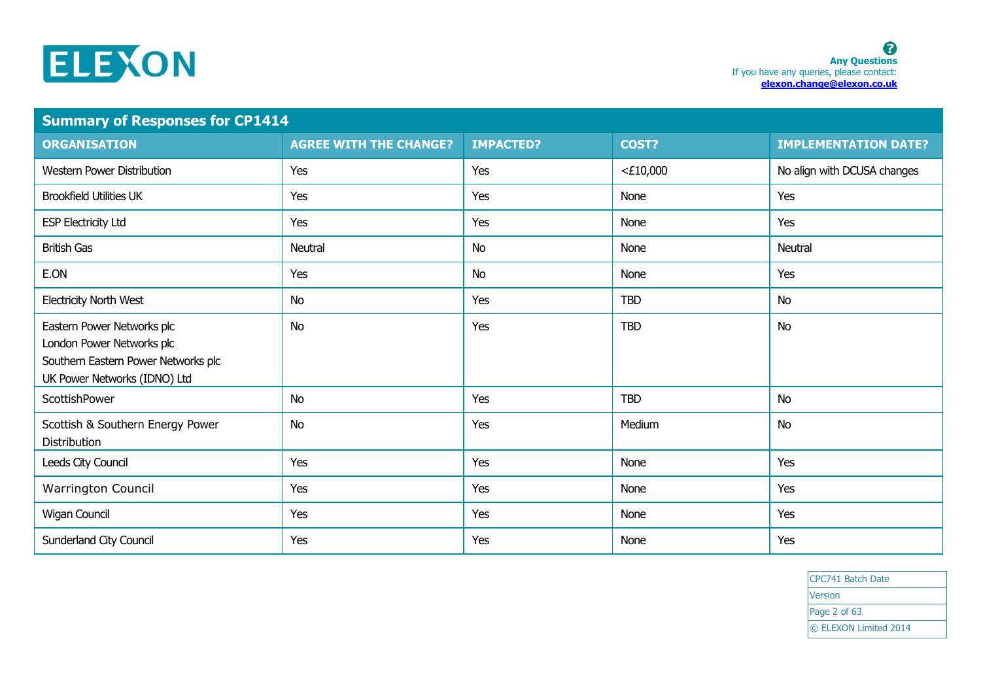

| <b>Summary of Responses for CP1414</b>                                                                                         |                               |                  |             |                             |
|--------------------------------------------------------------------------------------------------------------------------------|-------------------------------|------------------|-------------|-----------------------------|
| <b>ORGANISATION</b>                                                                                                            | <b>AGREE WITH THE CHANGE?</b> | <b>IMPACTED?</b> | COST?       | <b>IMPLEMENTATION DATE?</b> |
| <b>Western Power Distribution</b>                                                                                              | Yes                           | Yes              | $<$ £10,000 | No align with DCUSA changes |
| <b>Brookfield Utilities UK</b>                                                                                                 | Yes                           | Yes              | None        | Yes                         |
| <b>ESP Electricity Ltd</b>                                                                                                     | Yes                           | Yes              | None        | Yes                         |
| <b>British Gas</b>                                                                                                             | <b>Neutral</b>                | <b>No</b>        | None        | Neutral                     |
| E.ON                                                                                                                           | Yes                           | <b>No</b>        | None        | Yes                         |
| <b>Electricity North West</b>                                                                                                  | <b>No</b>                     | Yes              | <b>TBD</b>  | <b>No</b>                   |
| Eastern Power Networks plc<br>London Power Networks plc<br>Southern Eastern Power Networks plc<br>UK Power Networks (IDNO) Ltd | <b>No</b>                     | Yes              | <b>TBD</b>  | No                          |
| ScottishPower                                                                                                                  | <b>No</b>                     | Yes              | <b>TBD</b>  | No                          |
| Scottish & Southern Energy Power<br><b>Distribution</b>                                                                        | <b>No</b>                     | Yes              | Medium      | <b>No</b>                   |
| Leeds City Council                                                                                                             | Yes                           | Yes              | None        | Yes                         |
| Warrington Council                                                                                                             | Yes                           | Yes              | None        | Yes                         |
| <b>Wigan Council</b>                                                                                                           | Yes                           | Yes              | None        | Yes                         |
| Sunderland City Council                                                                                                        | Yes                           | Yes              | None        | Yes                         |

CPC741 Batch Date **Version** Page 2 of 63 © ELEXON Limited 2014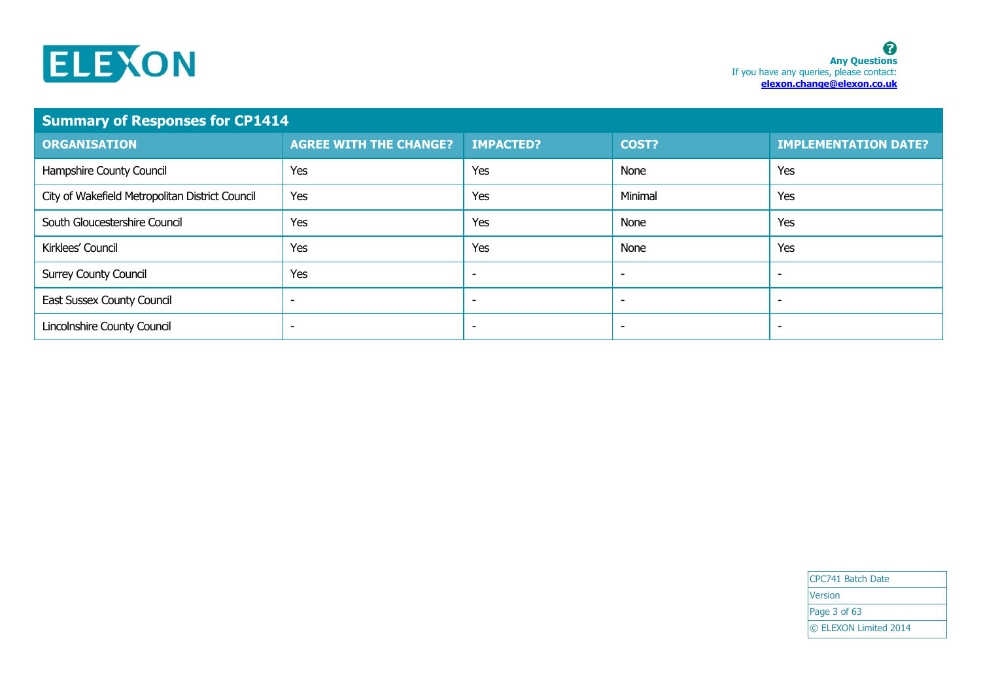

| <b>Summary of Responses for CP1414</b>          |                               |                          |                          |                             |
|-------------------------------------------------|-------------------------------|--------------------------|--------------------------|-----------------------------|
| <b>ORGANISATION</b>                             | <b>AGREE WITH THE CHANGE?</b> | <b>IMPACTED?</b>         | <b>COST?</b>             | <b>IMPLEMENTATION DATE?</b> |
| Hampshire County Council                        | Yes                           | Yes                      | None                     | Yes                         |
| City of Wakefield Metropolitan District Council | Yes                           | Yes                      | Minimal                  | Yes                         |
| South Gloucestershire Council                   | Yes                           | Yes                      | None                     | Yes                         |
| Kirklees' Council                               | Yes                           | Yes                      | None                     | Yes                         |
| <b>Surrey County Council</b>                    | Yes                           | $\overline{\phantom{a}}$ | $\overline{\phantom{a}}$ |                             |
| East Sussex County Council                      | -                             | $\overline{\phantom{a}}$ | $\overline{\phantom{a}}$ |                             |
| Lincolnshire County Council                     | ۰                             | ٠                        | $\overline{\phantom{a}}$ |                             |

CPC741 Batch Date **Version** Page 3 of 63 © ELEXON Limited 2014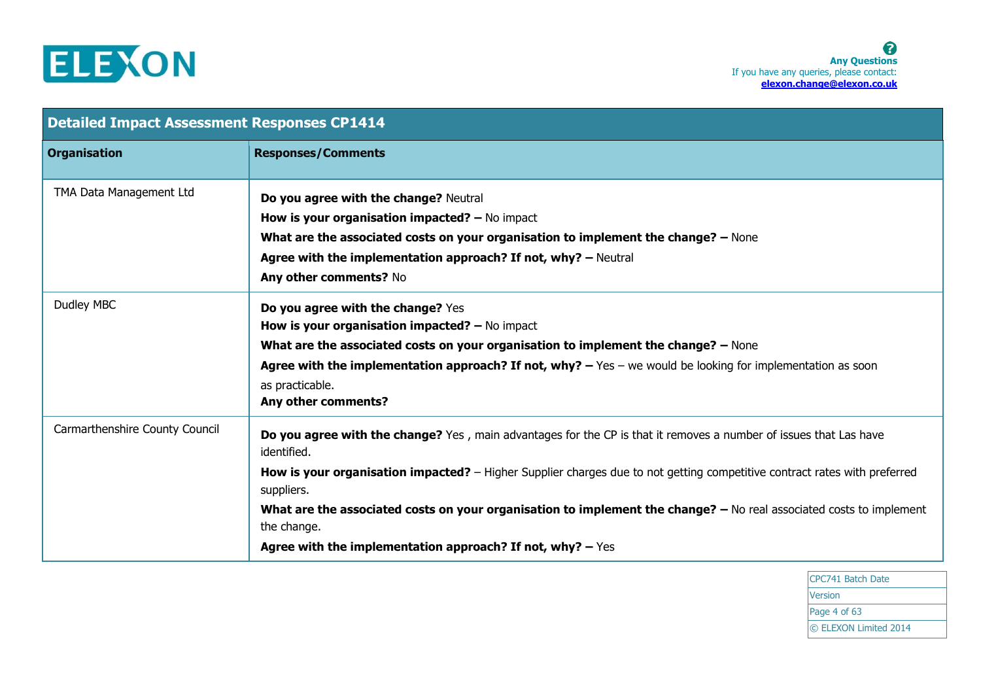

| <b>Detailed Impact Assessment Responses CP1414</b> |                                                                                                                                                                                                                                                                                                                                                                                                                                                                                   |  |
|----------------------------------------------------|-----------------------------------------------------------------------------------------------------------------------------------------------------------------------------------------------------------------------------------------------------------------------------------------------------------------------------------------------------------------------------------------------------------------------------------------------------------------------------------|--|
| <b>Organisation</b>                                | <b>Responses/Comments</b>                                                                                                                                                                                                                                                                                                                                                                                                                                                         |  |
| TMA Data Management Ltd                            | Do you agree with the change? Neutral<br><b>How is your organisation impacted?</b> $-$ No impact<br>What are the associated costs on your organisation to implement the change? - None<br>Agree with the implementation approach? If not, why? - Neutral<br>Any other comments? No                                                                                                                                                                                                |  |
| Dudley MBC                                         | Do you agree with the change? Yes<br>How is your organisation impacted? $-$ No impact<br>What are the associated costs on your organisation to implement the change? - None<br>Agree with the implementation approach? If not, why? $-$ Yes $-$ we would be looking for implementation as soon<br>as practicable.<br>Any other comments?                                                                                                                                          |  |
| Carmarthenshire County Council                     | Do you agree with the change? Yes, main advantages for the CP is that it removes a number of issues that Las have<br>identified.<br>How is your organisation impacted? – Higher Supplier charges due to not getting competitive contract rates with preferred<br>suppliers.<br>What are the associated costs on your organisation to implement the change? - No real associated costs to implement<br>the change.<br>Agree with the implementation approach? If not, why? $-$ Yes |  |

CPC741 Batch Date Version Page 4 of 63 © ELEXON Limited 2014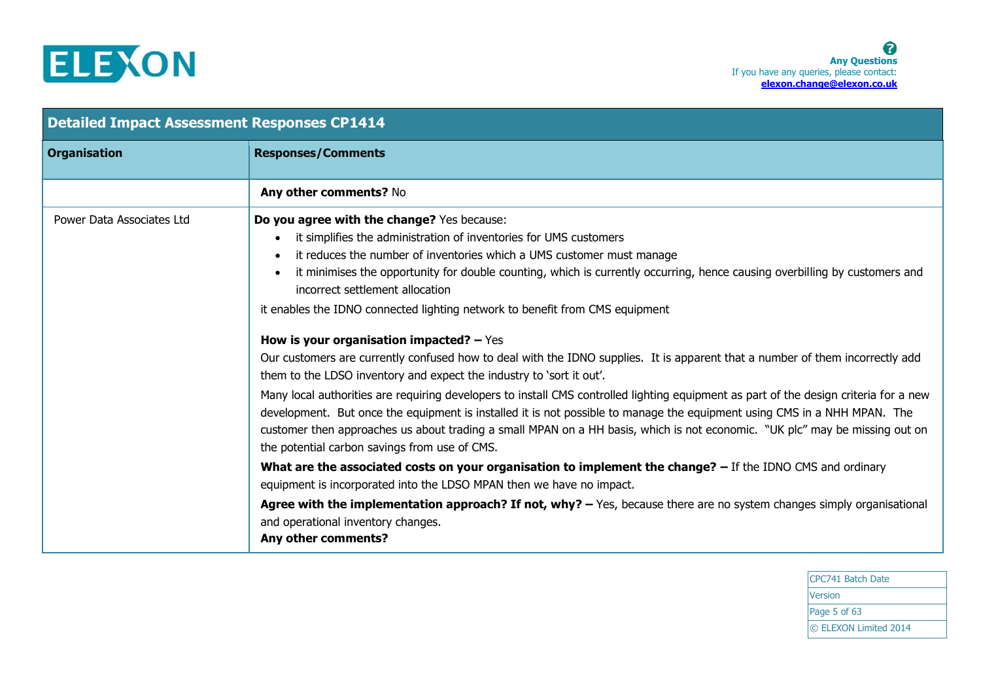

| <b>Detailed Impact Assessment Responses CP1414</b> |                                                                                                                                                                                                                                                                                                                                                                                                                                                                                                                                                                                                                                                                                                                                                                                                                                                                                                                                                                                                                                                                                                                                                                                                                                                                                                                                                                                                                                                                                                                                                                            |  |
|----------------------------------------------------|----------------------------------------------------------------------------------------------------------------------------------------------------------------------------------------------------------------------------------------------------------------------------------------------------------------------------------------------------------------------------------------------------------------------------------------------------------------------------------------------------------------------------------------------------------------------------------------------------------------------------------------------------------------------------------------------------------------------------------------------------------------------------------------------------------------------------------------------------------------------------------------------------------------------------------------------------------------------------------------------------------------------------------------------------------------------------------------------------------------------------------------------------------------------------------------------------------------------------------------------------------------------------------------------------------------------------------------------------------------------------------------------------------------------------------------------------------------------------------------------------------------------------------------------------------------------------|--|
| <b>Organisation</b>                                | <b>Responses/Comments</b>                                                                                                                                                                                                                                                                                                                                                                                                                                                                                                                                                                                                                                                                                                                                                                                                                                                                                                                                                                                                                                                                                                                                                                                                                                                                                                                                                                                                                                                                                                                                                  |  |
|                                                    | Any other comments? No                                                                                                                                                                                                                                                                                                                                                                                                                                                                                                                                                                                                                                                                                                                                                                                                                                                                                                                                                                                                                                                                                                                                                                                                                                                                                                                                                                                                                                                                                                                                                     |  |
| Power Data Associates Ltd                          | Do you agree with the change? Yes because:<br>it simplifies the administration of inventories for UMS customers<br>$\bullet$<br>it reduces the number of inventories which a UMS customer must manage<br>$\bullet$<br>it minimises the opportunity for double counting, which is currently occurring, hence causing overbilling by customers and<br>$\bullet$<br>incorrect settlement allocation<br>it enables the IDNO connected lighting network to benefit from CMS equipment<br>How is your organisation impacted? $-$ Yes<br>Our customers are currently confused how to deal with the IDNO supplies. It is apparent that a number of them incorrectly add<br>them to the LDSO inventory and expect the industry to 'sort it out'.<br>Many local authorities are requiring developers to install CMS controlled lighting equipment as part of the design criteria for a new<br>development. But once the equipment is installed it is not possible to manage the equipment using CMS in a NHH MPAN. The<br>customer then approaches us about trading a small MPAN on a HH basis, which is not economic. "UK plc" may be missing out on<br>the potential carbon savings from use of CMS.<br>What are the associated costs on your organisation to implement the change? $-$ If the IDNO CMS and ordinary<br>equipment is incorporated into the LDSO MPAN then we have no impact.<br>Agree with the implementation approach? If not, why? - Yes, because there are no system changes simply organisational<br>and operational inventory changes.<br>Any other comments? |  |

CPC741 Batch Date Version Page 5 of 63 © ELEXON Limited 2014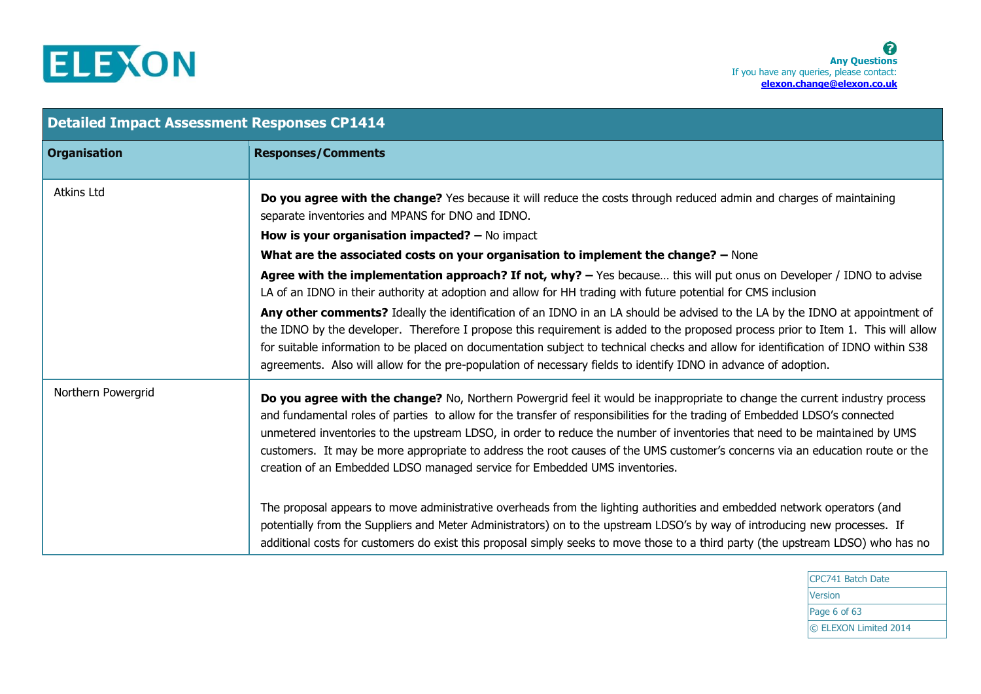

| <b>Detailed Impact Assessment Responses CP1414</b> |                                                                                                                                                                                                                                                                                                                                                                                                                                                                                                                                                                                                        |  |
|----------------------------------------------------|--------------------------------------------------------------------------------------------------------------------------------------------------------------------------------------------------------------------------------------------------------------------------------------------------------------------------------------------------------------------------------------------------------------------------------------------------------------------------------------------------------------------------------------------------------------------------------------------------------|--|
| <b>Organisation</b>                                | <b>Responses/Comments</b>                                                                                                                                                                                                                                                                                                                                                                                                                                                                                                                                                                              |  |
| <b>Atkins Ltd</b>                                  | Do you agree with the change? Yes because it will reduce the costs through reduced admin and charges of maintaining<br>separate inventories and MPANS for DNO and IDNO.                                                                                                                                                                                                                                                                                                                                                                                                                                |  |
|                                                    | How is your organisation impacted? $-$ No impact                                                                                                                                                                                                                                                                                                                                                                                                                                                                                                                                                       |  |
|                                                    | What are the associated costs on your organisation to implement the change? - None                                                                                                                                                                                                                                                                                                                                                                                                                                                                                                                     |  |
|                                                    | Agree with the implementation approach? If not, why? - Yes because this will put onus on Developer / IDNO to advise<br>LA of an IDNO in their authority at adoption and allow for HH trading with future potential for CMS inclusion                                                                                                                                                                                                                                                                                                                                                                   |  |
|                                                    | Any other comments? Ideally the identification of an IDNO in an LA should be advised to the LA by the IDNO at appointment of<br>the IDNO by the developer. Therefore I propose this requirement is added to the proposed process prior to Item 1. This will allow<br>for suitable information to be placed on documentation subject to technical checks and allow for identification of IDNO within S38<br>agreements. Also will allow for the pre-population of necessary fields to identify IDNO in advance of adoption.                                                                             |  |
| Northern Powergrid                                 | Do you agree with the change? No, Northern Powergrid feel it would be inappropriate to change the current industry process<br>and fundamental roles of parties to allow for the transfer of responsibilities for the trading of Embedded LDSO's connected<br>unmetered inventories to the upstream LDSO, in order to reduce the number of inventories that need to be maintained by UMS<br>customers. It may be more appropriate to address the root causes of the UMS customer's concerns via an education route or the<br>creation of an Embedded LDSO managed service for Embedded UMS inventories. |  |
|                                                    | The proposal appears to move administrative overheads from the lighting authorities and embedded network operators (and<br>potentially from the Suppliers and Meter Administrators) on to the upstream LDSO's by way of introducing new processes. If<br>additional costs for customers do exist this proposal simply seeks to move those to a third party (the upstream LDSO) who has no                                                                                                                                                                                                              |  |

CPC741 Batch Date Version Page 6 of 63 © ELEXON Limited 2014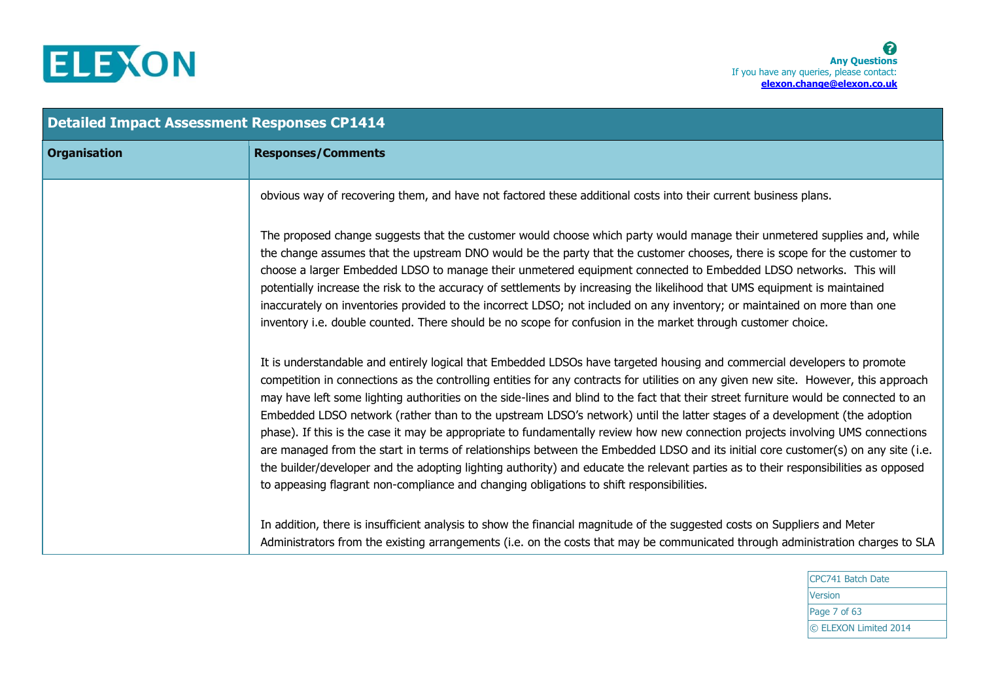

| <b>Detailed Impact Assessment Responses CP1414</b> |                                                                                                                                                                                                                                                                                                                                                                                                                                                                                                                                                                                                                                                                                                                                                                                                                                                                                                                                                                                                                                                  |  |
|----------------------------------------------------|--------------------------------------------------------------------------------------------------------------------------------------------------------------------------------------------------------------------------------------------------------------------------------------------------------------------------------------------------------------------------------------------------------------------------------------------------------------------------------------------------------------------------------------------------------------------------------------------------------------------------------------------------------------------------------------------------------------------------------------------------------------------------------------------------------------------------------------------------------------------------------------------------------------------------------------------------------------------------------------------------------------------------------------------------|--|
| <b>Organisation</b>                                | <b>Responses/Comments</b>                                                                                                                                                                                                                                                                                                                                                                                                                                                                                                                                                                                                                                                                                                                                                                                                                                                                                                                                                                                                                        |  |
|                                                    | obvious way of recovering them, and have not factored these additional costs into their current business plans.                                                                                                                                                                                                                                                                                                                                                                                                                                                                                                                                                                                                                                                                                                                                                                                                                                                                                                                                  |  |
|                                                    | The proposed change suggests that the customer would choose which party would manage their unmetered supplies and, while<br>the change assumes that the upstream DNO would be the party that the customer chooses, there is scope for the customer to<br>choose a larger Embedded LDSO to manage their unmetered equipment connected to Embedded LDSO networks. This will<br>potentially increase the risk to the accuracy of settlements by increasing the likelihood that UMS equipment is maintained<br>inaccurately on inventories provided to the incorrect LDSO; not included on any inventory; or maintained on more than one<br>inventory i.e. double counted. There should be no scope for confusion in the market through customer choice.                                                                                                                                                                                                                                                                                             |  |
|                                                    | It is understandable and entirely logical that Embedded LDSOs have targeted housing and commercial developers to promote<br>competition in connections as the controlling entities for any contracts for utilities on any given new site. However, this approach<br>may have left some lighting authorities on the side-lines and blind to the fact that their street furniture would be connected to an<br>Embedded LDSO network (rather than to the upstream LDSO's network) until the latter stages of a development (the adoption<br>phase). If this is the case it may be appropriate to fundamentally review how new connection projects involving UMS connections<br>are managed from the start in terms of relationships between the Embedded LDSO and its initial core customer(s) on any site (i.e.<br>the builder/developer and the adopting lighting authority) and educate the relevant parties as to their responsibilities as opposed<br>to appeasing flagrant non-compliance and changing obligations to shift responsibilities. |  |
|                                                    | In addition, there is insufficient analysis to show the financial magnitude of the suggested costs on Suppliers and Meter<br>Administrators from the existing arrangements (i.e. on the costs that may be communicated through administration charges to SLA                                                                                                                                                                                                                                                                                                                                                                                                                                                                                                                                                                                                                                                                                                                                                                                     |  |

CPC741 Batch Date Version Page 7 of 63 © ELEXON Limited 2014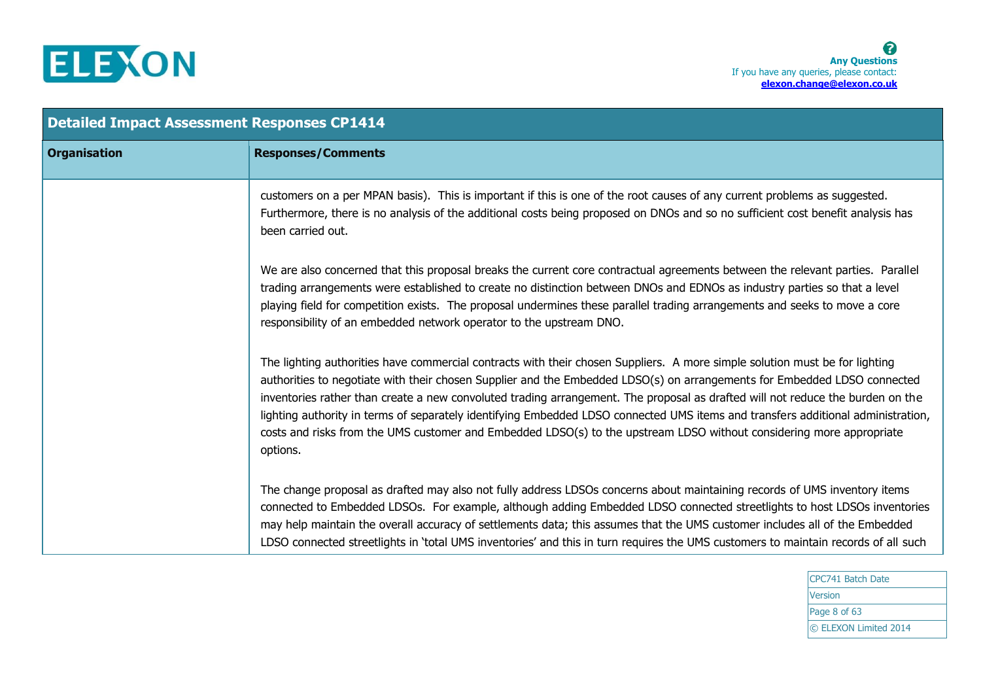

| <b>Detailed Impact Assessment Responses CP1414</b> |                                                                                                                                                                                                                                                                                                                                                                                                                                                                                                                                                                                                                                                                   |  |
|----------------------------------------------------|-------------------------------------------------------------------------------------------------------------------------------------------------------------------------------------------------------------------------------------------------------------------------------------------------------------------------------------------------------------------------------------------------------------------------------------------------------------------------------------------------------------------------------------------------------------------------------------------------------------------------------------------------------------------|--|
| <b>Organisation</b>                                | <b>Responses/Comments</b>                                                                                                                                                                                                                                                                                                                                                                                                                                                                                                                                                                                                                                         |  |
|                                                    | customers on a per MPAN basis). This is important if this is one of the root causes of any current problems as suggested.<br>Furthermore, there is no analysis of the additional costs being proposed on DNOs and so no sufficient cost benefit analysis has<br>been carried out.                                                                                                                                                                                                                                                                                                                                                                                 |  |
|                                                    | We are also concerned that this proposal breaks the current core contractual agreements between the relevant parties. Parallel<br>trading arrangements were established to create no distinction between DNOs and EDNOs as industry parties so that a level<br>playing field for competition exists. The proposal undermines these parallel trading arrangements and seeks to move a core<br>responsibility of an embedded network operator to the upstream DNO.                                                                                                                                                                                                  |  |
|                                                    | The lighting authorities have commercial contracts with their chosen Suppliers. A more simple solution must be for lighting<br>authorities to negotiate with their chosen Supplier and the Embedded LDSO(s) on arrangements for Embedded LDSO connected<br>inventories rather than create a new convoluted trading arrangement. The proposal as drafted will not reduce the burden on the<br>lighting authority in terms of separately identifying Embedded LDSO connected UMS items and transfers additional administration,<br>costs and risks from the UMS customer and Embedded LDSO(s) to the upstream LDSO without considering more appropriate<br>options. |  |
|                                                    | The change proposal as drafted may also not fully address LDSOs concerns about maintaining records of UMS inventory items<br>connected to Embedded LDSOs. For example, although adding Embedded LDSO connected streetlights to host LDSOs inventories<br>may help maintain the overall accuracy of settlements data; this assumes that the UMS customer includes all of the Embedded<br>LDSO connected streetlights in 'total UMS inventories' and this in turn requires the UMS customers to maintain records of all such                                                                                                                                        |  |

CPC741 Batch Date Version Page 8 of 63 © ELEXON Limited 2014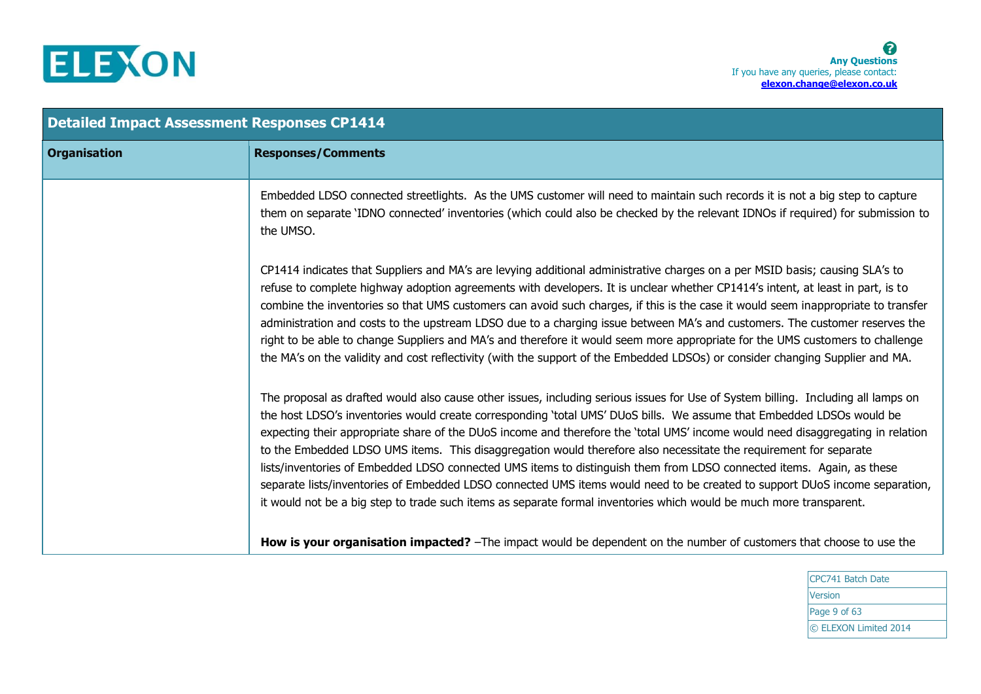

| <b>Detailed Impact Assessment Responses CP1414</b> |                                                                                                                                                                                                                                                                                                                                                                                                                                                                                                                                                                                                                                                                                                                                                                                                                                                                                                                                                                                                                          |  |
|----------------------------------------------------|--------------------------------------------------------------------------------------------------------------------------------------------------------------------------------------------------------------------------------------------------------------------------------------------------------------------------------------------------------------------------------------------------------------------------------------------------------------------------------------------------------------------------------------------------------------------------------------------------------------------------------------------------------------------------------------------------------------------------------------------------------------------------------------------------------------------------------------------------------------------------------------------------------------------------------------------------------------------------------------------------------------------------|--|
| <b>Organisation</b>                                | <b>Responses/Comments</b>                                                                                                                                                                                                                                                                                                                                                                                                                                                                                                                                                                                                                                                                                                                                                                                                                                                                                                                                                                                                |  |
|                                                    | Embedded LDSO connected streetlights. As the UMS customer will need to maintain such records it is not a big step to capture<br>them on separate 'IDNO connected' inventories (which could also be checked by the relevant IDNOs if required) for submission to<br>the UMSO.                                                                                                                                                                                                                                                                                                                                                                                                                                                                                                                                                                                                                                                                                                                                             |  |
|                                                    | CP1414 indicates that Suppliers and MA's are levying additional administrative charges on a per MSID basis; causing SLA's to<br>refuse to complete highway adoption agreements with developers. It is unclear whether CP1414's intent, at least in part, is to<br>combine the inventories so that UMS customers can avoid such charges, if this is the case it would seem inappropriate to transfer<br>administration and costs to the upstream LDSO due to a charging issue between MA's and customers. The customer reserves the<br>right to be able to change Suppliers and MA's and therefore it would seem more appropriate for the UMS customers to challenge<br>the MA's on the validity and cost reflectivity (with the support of the Embedded LDSOs) or consider changing Supplier and MA.                                                                                                                                                                                                                     |  |
|                                                    | The proposal as drafted would also cause other issues, including serious issues for Use of System billing. Including all lamps on<br>the host LDSO's inventories would create corresponding 'total UMS' DUoS bills. We assume that Embedded LDSOs would be<br>expecting their appropriate share of the DUoS income and therefore the 'total UMS' income would need disaggregating in relation<br>to the Embedded LDSO UMS items. This disaggregation would therefore also necessitate the requirement for separate<br>lists/inventories of Embedded LDSO connected UMS items to distinguish them from LDSO connected items. Again, as these<br>separate lists/inventories of Embedded LDSO connected UMS items would need to be created to support DUoS income separation,<br>it would not be a big step to trade such items as separate formal inventories which would be much more transparent.<br>How is your organisation impacted? -The impact would be dependent on the number of customers that choose to use the |  |

CPC741 Batch Date Version Page 9 of 63 © ELEXON Limited 2014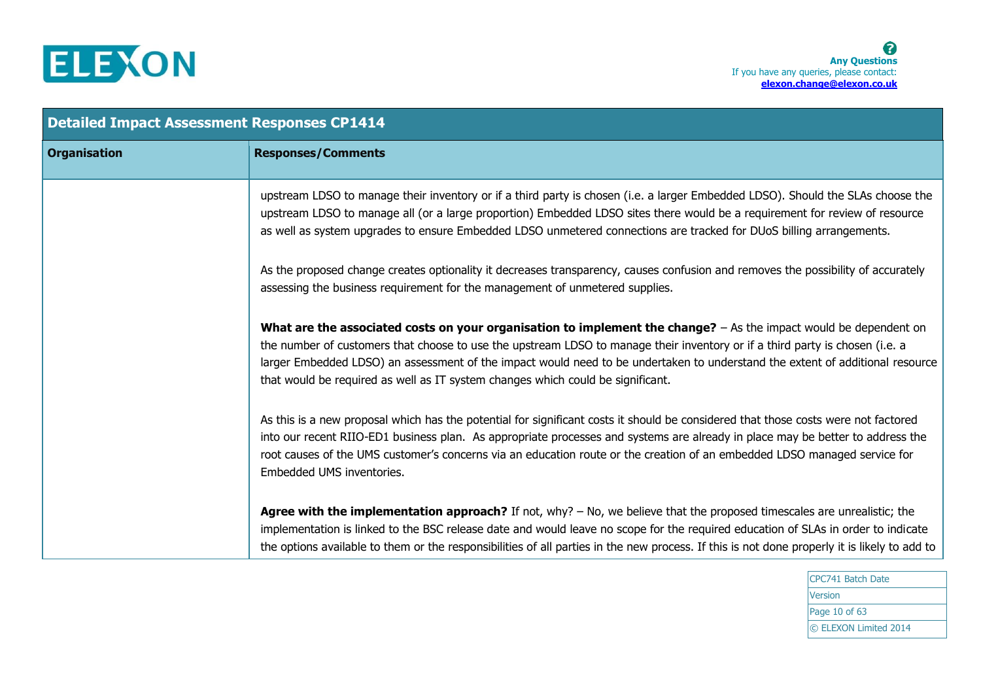

| <b>Detailed Impact Assessment Responses CP1414</b> |                                                                                                                                                                                                                                                                                                                                                                                                                                                                         |  |
|----------------------------------------------------|-------------------------------------------------------------------------------------------------------------------------------------------------------------------------------------------------------------------------------------------------------------------------------------------------------------------------------------------------------------------------------------------------------------------------------------------------------------------------|--|
| <b>Organisation</b>                                | <b>Responses/Comments</b>                                                                                                                                                                                                                                                                                                                                                                                                                                               |  |
|                                                    | upstream LDSO to manage their inventory or if a third party is chosen (i.e. a larger Embedded LDSO). Should the SLAs choose the<br>upstream LDSO to manage all (or a large proportion) Embedded LDSO sites there would be a requirement for review of resource<br>as well as system upgrades to ensure Embedded LDSO unmetered connections are tracked for DUoS billing arrangements.                                                                                   |  |
|                                                    | As the proposed change creates optionality it decreases transparency, causes confusion and removes the possibility of accurately<br>assessing the business requirement for the management of unmetered supplies.                                                                                                                                                                                                                                                        |  |
|                                                    | What are the associated costs on your organisation to implement the change? $-$ As the impact would be dependent on<br>the number of customers that choose to use the upstream LDSO to manage their inventory or if a third party is chosen (i.e. a<br>larger Embedded LDSO) an assessment of the impact would need to be undertaken to understand the extent of additional resource<br>that would be required as well as IT system changes which could be significant. |  |
|                                                    | As this is a new proposal which has the potential for significant costs it should be considered that those costs were not factored<br>into our recent RIIO-ED1 business plan. As appropriate processes and systems are already in place may be better to address the<br>root causes of the UMS customer's concerns via an education route or the creation of an embedded LDSO managed service for<br>Embedded UMS inventories.                                          |  |
|                                                    | Agree with the implementation approach? If not, why? - No, we believe that the proposed timescales are unrealistic; the<br>implementation is linked to the BSC release date and would leave no scope for the required education of SLAs in order to indicate<br>the options available to them or the responsibilities of all parties in the new process. If this is not done properly it is likely to add to                                                            |  |

CPC741 Batch Date Version Page 10 of 63 © ELEXON Limited 2014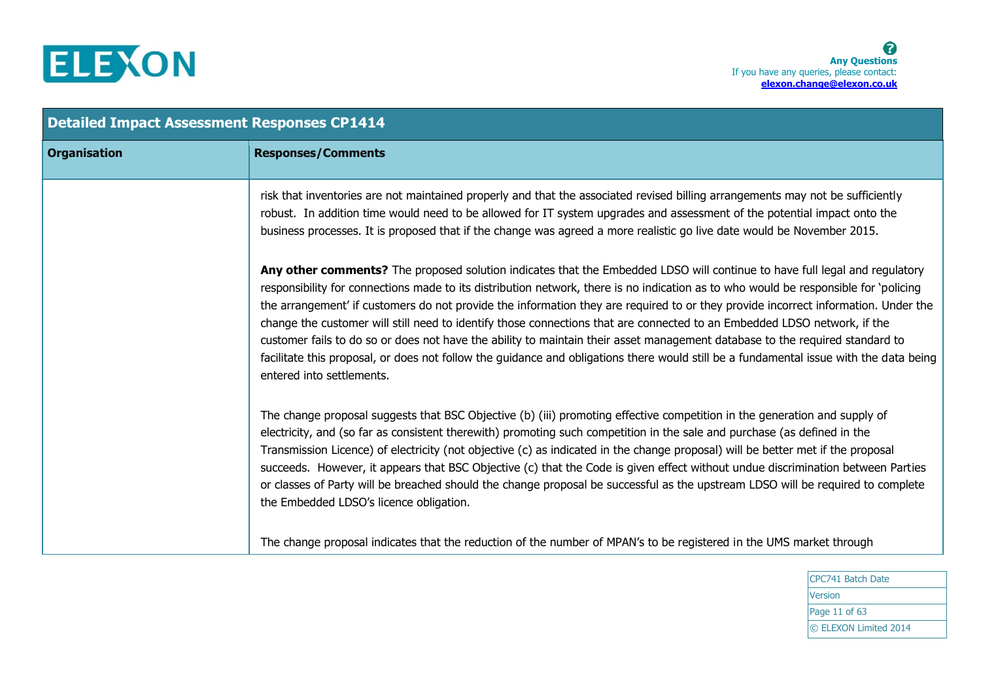

| <b>Detailed Impact Assessment Responses CP1414</b> |                                                                                                                                                                                                                                                                                                                                                                                                                                                                                                                                                                                                                                                                                                                                                                                                                                             |  |
|----------------------------------------------------|---------------------------------------------------------------------------------------------------------------------------------------------------------------------------------------------------------------------------------------------------------------------------------------------------------------------------------------------------------------------------------------------------------------------------------------------------------------------------------------------------------------------------------------------------------------------------------------------------------------------------------------------------------------------------------------------------------------------------------------------------------------------------------------------------------------------------------------------|--|
| <b>Organisation</b>                                | <b>Responses/Comments</b>                                                                                                                                                                                                                                                                                                                                                                                                                                                                                                                                                                                                                                                                                                                                                                                                                   |  |
|                                                    | risk that inventories are not maintained properly and that the associated revised billing arrangements may not be sufficiently<br>robust. In addition time would need to be allowed for IT system upgrades and assessment of the potential impact onto the<br>business processes. It is proposed that if the change was agreed a more realistic go live date would be November 2015.                                                                                                                                                                                                                                                                                                                                                                                                                                                        |  |
|                                                    | Any other comments? The proposed solution indicates that the Embedded LDSO will continue to have full legal and regulatory<br>responsibility for connections made to its distribution network, there is no indication as to who would be responsible for 'policing<br>the arrangement' if customers do not provide the information they are required to or they provide incorrect information. Under the<br>change the customer will still need to identify those connections that are connected to an Embedded LDSO network, if the<br>customer fails to do so or does not have the ability to maintain their asset management database to the required standard to<br>facilitate this proposal, or does not follow the guidance and obligations there would still be a fundamental issue with the data being<br>entered into settlements. |  |
|                                                    | The change proposal suggests that BSC Objective (b) (iii) promoting effective competition in the generation and supply of<br>electricity, and (so far as consistent therewith) promoting such competition in the sale and purchase (as defined in the<br>Transmission Licence) of electricity (not objective (c) as indicated in the change proposal) will be better met if the proposal<br>succeeds. However, it appears that BSC Objective (c) that the Code is given effect without undue discrimination between Parties<br>or classes of Party will be breached should the change proposal be successful as the upstream LDSO will be required to complete<br>the Embedded LDSO's licence obligation.                                                                                                                                   |  |
|                                                    | The change proposal indicates that the reduction of the number of MPAN's to be registered in the UMS market through                                                                                                                                                                                                                                                                                                                                                                                                                                                                                                                                                                                                                                                                                                                         |  |

CPC741 Batch Date Version Page 11 of 63 © ELEXON Limited 2014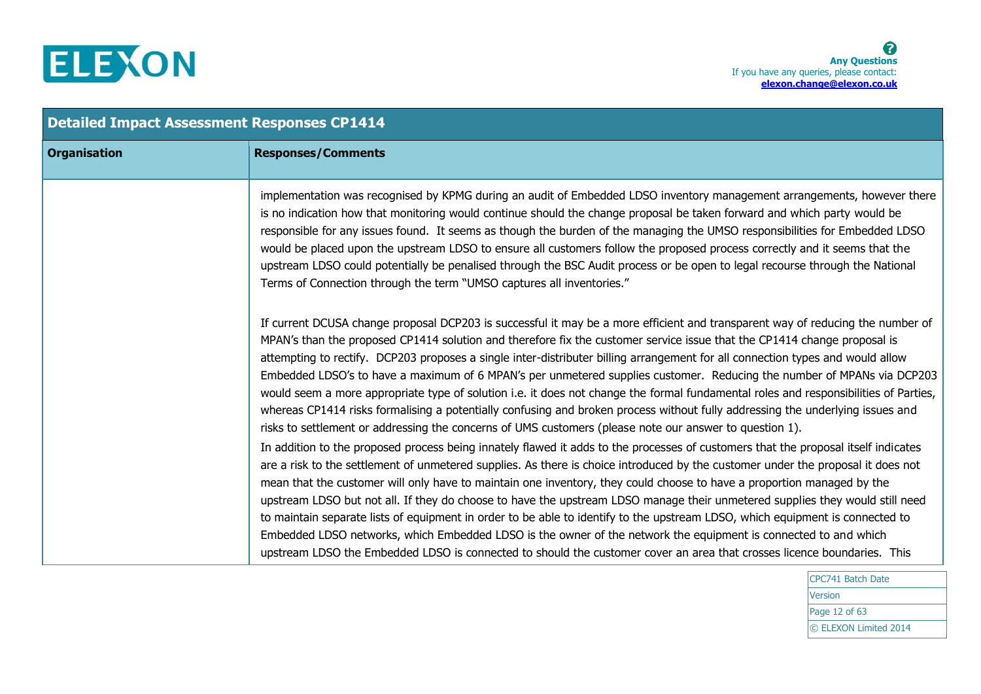

| <b>Detailed Impact Assessment Responses CP1414</b> |                                                                                                                                                                                                                                                                                                                                                                                                                                                                                                                                                                                                                                                                                                                                                                                                                                                                                                                 |  |
|----------------------------------------------------|-----------------------------------------------------------------------------------------------------------------------------------------------------------------------------------------------------------------------------------------------------------------------------------------------------------------------------------------------------------------------------------------------------------------------------------------------------------------------------------------------------------------------------------------------------------------------------------------------------------------------------------------------------------------------------------------------------------------------------------------------------------------------------------------------------------------------------------------------------------------------------------------------------------------|--|
| <b>Organisation</b>                                | <b>Responses/Comments</b>                                                                                                                                                                                                                                                                                                                                                                                                                                                                                                                                                                                                                                                                                                                                                                                                                                                                                       |  |
|                                                    | implementation was recognised by KPMG during an audit of Embedded LDSO inventory management arrangements, however there<br>is no indication how that monitoring would continue should the change proposal be taken forward and which party would be<br>responsible for any issues found. It seems as though the burden of the managing the UMSO responsibilities for Embedded LDSO<br>would be placed upon the upstream LDSO to ensure all customers follow the proposed process correctly and it seems that the<br>upstream LDSO could potentially be penalised through the BSC Audit process or be open to legal recourse through the National<br>Terms of Connection through the term "UMSO captures all inventories."                                                                                                                                                                                       |  |
|                                                    | If current DCUSA change proposal DCP203 is successful it may be a more efficient and transparent way of reducing the number of<br>MPAN's than the proposed CP1414 solution and therefore fix the customer service issue that the CP1414 change proposal is<br>attempting to rectify. DCP203 proposes a single inter-distributer billing arrangement for all connection types and would allow<br>Embedded LDSO's to have a maximum of 6 MPAN's per unmetered supplies customer. Reducing the number of MPANs via DCP203<br>would seem a more appropriate type of solution i.e. it does not change the formal fundamental roles and responsibilities of Parties,<br>whereas CP1414 risks formalising a potentially confusing and broken process without fully addressing the underlying issues and<br>risks to settlement or addressing the concerns of UMS customers (please note our answer to question 1).     |  |
|                                                    | In addition to the proposed process being innately flawed it adds to the processes of customers that the proposal itself indicates<br>are a risk to the settlement of unmetered supplies. As there is choice introduced by the customer under the proposal it does not<br>mean that the customer will only have to maintain one inventory, they could choose to have a proportion managed by the<br>upstream LDSO but not all. If they do choose to have the upstream LDSO manage their unmetered supplies they would still need<br>to maintain separate lists of equipment in order to be able to identify to the upstream LDSO, which equipment is connected to<br>Embedded LDSO networks, which Embedded LDSO is the owner of the network the equipment is connected to and which<br>upstream LDSO the Embedded LDSO is connected to should the customer cover an area that crosses licence boundaries. This |  |

CPC741 Batch Date **Version** Page 12 of 63 © ELEXON Limited 2014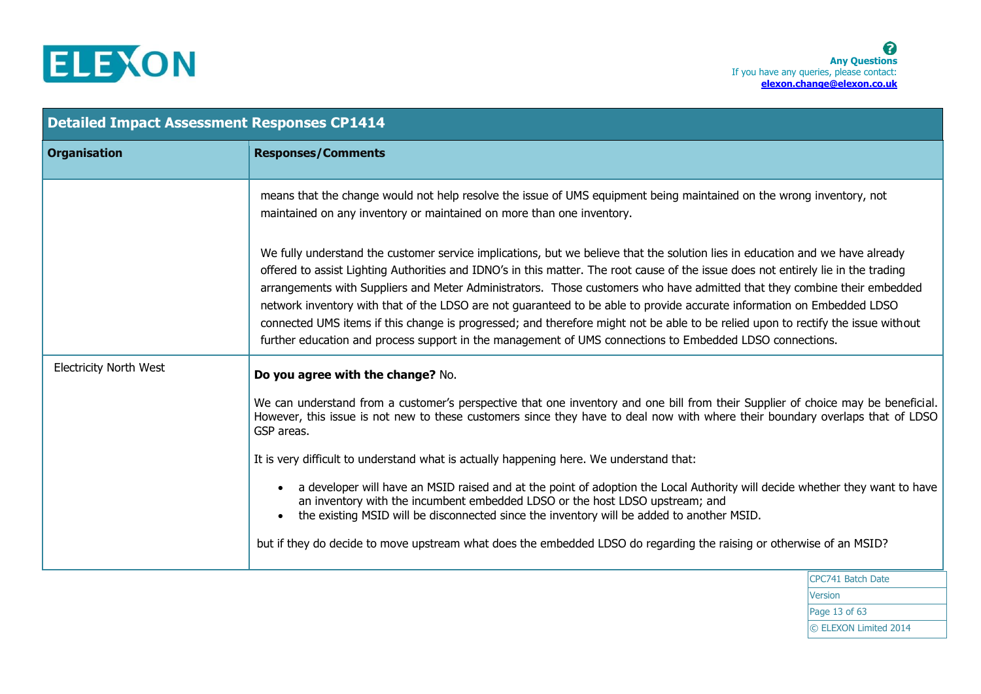

| <b>Detailed Impact Assessment Responses CP1414</b> |                                                                                                                                                                                                                                                                                                                                                                                                                                                                                                                                                                                                                                                                                                                                                                           |
|----------------------------------------------------|---------------------------------------------------------------------------------------------------------------------------------------------------------------------------------------------------------------------------------------------------------------------------------------------------------------------------------------------------------------------------------------------------------------------------------------------------------------------------------------------------------------------------------------------------------------------------------------------------------------------------------------------------------------------------------------------------------------------------------------------------------------------------|
| <b>Organisation</b>                                | <b>Responses/Comments</b>                                                                                                                                                                                                                                                                                                                                                                                                                                                                                                                                                                                                                                                                                                                                                 |
|                                                    | means that the change would not help resolve the issue of UMS equipment being maintained on the wrong inventory, not<br>maintained on any inventory or maintained on more than one inventory.                                                                                                                                                                                                                                                                                                                                                                                                                                                                                                                                                                             |
|                                                    | We fully understand the customer service implications, but we believe that the solution lies in education and we have already<br>offered to assist Lighting Authorities and IDNO's in this matter. The root cause of the issue does not entirely lie in the trading<br>arrangements with Suppliers and Meter Administrators. Those customers who have admitted that they combine their embedded<br>network inventory with that of the LDSO are not guaranteed to be able to provide accurate information on Embedded LDSO<br>connected UMS items if this change is progressed; and therefore might not be able to be relied upon to rectify the issue without<br>further education and process support in the management of UMS connections to Embedded LDSO connections. |
| <b>Electricity North West</b>                      | Do you agree with the change? No.                                                                                                                                                                                                                                                                                                                                                                                                                                                                                                                                                                                                                                                                                                                                         |
|                                                    | We can understand from a customer's perspective that one inventory and one bill from their Supplier of choice may be beneficial.<br>However, this issue is not new to these customers since they have to deal now with where their boundary overlaps that of LDSO<br>GSP areas.                                                                                                                                                                                                                                                                                                                                                                                                                                                                                           |
|                                                    | It is very difficult to understand what is actually happening here. We understand that:                                                                                                                                                                                                                                                                                                                                                                                                                                                                                                                                                                                                                                                                                   |
|                                                    | a developer will have an MSID raised and at the point of adoption the Local Authority will decide whether they want to have<br>an inventory with the incumbent embedded LDSO or the host LDSO upstream; and<br>the existing MSID will be disconnected since the inventory will be added to another MSID.                                                                                                                                                                                                                                                                                                                                                                                                                                                                  |
|                                                    | but if they do decide to move upstream what does the embedded LDSO do regarding the raising or otherwise of an MSID?                                                                                                                                                                                                                                                                                                                                                                                                                                                                                                                                                                                                                                                      |
|                                                    | $CDC741$ Patch Date                                                                                                                                                                                                                                                                                                                                                                                                                                                                                                                                                                                                                                                                                                                                                       |

CPC741 Batch Date Version Page 13 of 63 © ELEXON Limited 2014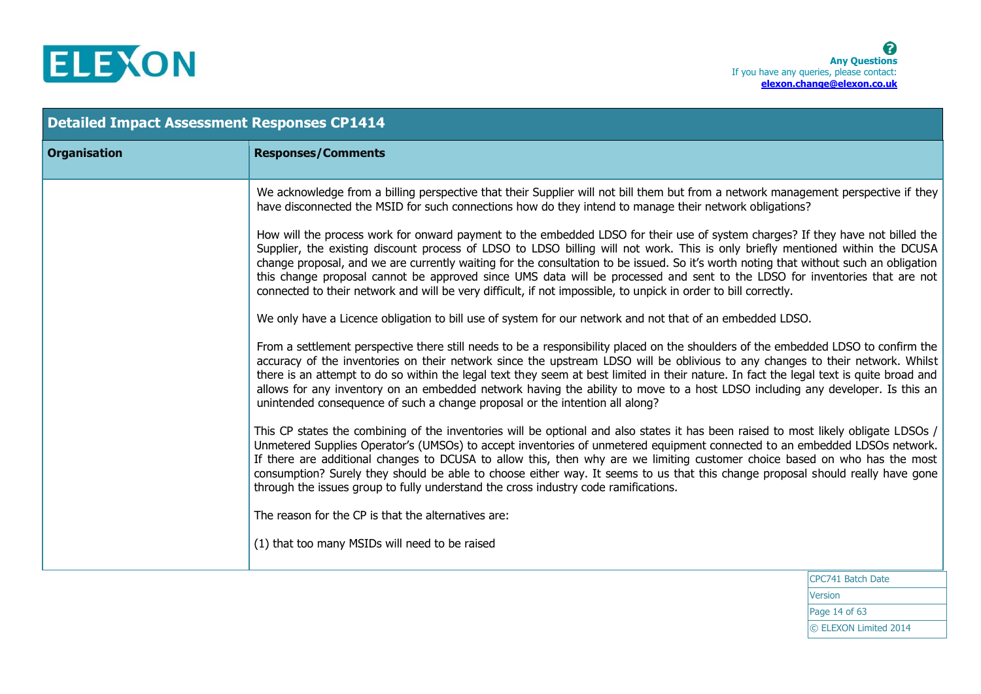

| <b>Detailed Impact Assessment Responses CP1414</b> |                                                                                                                                                                                                                                                                                                                                                                                                                                                                                                                                                                                                                                                            |  |
|----------------------------------------------------|------------------------------------------------------------------------------------------------------------------------------------------------------------------------------------------------------------------------------------------------------------------------------------------------------------------------------------------------------------------------------------------------------------------------------------------------------------------------------------------------------------------------------------------------------------------------------------------------------------------------------------------------------------|--|
| <b>Organisation</b>                                | <b>Responses/Comments</b>                                                                                                                                                                                                                                                                                                                                                                                                                                                                                                                                                                                                                                  |  |
|                                                    | We acknowledge from a billing perspective that their Supplier will not bill them but from a network management perspective if they<br>have disconnected the MSID for such connections how do they intend to manage their network obligations?                                                                                                                                                                                                                                                                                                                                                                                                              |  |
|                                                    | How will the process work for onward payment to the embedded LDSO for their use of system charges? If they have not billed the<br>Supplier, the existing discount process of LDSO to LDSO billing will not work. This is only briefly mentioned within the DCUSA<br>change proposal, and we are currently waiting for the consultation to be issued. So it's worth noting that without such an obligation<br>this change proposal cannot be approved since UMS data will be processed and sent to the LDSO for inventories that are not<br>connected to their network and will be very difficult, if not impossible, to unpick in order to bill correctly. |  |
|                                                    | We only have a Licence obligation to bill use of system for our network and not that of an embedded LDSO.                                                                                                                                                                                                                                                                                                                                                                                                                                                                                                                                                  |  |
|                                                    | From a settlement perspective there still needs to be a responsibility placed on the shoulders of the embedded LDSO to confirm the<br>accuracy of the inventories on their network since the upstream LDSO will be oblivious to any changes to their network. Whilst<br>there is an attempt to do so within the legal text they seem at best limited in their nature. In fact the legal text is quite broad and<br>allows for any inventory on an embedded network having the ability to move to a host LDSO including any developer. Is this an<br>unintended consequence of such a change proposal or the intention all along?                           |  |
|                                                    | This CP states the combining of the inventories will be optional and also states it has been raised to most likely obligate LDSOs /<br>Unmetered Supplies Operator's (UMSOs) to accept inventories of unmetered equipment connected to an embedded LDSOs network.<br>If there are additional changes to DCUSA to allow this, then why are we limiting customer choice based on who has the most<br>consumption? Surely they should be able to choose either way. It seems to us that this change proposal should really have gone<br>through the issues group to fully understand the cross industry code ramifications.                                   |  |
|                                                    | The reason for the CP is that the alternatives are:                                                                                                                                                                                                                                                                                                                                                                                                                                                                                                                                                                                                        |  |
|                                                    | (1) that too many MSIDs will need to be raised                                                                                                                                                                                                                                                                                                                                                                                                                                                                                                                                                                                                             |  |
|                                                    | CPC741 Batch Date                                                                                                                                                                                                                                                                                                                                                                                                                                                                                                                                                                                                                                          |  |

Version Page 14 of 63 © ELEXON Limited 2014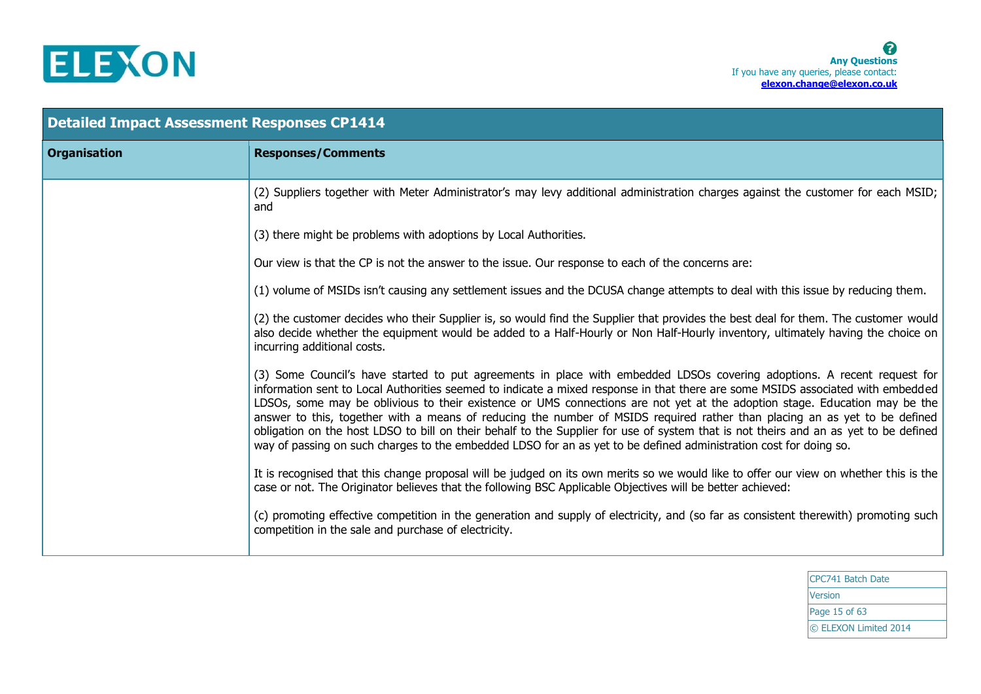

| <b>Detailed Impact Assessment Responses CP1414</b> |                                                                                                                                                                                                                                                                                                                                                                                                                                                                                                                                                                                                                                                                                                                                                                                     |  |
|----------------------------------------------------|-------------------------------------------------------------------------------------------------------------------------------------------------------------------------------------------------------------------------------------------------------------------------------------------------------------------------------------------------------------------------------------------------------------------------------------------------------------------------------------------------------------------------------------------------------------------------------------------------------------------------------------------------------------------------------------------------------------------------------------------------------------------------------------|--|
| <b>Organisation</b>                                | <b>Responses/Comments</b>                                                                                                                                                                                                                                                                                                                                                                                                                                                                                                                                                                                                                                                                                                                                                           |  |
|                                                    | (2) Suppliers together with Meter Administrator's may levy additional administration charges against the customer for each MSID;<br>and                                                                                                                                                                                                                                                                                                                                                                                                                                                                                                                                                                                                                                             |  |
|                                                    | (3) there might be problems with adoptions by Local Authorities.                                                                                                                                                                                                                                                                                                                                                                                                                                                                                                                                                                                                                                                                                                                    |  |
|                                                    | Our view is that the CP is not the answer to the issue. Our response to each of the concerns are:                                                                                                                                                                                                                                                                                                                                                                                                                                                                                                                                                                                                                                                                                   |  |
|                                                    | (1) volume of MSIDs isn't causing any settlement issues and the DCUSA change attempts to deal with this issue by reducing them.                                                                                                                                                                                                                                                                                                                                                                                                                                                                                                                                                                                                                                                     |  |
|                                                    | (2) the customer decides who their Supplier is, so would find the Supplier that provides the best deal for them. The customer would<br>also decide whether the equipment would be added to a Half-Hourly or Non Half-Hourly inventory, ultimately having the choice on<br>incurring additional costs.                                                                                                                                                                                                                                                                                                                                                                                                                                                                               |  |
|                                                    | (3) Some Council's have started to put agreements in place with embedded LDSOs covering adoptions. A recent request for<br>information sent to Local Authorities seemed to indicate a mixed response in that there are some MSIDS associated with embedded<br>LDSOs, some may be oblivious to their existence or UMS connections are not yet at the adoption stage. Education may be the<br>answer to this, together with a means of reducing the number of MSIDS required rather than placing an as yet to be defined<br>obligation on the host LDSO to bill on their behalf to the Supplier for use of system that is not theirs and an as yet to be defined<br>way of passing on such charges to the embedded LDSO for an as yet to be defined administration cost for doing so. |  |
|                                                    | It is recognised that this change proposal will be judged on its own merits so we would like to offer our view on whether this is the<br>case or not. The Originator believes that the following BSC Applicable Objectives will be better achieved:                                                                                                                                                                                                                                                                                                                                                                                                                                                                                                                                 |  |
|                                                    | (c) promoting effective competition in the generation and supply of electricity, and (so far as consistent therewith) promoting such<br>competition in the sale and purchase of electricity.                                                                                                                                                                                                                                                                                                                                                                                                                                                                                                                                                                                        |  |
|                                                    |                                                                                                                                                                                                                                                                                                                                                                                                                                                                                                                                                                                                                                                                                                                                                                                     |  |

CPC741 Batch Date Version Page 15 of 63 © ELEXON Limited 2014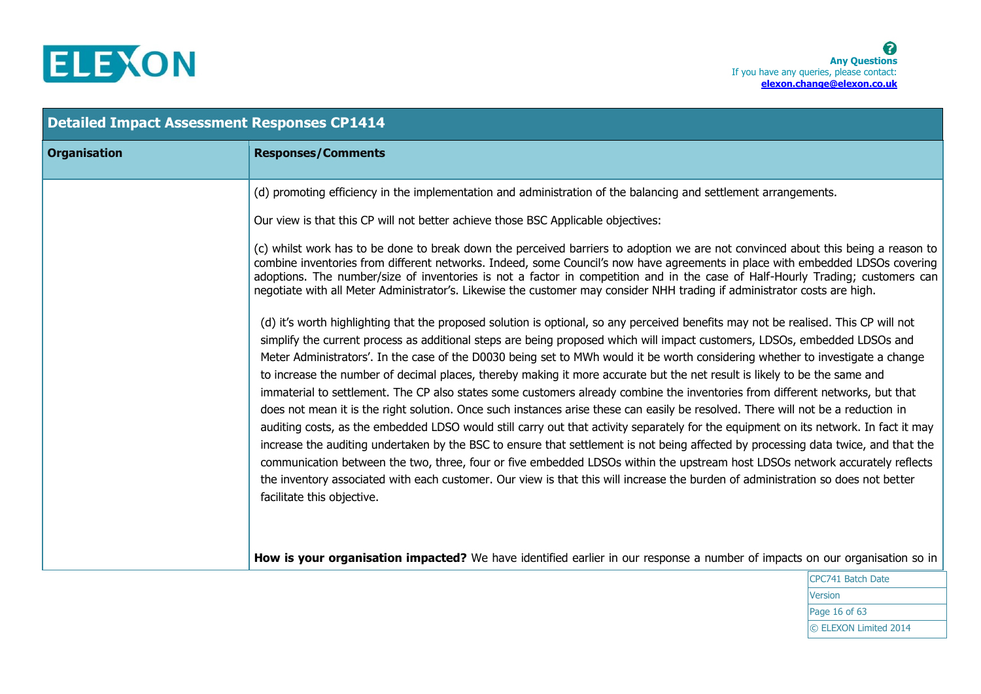

| <b>Detailed Impact Assessment Responses CP1414</b> |                                                                                                                                                                                                                                                                                                                                                                                                                                                                                                                                                                                                                                                                                                                                                                                                                                                                                                                                                                                                                                                                                                                                                                                                                                                                                                                                                                                                                                                                                                                                                                                                                                                                                                                                                                                                                                                                                                                                                                                                                                                                                                                                    |  |
|----------------------------------------------------|------------------------------------------------------------------------------------------------------------------------------------------------------------------------------------------------------------------------------------------------------------------------------------------------------------------------------------------------------------------------------------------------------------------------------------------------------------------------------------------------------------------------------------------------------------------------------------------------------------------------------------------------------------------------------------------------------------------------------------------------------------------------------------------------------------------------------------------------------------------------------------------------------------------------------------------------------------------------------------------------------------------------------------------------------------------------------------------------------------------------------------------------------------------------------------------------------------------------------------------------------------------------------------------------------------------------------------------------------------------------------------------------------------------------------------------------------------------------------------------------------------------------------------------------------------------------------------------------------------------------------------------------------------------------------------------------------------------------------------------------------------------------------------------------------------------------------------------------------------------------------------------------------------------------------------------------------------------------------------------------------------------------------------------------------------------------------------------------------------------------------------|--|
| <b>Organisation</b>                                | <b>Responses/Comments</b>                                                                                                                                                                                                                                                                                                                                                                                                                                                                                                                                                                                                                                                                                                                                                                                                                                                                                                                                                                                                                                                                                                                                                                                                                                                                                                                                                                                                                                                                                                                                                                                                                                                                                                                                                                                                                                                                                                                                                                                                                                                                                                          |  |
|                                                    | (d) promoting efficiency in the implementation and administration of the balancing and settlement arrangements.<br>Our view is that this CP will not better achieve those BSC Applicable objectives:<br>(c) whilst work has to be done to break down the perceived barriers to adoption we are not convinced about this being a reason to<br>combine inventories from different networks. Indeed, some Council's now have agreements in place with embedded LDSOs covering<br>adoptions. The number/size of inventories is not a factor in competition and in the case of Half-Hourly Trading; customers can<br>negotiate with all Meter Administrator's. Likewise the customer may consider NHH trading if administrator costs are high.<br>(d) it's worth highlighting that the proposed solution is optional, so any perceived benefits may not be realised. This CP will not<br>simplify the current process as additional steps are being proposed which will impact customers, LDSOs, embedded LDSOs and<br>Meter Administrators'. In the case of the D0030 being set to MWh would it be worth considering whether to investigate a change<br>to increase the number of decimal places, thereby making it more accurate but the net result is likely to be the same and<br>immaterial to settlement. The CP also states some customers already combine the inventories from different networks, but that<br>does not mean it is the right solution. Once such instances arise these can easily be resolved. There will not be a reduction in<br>auditing costs, as the embedded LDSO would still carry out that activity separately for the equipment on its network. In fact it may<br>increase the auditing undertaken by the BSC to ensure that settlement is not being affected by processing data twice, and that the<br>communication between the two, three, four or five embedded LDSOs within the upstream host LDSOs network accurately reflects<br>the inventory associated with each customer. Our view is that this will increase the burden of administration so does not better<br>facilitate this objective. |  |
|                                                    | How is your organisation impacted? We have identified earlier in our response a number of impacts on our organisation so in                                                                                                                                                                                                                                                                                                                                                                                                                                                                                                                                                                                                                                                                                                                                                                                                                                                                                                                                                                                                                                                                                                                                                                                                                                                                                                                                                                                                                                                                                                                                                                                                                                                                                                                                                                                                                                                                                                                                                                                                        |  |

CPC741 Batch Date **Version** Page 16 of 63 © ELEXON Limited 2014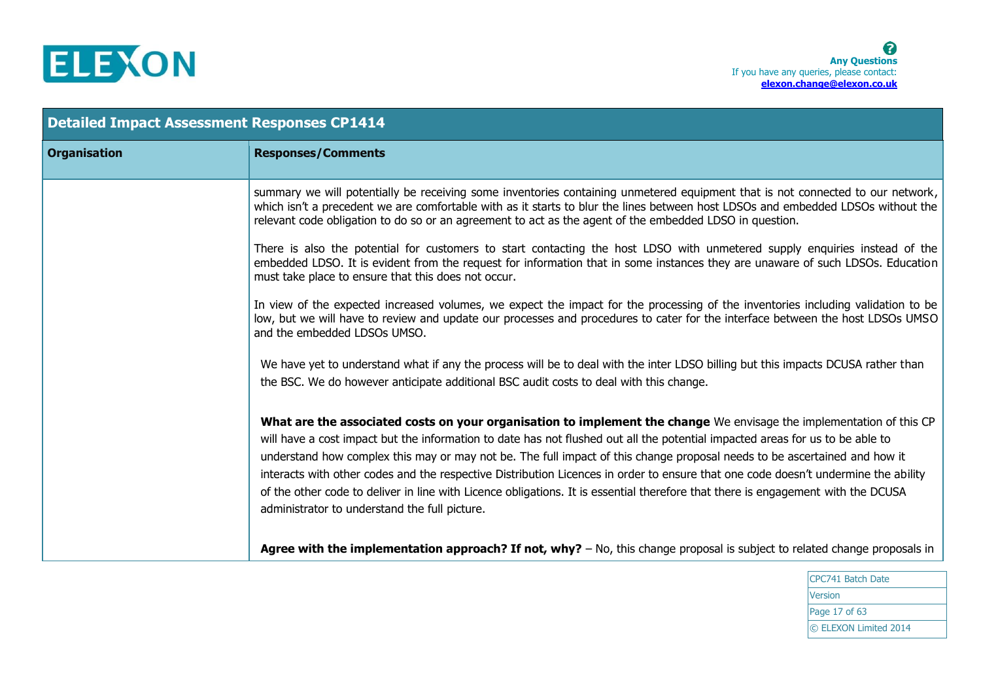

| <b>Detailed Impact Assessment Responses CP1414</b> |                                                                                                                                                                                                                                                                                                                                                                                                                                                                                                                                                                                                                                                                                                               |
|----------------------------------------------------|---------------------------------------------------------------------------------------------------------------------------------------------------------------------------------------------------------------------------------------------------------------------------------------------------------------------------------------------------------------------------------------------------------------------------------------------------------------------------------------------------------------------------------------------------------------------------------------------------------------------------------------------------------------------------------------------------------------|
| <b>Organisation</b>                                | <b>Responses/Comments</b>                                                                                                                                                                                                                                                                                                                                                                                                                                                                                                                                                                                                                                                                                     |
|                                                    | summary we will potentially be receiving some inventories containing unmetered equipment that is not connected to our network,<br>which isn't a precedent we are comfortable with as it starts to blur the lines between host LDSOs and embedded LDSOs without the<br>relevant code obligation to do so or an agreement to act as the agent of the embedded LDSO in question.                                                                                                                                                                                                                                                                                                                                 |
|                                                    | There is also the potential for customers to start contacting the host LDSO with unmetered supply enquiries instead of the<br>embedded LDSO. It is evident from the request for information that in some instances they are unaware of such LDSOs. Education<br>must take place to ensure that this does not occur.                                                                                                                                                                                                                                                                                                                                                                                           |
|                                                    | In view of the expected increased volumes, we expect the impact for the processing of the inventories including validation to be<br>low, but we will have to review and update our processes and procedures to cater for the interface between the host LDSOs UMSO<br>and the embedded LDSOs UMSO.                                                                                                                                                                                                                                                                                                                                                                                                            |
|                                                    | We have yet to understand what if any the process will be to deal with the inter LDSO billing but this impacts DCUSA rather than<br>the BSC. We do however anticipate additional BSC audit costs to deal with this change.                                                                                                                                                                                                                                                                                                                                                                                                                                                                                    |
|                                                    | What are the associated costs on your organisation to implement the change We envisage the implementation of this CP<br>will have a cost impact but the information to date has not flushed out all the potential impacted areas for us to be able to<br>understand how complex this may or may not be. The full impact of this change proposal needs to be ascertained and how it<br>interacts with other codes and the respective Distribution Licences in order to ensure that one code doesn't undermine the ability<br>of the other code to deliver in line with Licence obligations. It is essential therefore that there is engagement with the DCUSA<br>administrator to understand the full picture. |
|                                                    | Agree with the implementation approach? If not, why? $-$ No, this change proposal is subject to related change proposals in                                                                                                                                                                                                                                                                                                                                                                                                                                                                                                                                                                                   |

CPC741 Batch Date Version Page 17 of 63 © ELEXON Limited 2014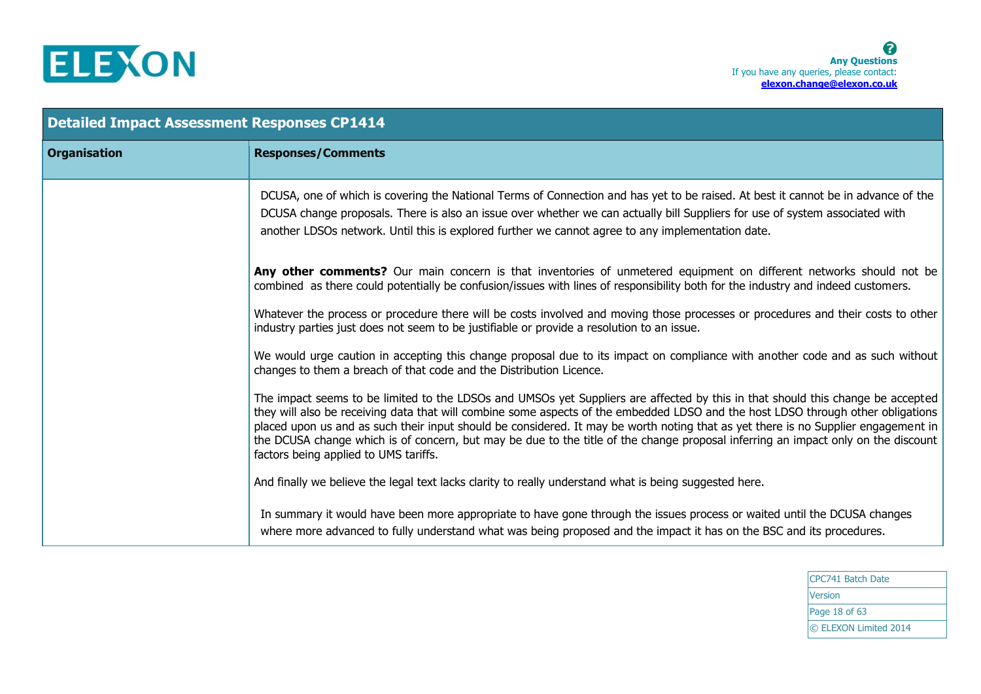

| <b>Detailed Impact Assessment Responses CP1414</b> |                                                                                                                                                                                                                                                                                                                                                                                                                                                                                                                                                                                         |
|----------------------------------------------------|-----------------------------------------------------------------------------------------------------------------------------------------------------------------------------------------------------------------------------------------------------------------------------------------------------------------------------------------------------------------------------------------------------------------------------------------------------------------------------------------------------------------------------------------------------------------------------------------|
| <b>Organisation</b>                                | <b>Responses/Comments</b>                                                                                                                                                                                                                                                                                                                                                                                                                                                                                                                                                               |
|                                                    | DCUSA, one of which is covering the National Terms of Connection and has yet to be raised. At best it cannot be in advance of the<br>DCUSA change proposals. There is also an issue over whether we can actually bill Suppliers for use of system associated with<br>another LDSOs network. Until this is explored further we cannot agree to any implementation date.                                                                                                                                                                                                                  |
|                                                    | Any other comments? Our main concern is that inventories of unmetered equipment on different networks should not be<br>combined as there could potentially be confusion/issues with lines of responsibility both for the industry and indeed customers.                                                                                                                                                                                                                                                                                                                                 |
|                                                    | Whatever the process or procedure there will be costs involved and moving those processes or procedures and their costs to other<br>industry parties just does not seem to be justifiable or provide a resolution to an issue.                                                                                                                                                                                                                                                                                                                                                          |
|                                                    | We would urge caution in accepting this change proposal due to its impact on compliance with another code and as such without<br>changes to them a breach of that code and the Distribution Licence.                                                                                                                                                                                                                                                                                                                                                                                    |
|                                                    | The impact seems to be limited to the LDSOs and UMSOs yet Suppliers are affected by this in that should this change be accepted<br>they will also be receiving data that will combine some aspects of the embedded LDSO and the host LDSO through other obligations<br>placed upon us and as such their input should be considered. It may be worth noting that as yet there is no Supplier engagement in<br>the DCUSA change which is of concern, but may be due to the title of the change proposal inferring an impact only on the discount<br>factors being applied to UMS tariffs. |
|                                                    | And finally we believe the legal text lacks clarity to really understand what is being suggested here.                                                                                                                                                                                                                                                                                                                                                                                                                                                                                  |
|                                                    | In summary it would have been more appropriate to have gone through the issues process or waited until the DCUSA changes<br>where more advanced to fully understand what was being proposed and the impact it has on the BSC and its procedures.                                                                                                                                                                                                                                                                                                                                        |

CPC741 Batch Date Version Page 18 of 63 © ELEXON Limited 2014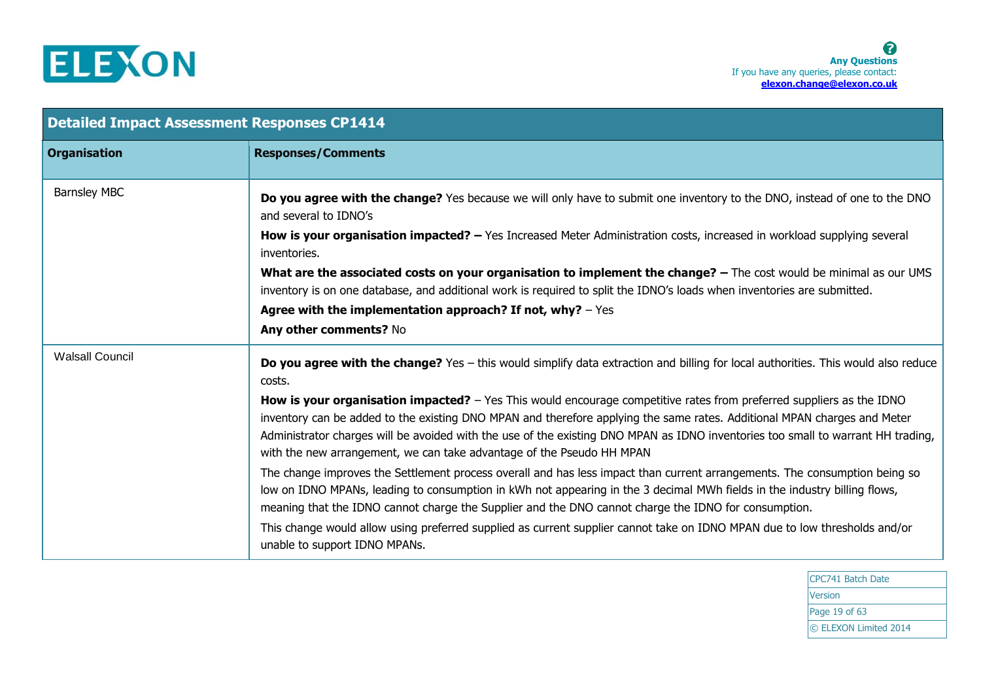

| <b>Detailed Impact Assessment Responses CP1414</b> |                                                                                                                                                                                                                                                                                                                                                                                                                                                                      |  |
|----------------------------------------------------|----------------------------------------------------------------------------------------------------------------------------------------------------------------------------------------------------------------------------------------------------------------------------------------------------------------------------------------------------------------------------------------------------------------------------------------------------------------------|--|
| <b>Organisation</b>                                | <b>Responses/Comments</b>                                                                                                                                                                                                                                                                                                                                                                                                                                            |  |
| <b>Barnsley MBC</b>                                | Do you agree with the change? Yes because we will only have to submit one inventory to the DNO, instead of one to the DNO<br>and several to IDNO's                                                                                                                                                                                                                                                                                                                   |  |
|                                                    | How is your organisation impacted? - Yes Increased Meter Administration costs, increased in workload supplying several<br>inventories.                                                                                                                                                                                                                                                                                                                               |  |
|                                                    | What are the associated costs on your organisation to implement the change? - The cost would be minimal as our UMS<br>inventory is on one database, and additional work is required to split the IDNO's loads when inventories are submitted.                                                                                                                                                                                                                        |  |
|                                                    | Agree with the implementation approach? If not, why? $-$ Yes<br>Any other comments? No                                                                                                                                                                                                                                                                                                                                                                               |  |
| <b>Walsall Council</b>                             | Do you agree with the change? Yes - this would simplify data extraction and billing for local authorities. This would also reduce<br>costs.                                                                                                                                                                                                                                                                                                                          |  |
|                                                    | <b>How is your organisation impacted?</b> - Yes This would encourage competitive rates from preferred suppliers as the IDNO<br>inventory can be added to the existing DNO MPAN and therefore applying the same rates. Additional MPAN charges and Meter<br>Administrator charges will be avoided with the use of the existing DNO MPAN as IDNO inventories too small to warrant HH trading,<br>with the new arrangement, we can take advantage of the Pseudo HH MPAN |  |
|                                                    | The change improves the Settlement process overall and has less impact than current arrangements. The consumption being so<br>low on IDNO MPANs, leading to consumption in kWh not appearing in the 3 decimal MWh fields in the industry billing flows,<br>meaning that the IDNO cannot charge the Supplier and the DNO cannot charge the IDNO for consumption.                                                                                                      |  |
|                                                    | This change would allow using preferred supplied as current supplier cannot take on IDNO MPAN due to low thresholds and/or<br>unable to support IDNO MPANs.                                                                                                                                                                                                                                                                                                          |  |

CPC741 Batch Date Version Page 19 of 63 © ELEXON Limited 2014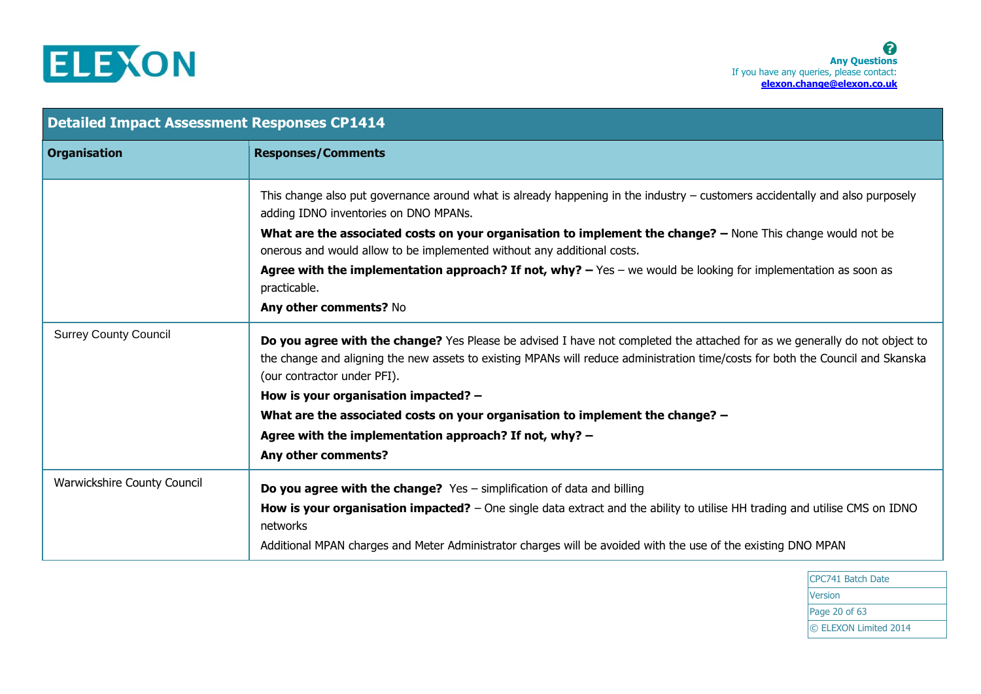

| <b>Detailed Impact Assessment Responses CP1414</b> |                                                                                                                                                                                                                                                                                              |
|----------------------------------------------------|----------------------------------------------------------------------------------------------------------------------------------------------------------------------------------------------------------------------------------------------------------------------------------------------|
| <b>Organisation</b>                                | <b>Responses/Comments</b>                                                                                                                                                                                                                                                                    |
|                                                    | This change also put governance around what is already happening in the industry $-$ customers accidentally and also purposely<br>adding IDNO inventories on DNO MPANs.                                                                                                                      |
|                                                    | What are the associated costs on your organisation to implement the change? - None This change would not be<br>onerous and would allow to be implemented without any additional costs.                                                                                                       |
|                                                    | Agree with the implementation approach? If not, why? $-$ Yes $-$ we would be looking for implementation as soon as<br>practicable.                                                                                                                                                           |
|                                                    | Any other comments? No                                                                                                                                                                                                                                                                       |
| <b>Surrey County Council</b>                       | Do you agree with the change? Yes Please be advised I have not completed the attached for as we generally do not object to<br>the change and aligning the new assets to existing MPANs will reduce administration time/costs for both the Council and Skanska<br>(our contractor under PFI). |
|                                                    | How is your organisation impacted? -                                                                                                                                                                                                                                                         |
|                                                    | What are the associated costs on your organisation to implement the change? -                                                                                                                                                                                                                |
|                                                    | Agree with the implementation approach? If not, why? -                                                                                                                                                                                                                                       |
|                                                    | Any other comments?                                                                                                                                                                                                                                                                          |
| Warwickshire County Council                        | <b>Do you agree with the change?</b> $Yes$ – simplification of data and billing                                                                                                                                                                                                              |
|                                                    | How is your organisation impacted? – One single data extract and the ability to utilise HH trading and utilise CMS on IDNO<br>networks                                                                                                                                                       |
|                                                    | Additional MPAN charges and Meter Administrator charges will be avoided with the use of the existing DNO MPAN                                                                                                                                                                                |

CPC741 Batch Date Version Page 20 of 63 © ELEXON Limited 2014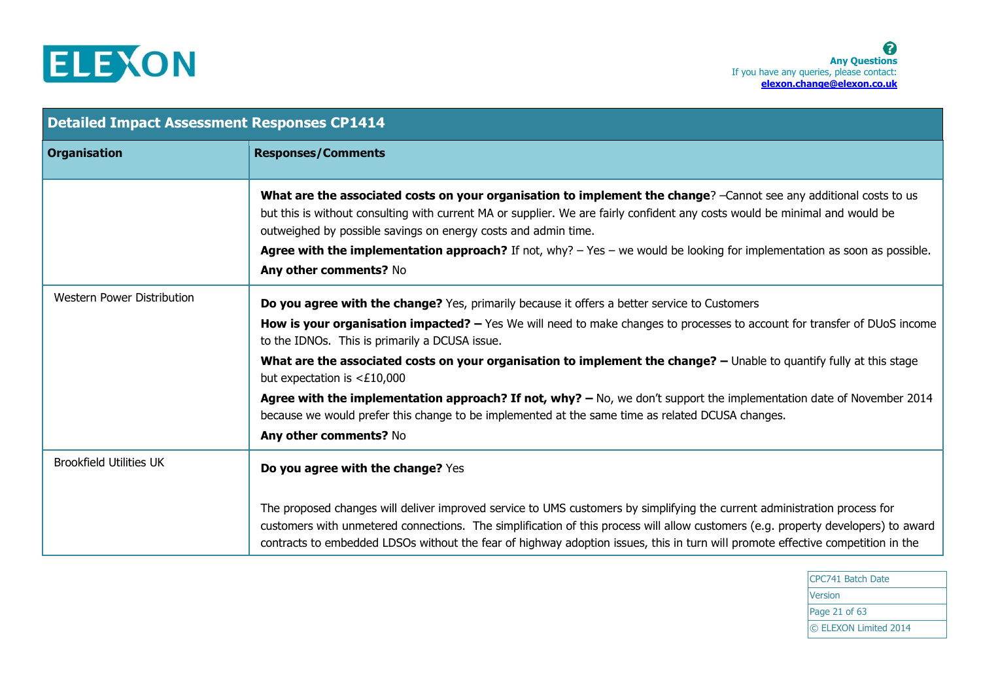

| <b>Detailed Impact Assessment Responses CP1414</b> |                                                                                                                                                                                                                                                                                                                                                                                                                                                                                      |
|----------------------------------------------------|--------------------------------------------------------------------------------------------------------------------------------------------------------------------------------------------------------------------------------------------------------------------------------------------------------------------------------------------------------------------------------------------------------------------------------------------------------------------------------------|
| <b>Organisation</b>                                | <b>Responses/Comments</b>                                                                                                                                                                                                                                                                                                                                                                                                                                                            |
|                                                    | What are the associated costs on your organisation to implement the change? -Cannot see any additional costs to us<br>but this is without consulting with current MA or supplier. We are fairly confident any costs would be minimal and would be<br>outweighed by possible savings on energy costs and admin time.<br><b>Agree with the implementation approach?</b> If not, why? $-$ Yes $-$ we would be looking for implementation as soon as possible.<br>Any other comments? No |
| Western Power Distribution                         | Do you agree with the change? Yes, primarily because it offers a better service to Customers                                                                                                                                                                                                                                                                                                                                                                                         |
|                                                    | How is your organisation impacted? - Yes We will need to make changes to processes to account for transfer of DUoS income<br>to the IDNOs. This is primarily a DCUSA issue.                                                                                                                                                                                                                                                                                                          |
|                                                    | What are the associated costs on your organisation to implement the change? - Unable to quantify fully at this stage<br>but expectation is $<£10,000$                                                                                                                                                                                                                                                                                                                                |
|                                                    | Agree with the implementation approach? If not, why? $-$ No, we don't support the implementation date of November 2014<br>because we would prefer this change to be implemented at the same time as related DCUSA changes.                                                                                                                                                                                                                                                           |
|                                                    | Any other comments? No                                                                                                                                                                                                                                                                                                                                                                                                                                                               |
| <b>Brookfield Utilities UK</b>                     | Do you agree with the change? Yes                                                                                                                                                                                                                                                                                                                                                                                                                                                    |
|                                                    | The proposed changes will deliver improved service to UMS customers by simplifying the current administration process for<br>customers with unmetered connections. The simplification of this process will allow customers (e.g. property developers) to award<br>contracts to embedded LDSOs without the fear of highway adoption issues, this in turn will promote effective competition in the                                                                                    |

CPC741 Batch Date Version Page 21 of 63 © ELEXON Limited 2014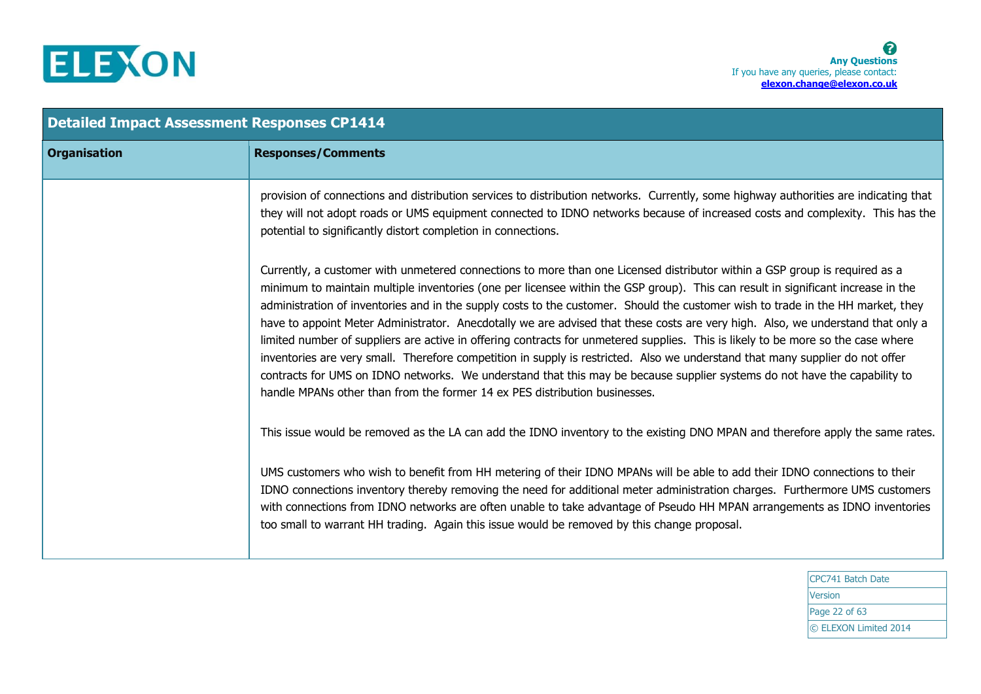

| <b>Detailed Impact Assessment Responses CP1414</b> |                                                                                                                                                                                                                                                                                                                                                                                                                                                                                                                                                                                                                                                                                                                                                                                                                                                                                                                                                                                                                      |
|----------------------------------------------------|----------------------------------------------------------------------------------------------------------------------------------------------------------------------------------------------------------------------------------------------------------------------------------------------------------------------------------------------------------------------------------------------------------------------------------------------------------------------------------------------------------------------------------------------------------------------------------------------------------------------------------------------------------------------------------------------------------------------------------------------------------------------------------------------------------------------------------------------------------------------------------------------------------------------------------------------------------------------------------------------------------------------|
| <b>Organisation</b>                                | <b>Responses/Comments</b>                                                                                                                                                                                                                                                                                                                                                                                                                                                                                                                                                                                                                                                                                                                                                                                                                                                                                                                                                                                            |
|                                                    | provision of connections and distribution services to distribution networks. Currently, some highway authorities are indicating that<br>they will not adopt roads or UMS equipment connected to IDNO networks because of increased costs and complexity. This has the<br>potential to significantly distort completion in connections.                                                                                                                                                                                                                                                                                                                                                                                                                                                                                                                                                                                                                                                                               |
|                                                    | Currently, a customer with unmetered connections to more than one Licensed distributor within a GSP group is required as a<br>minimum to maintain multiple inventories (one per licensee within the GSP group). This can result in significant increase in the<br>administration of inventories and in the supply costs to the customer. Should the customer wish to trade in the HH market, they<br>have to appoint Meter Administrator. Anecdotally we are advised that these costs are very high. Also, we understand that only a<br>limited number of suppliers are active in offering contracts for unmetered supplies. This is likely to be more so the case where<br>inventories are very small. Therefore competition in supply is restricted. Also we understand that many supplier do not offer<br>contracts for UMS on IDNO networks. We understand that this may be because supplier systems do not have the capability to<br>handle MPANs other than from the former 14 ex PES distribution businesses. |
|                                                    | This issue would be removed as the LA can add the IDNO inventory to the existing DNO MPAN and therefore apply the same rates.                                                                                                                                                                                                                                                                                                                                                                                                                                                                                                                                                                                                                                                                                                                                                                                                                                                                                        |
|                                                    | UMS customers who wish to benefit from HH metering of their IDNO MPANs will be able to add their IDNO connections to their<br>IDNO connections inventory thereby removing the need for additional meter administration charges. Furthermore UMS customers<br>with connections from IDNO networks are often unable to take advantage of Pseudo HH MPAN arrangements as IDNO inventories<br>too small to warrant HH trading. Again this issue would be removed by this change proposal.                                                                                                                                                                                                                                                                                                                                                                                                                                                                                                                                |

CPC741 Batch Date Version Page 22 of 63 © ELEXON Limited 2014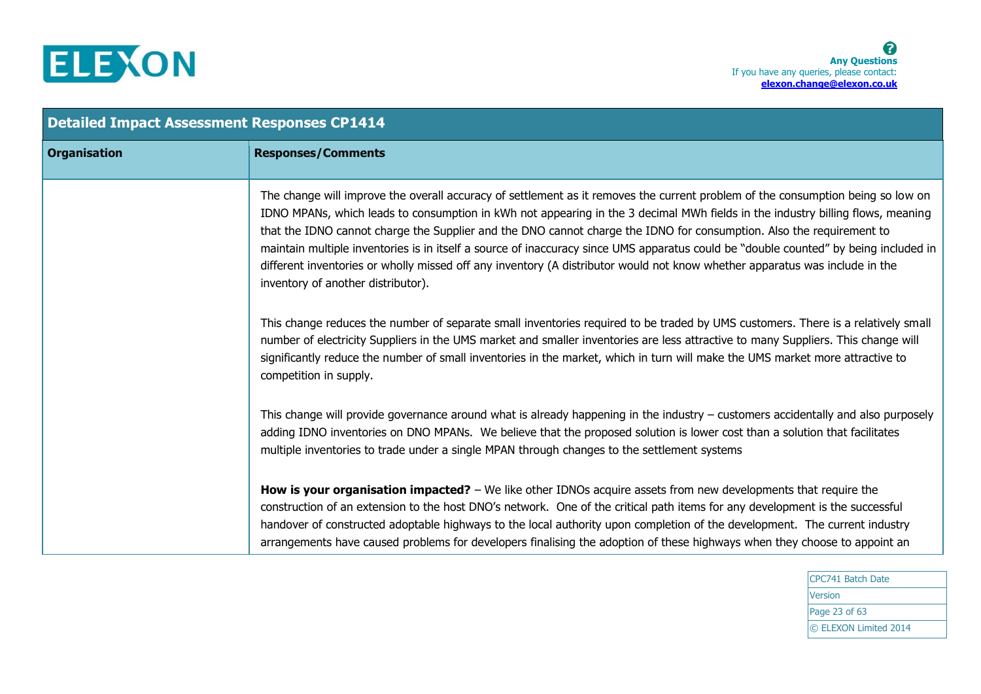

| <b>Detailed Impact Assessment Responses CP1414</b> |                                                                                                                                                                                                                                                                                                                                                                                                                                                                                                                                                                                                                                                                                                        |  |
|----------------------------------------------------|--------------------------------------------------------------------------------------------------------------------------------------------------------------------------------------------------------------------------------------------------------------------------------------------------------------------------------------------------------------------------------------------------------------------------------------------------------------------------------------------------------------------------------------------------------------------------------------------------------------------------------------------------------------------------------------------------------|--|
| <b>Organisation</b>                                | <b>Responses/Comments</b>                                                                                                                                                                                                                                                                                                                                                                                                                                                                                                                                                                                                                                                                              |  |
|                                                    | The change will improve the overall accuracy of settlement as it removes the current problem of the consumption being so low on<br>IDNO MPANs, which leads to consumption in kWh not appearing in the 3 decimal MWh fields in the industry billing flows, meaning<br>that the IDNO cannot charge the Supplier and the DNO cannot charge the IDNO for consumption. Also the requirement to<br>maintain multiple inventories is in itself a source of inaccuracy since UMS apparatus could be "double counted" by being included in<br>different inventories or wholly missed off any inventory (A distributor would not know whether apparatus was include in the<br>inventory of another distributor). |  |
|                                                    | This change reduces the number of separate small inventories required to be traded by UMS customers. There is a relatively small<br>number of electricity Suppliers in the UMS market and smaller inventories are less attractive to many Suppliers. This change will<br>significantly reduce the number of small inventories in the market, which in turn will make the UMS market more attractive to<br>competition in supply.                                                                                                                                                                                                                                                                       |  |
|                                                    | This change will provide governance around what is already happening in the industry $-$ customers accidentally and also purposely<br>adding IDNO inventories on DNO MPANs. We believe that the proposed solution is lower cost than a solution that facilitates<br>multiple inventories to trade under a single MPAN through changes to the settlement systems                                                                                                                                                                                                                                                                                                                                        |  |
|                                                    | How is your organisation impacted? $-$ We like other IDNOs acquire assets from new developments that require the<br>construction of an extension to the host DNO's network. One of the critical path items for any development is the successful<br>handover of constructed adoptable highways to the local authority upon completion of the development. The current industry<br>arrangements have caused problems for developers finalising the adoption of these highways when they choose to appoint an                                                                                                                                                                                            |  |

CPC741 Batch Date Version Page 23 of 63 © ELEXON Limited 2014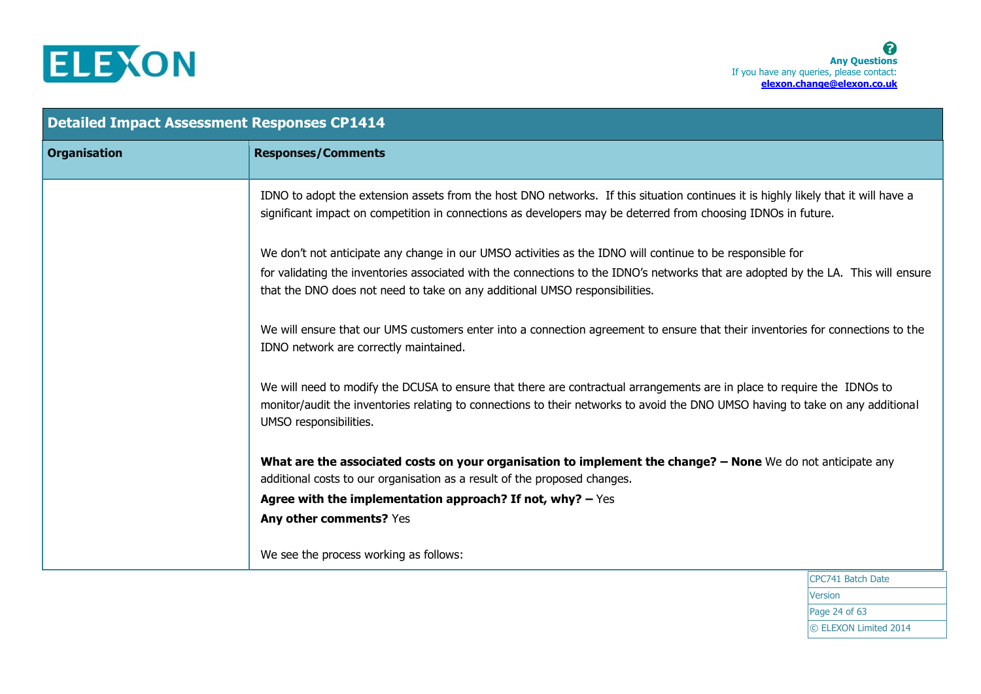

| <b>Detailed Impact Assessment Responses CP1414</b> |                                                                                                                                                                                                                                                                                     |
|----------------------------------------------------|-------------------------------------------------------------------------------------------------------------------------------------------------------------------------------------------------------------------------------------------------------------------------------------|
| <b>Organisation</b>                                | <b>Responses/Comments</b>                                                                                                                                                                                                                                                           |
|                                                    | IDNO to adopt the extension assets from the host DNO networks. If this situation continues it is highly likely that it will have a<br>significant impact on competition in connections as developers may be deterred from choosing IDNOs in future.                                 |
|                                                    | We don't not anticipate any change in our UMSO activities as the IDNO will continue to be responsible for                                                                                                                                                                           |
|                                                    | for validating the inventories associated with the connections to the IDNO's networks that are adopted by the LA. This will ensure<br>that the DNO does not need to take on any additional UMSO responsibilities.                                                                   |
|                                                    | We will ensure that our UMS customers enter into a connection agreement to ensure that their inventories for connections to the<br>IDNO network are correctly maintained.                                                                                                           |
|                                                    | We will need to modify the DCUSA to ensure that there are contractual arrangements are in place to require the IDNOs to<br>monitor/audit the inventories relating to connections to their networks to avoid the DNO UMSO having to take on any additional<br>UMSO responsibilities. |
|                                                    | What are the associated costs on your organisation to implement the change? - None We do not anticipate any<br>additional costs to our organisation as a result of the proposed changes.                                                                                            |
|                                                    | Agree with the implementation approach? If not, why? $-$ Yes                                                                                                                                                                                                                        |
|                                                    | Any other comments? Yes                                                                                                                                                                                                                                                             |
|                                                    | We see the process working as follows:                                                                                                                                                                                                                                              |

CPC741 Batch Date **Version** Page 24 of 63 © ELEXON Limited 2014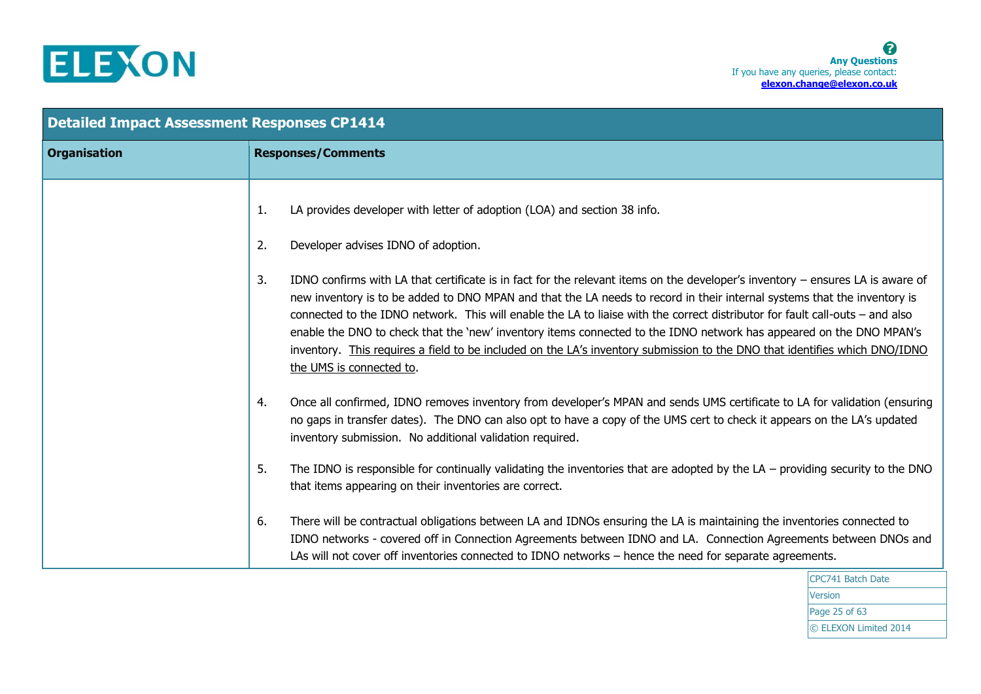

| <b>Detailed Impact Assessment Responses CP1414</b> |                                                                                                                                                                                                                                                                                                                                                                                                                                                                                                                                                                                                                                                                                   |
|----------------------------------------------------|-----------------------------------------------------------------------------------------------------------------------------------------------------------------------------------------------------------------------------------------------------------------------------------------------------------------------------------------------------------------------------------------------------------------------------------------------------------------------------------------------------------------------------------------------------------------------------------------------------------------------------------------------------------------------------------|
| <b>Organisation</b>                                | <b>Responses/Comments</b>                                                                                                                                                                                                                                                                                                                                                                                                                                                                                                                                                                                                                                                         |
|                                                    | LA provides developer with letter of adoption (LOA) and section 38 info.<br>1.                                                                                                                                                                                                                                                                                                                                                                                                                                                                                                                                                                                                    |
|                                                    | Developer advises IDNO of adoption.<br>2.                                                                                                                                                                                                                                                                                                                                                                                                                                                                                                                                                                                                                                         |
|                                                    | 3.<br>IDNO confirms with LA that certificate is in fact for the relevant items on the developer's inventory – ensures LA is aware of<br>new inventory is to be added to DNO MPAN and that the LA needs to record in their internal systems that the inventory is<br>connected to the IDNO network. This will enable the LA to liaise with the correct distributor for fault call-outs – and also<br>enable the DNO to check that the 'new' inventory items connected to the IDNO network has appeared on the DNO MPAN's<br>inventory. This requires a field to be included on the LA's inventory submission to the DNO that identifies which DNO/IDNO<br>the UMS is connected to. |
|                                                    | Once all confirmed, IDNO removes inventory from developer's MPAN and sends UMS certificate to LA for validation (ensuring<br>4.<br>no gaps in transfer dates). The DNO can also opt to have a copy of the UMS cert to check it appears on the LA's updated<br>inventory submission. No additional validation required.                                                                                                                                                                                                                                                                                                                                                            |
|                                                    | 5.<br>The IDNO is responsible for continually validating the inventories that are adopted by the $LA$ – providing security to the DNO<br>that items appearing on their inventories are correct.                                                                                                                                                                                                                                                                                                                                                                                                                                                                                   |
|                                                    | There will be contractual obligations between LA and IDNOs ensuring the LA is maintaining the inventories connected to<br>6.<br>IDNO networks - covered off in Connection Agreements between IDNO and LA. Connection Agreements between DNOs and<br>LAs will not cover off inventories connected to IDNO networks - hence the need for separate agreements.                                                                                                                                                                                                                                                                                                                       |

CPC741 Batch Date **Version** Page 25 of 63 © ELEXON Limited 2014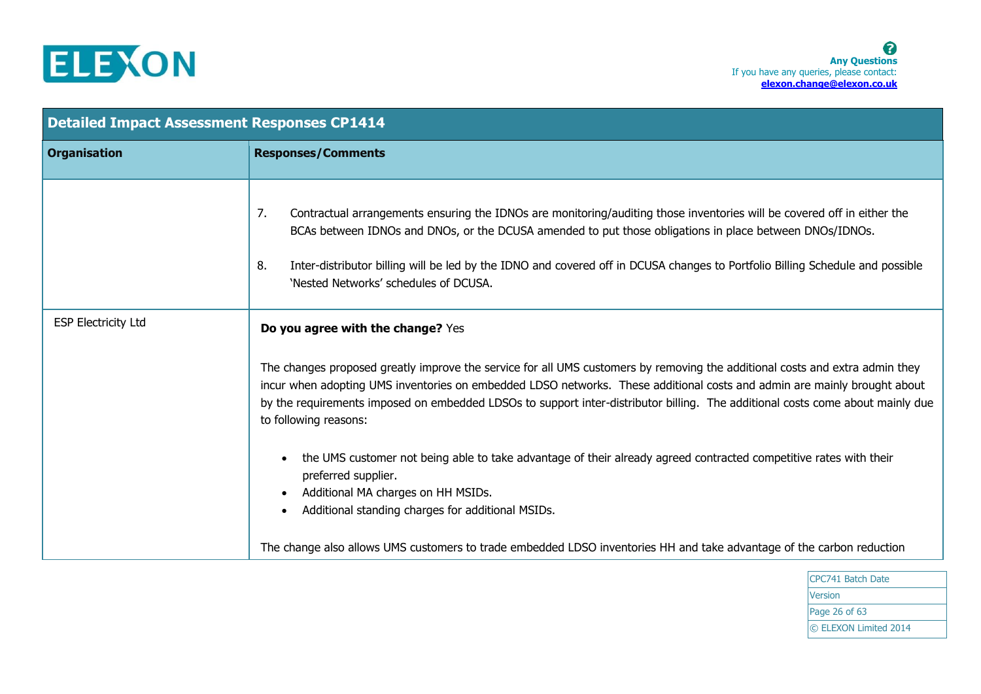

| <b>Detailed Impact Assessment Responses CP1414</b> |                                                                                                                                                                                                                                                                                                                                                                                                                          |
|----------------------------------------------------|--------------------------------------------------------------------------------------------------------------------------------------------------------------------------------------------------------------------------------------------------------------------------------------------------------------------------------------------------------------------------------------------------------------------------|
| <b>Organisation</b>                                | <b>Responses/Comments</b>                                                                                                                                                                                                                                                                                                                                                                                                |
|                                                    | 7.<br>Contractual arrangements ensuring the IDNOs are monitoring/auditing those inventories will be covered off in either the<br>BCAs between IDNOs and DNOs, or the DCUSA amended to put those obligations in place between DNOs/IDNOs.<br>8.<br>Inter-distributor billing will be led by the IDNO and covered off in DCUSA changes to Portfolio Billing Schedule and possible<br>'Nested Networks' schedules of DCUSA. |
| <b>ESP Electricity Ltd</b>                         | Do you agree with the change? Yes                                                                                                                                                                                                                                                                                                                                                                                        |
|                                                    | The changes proposed greatly improve the service for all UMS customers by removing the additional costs and extra admin they<br>incur when adopting UMS inventories on embedded LDSO networks. These additional costs and admin are mainly brought about<br>by the requirements imposed on embedded LDSOs to support inter-distributor billing. The additional costs come about mainly due<br>to following reasons:      |
|                                                    | the UMS customer not being able to take advantage of their already agreed contracted competitive rates with their<br>preferred supplier.<br>Additional MA charges on HH MSIDs.<br>Additional standing charges for additional MSIDs.                                                                                                                                                                                      |
|                                                    | The change also allows UMS customers to trade embedded LDSO inventories HH and take advantage of the carbon reduction                                                                                                                                                                                                                                                                                                    |

CPC741 Batch Date Version Page 26 of 63 © ELEXON Limited 2014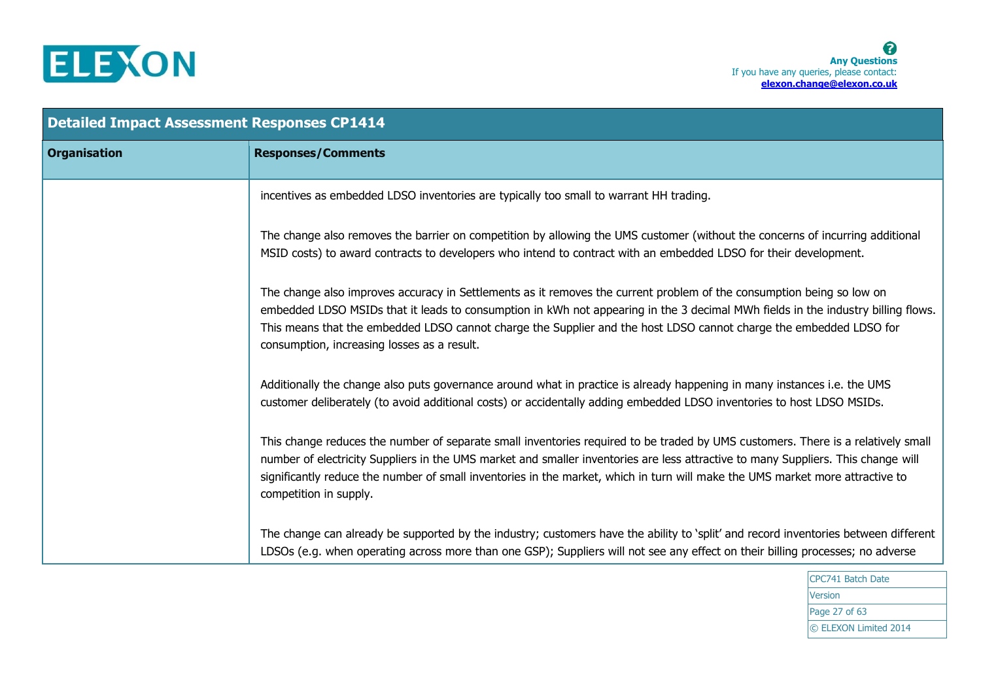

| <b>Detailed Impact Assessment Responses CP1414</b> |                                                                                                                                                                                                                                                                                                                                                                                                                                  |
|----------------------------------------------------|----------------------------------------------------------------------------------------------------------------------------------------------------------------------------------------------------------------------------------------------------------------------------------------------------------------------------------------------------------------------------------------------------------------------------------|
| <b>Organisation</b>                                | <b>Responses/Comments</b>                                                                                                                                                                                                                                                                                                                                                                                                        |
|                                                    | incentives as embedded LDSO inventories are typically too small to warrant HH trading.                                                                                                                                                                                                                                                                                                                                           |
|                                                    | The change also removes the barrier on competition by allowing the UMS customer (without the concerns of incurring additional<br>MSID costs) to award contracts to developers who intend to contract with an embedded LDSO for their development.                                                                                                                                                                                |
|                                                    | The change also improves accuracy in Settlements as it removes the current problem of the consumption being so low on<br>embedded LDSO MSIDs that it leads to consumption in kWh not appearing in the 3 decimal MWh fields in the industry billing flows.<br>This means that the embedded LDSO cannot charge the Supplier and the host LDSO cannot charge the embedded LDSO for<br>consumption, increasing losses as a result.   |
|                                                    | Additionally the change also puts governance around what in practice is already happening in many instances i.e. the UMS<br>customer deliberately (to avoid additional costs) or accidentally adding embedded LDSO inventories to host LDSO MSIDs.                                                                                                                                                                               |
|                                                    | This change reduces the number of separate small inventories required to be traded by UMS customers. There is a relatively small<br>number of electricity Suppliers in the UMS market and smaller inventories are less attractive to many Suppliers. This change will<br>significantly reduce the number of small inventories in the market, which in turn will make the UMS market more attractive to<br>competition in supply. |
|                                                    | The change can already be supported by the industry; customers have the ability to 'split' and record inventories between different<br>LDSOs (e.g. when operating across more than one GSP); Suppliers will not see any effect on their billing processes; no adverse                                                                                                                                                            |

CPC741 Batch Date Version Page 27 of 63 © ELEXON Limited 2014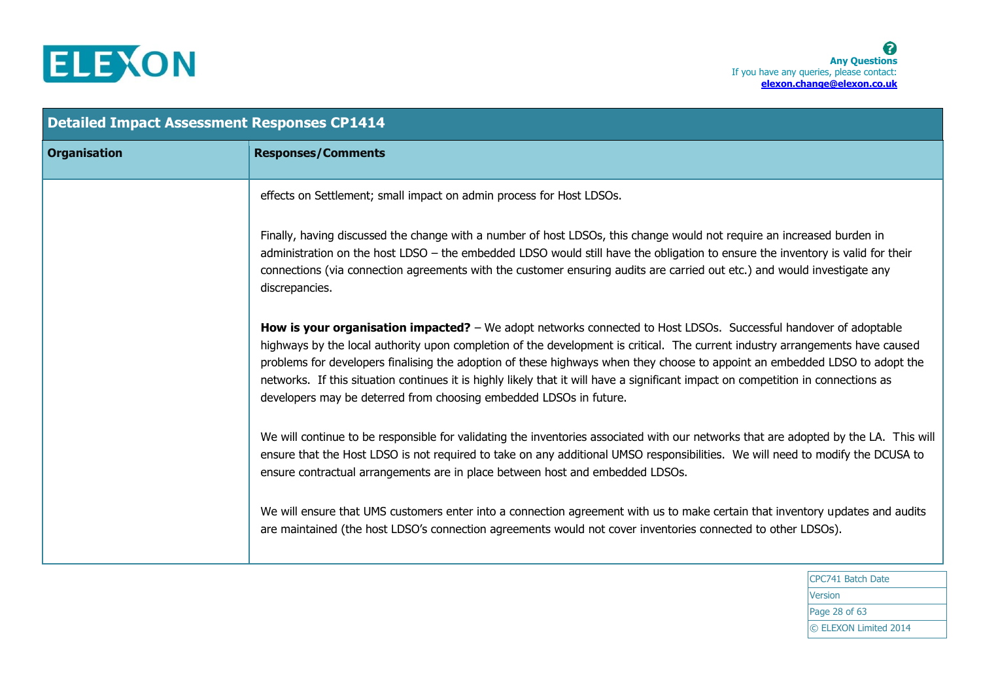

| <b>Detailed Impact Assessment Responses CP1414</b> |                                                                                                                                                                                                                                                                                                                                                                                                                                                                                                                                                                                             |
|----------------------------------------------------|---------------------------------------------------------------------------------------------------------------------------------------------------------------------------------------------------------------------------------------------------------------------------------------------------------------------------------------------------------------------------------------------------------------------------------------------------------------------------------------------------------------------------------------------------------------------------------------------|
| <b>Organisation</b>                                | <b>Responses/Comments</b>                                                                                                                                                                                                                                                                                                                                                                                                                                                                                                                                                                   |
|                                                    | effects on Settlement; small impact on admin process for Host LDSOs.                                                                                                                                                                                                                                                                                                                                                                                                                                                                                                                        |
|                                                    | Finally, having discussed the change with a number of host LDSOs, this change would not require an increased burden in<br>administration on the host LDSO - the embedded LDSO would still have the obligation to ensure the inventory is valid for their<br>connections (via connection agreements with the customer ensuring audits are carried out etc.) and would investigate any<br>discrepancies.                                                                                                                                                                                      |
|                                                    | How is your organisation impacted? - We adopt networks connected to Host LDSOs. Successful handover of adoptable<br>highways by the local authority upon completion of the development is critical. The current industry arrangements have caused<br>problems for developers finalising the adoption of these highways when they choose to appoint an embedded LDSO to adopt the<br>networks. If this situation continues it is highly likely that it will have a significant impact on competition in connections as<br>developers may be deterred from choosing embedded LDSOs in future. |
|                                                    | We will continue to be responsible for validating the inventories associated with our networks that are adopted by the LA. This will<br>ensure that the Host LDSO is not required to take on any additional UMSO responsibilities. We will need to modify the DCUSA to<br>ensure contractual arrangements are in place between host and embedded LDSOs.                                                                                                                                                                                                                                     |
|                                                    | We will ensure that UMS customers enter into a connection agreement with us to make certain that inventory updates and audits<br>are maintained (the host LDSO's connection agreements would not cover inventories connected to other LDSOs).                                                                                                                                                                                                                                                                                                                                               |
|                                                    |                                                                                                                                                                                                                                                                                                                                                                                                                                                                                                                                                                                             |

CPC741 Batch Date **Version** Page 28 of 63 © ELEXON Limited 2014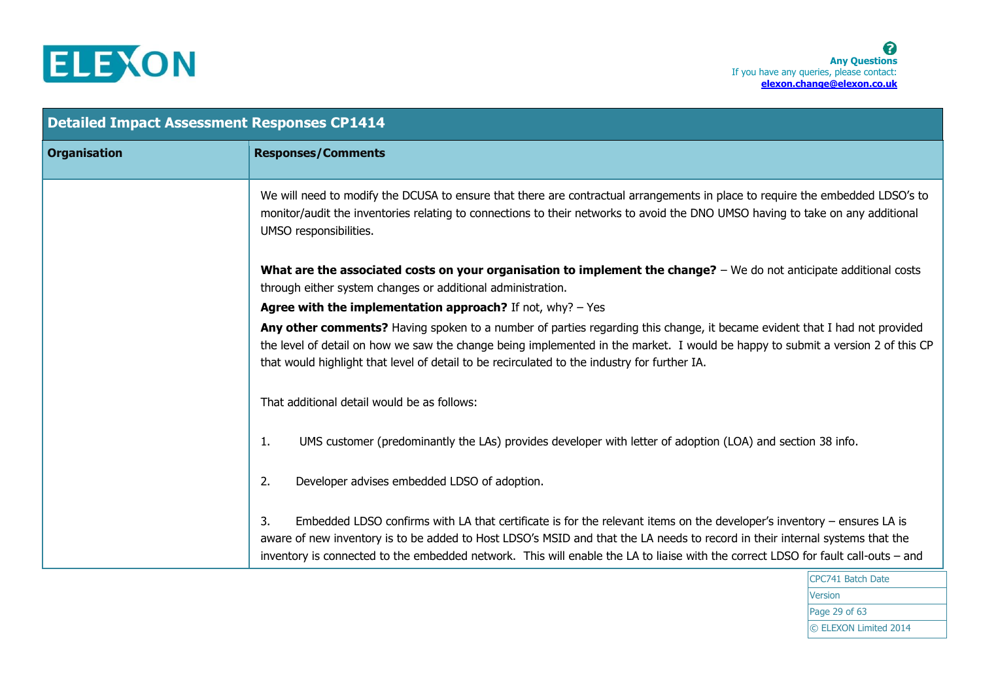

| <b>Detailed Impact Assessment Responses CP1414</b> |                                                                                                                                                                                                                                                                                                                                                                                                                          |
|----------------------------------------------------|--------------------------------------------------------------------------------------------------------------------------------------------------------------------------------------------------------------------------------------------------------------------------------------------------------------------------------------------------------------------------------------------------------------------------|
| <b>Organisation</b>                                | <b>Responses/Comments</b>                                                                                                                                                                                                                                                                                                                                                                                                |
|                                                    | We will need to modify the DCUSA to ensure that there are contractual arrangements in place to require the embedded LDSO's to<br>monitor/audit the inventories relating to connections to their networks to avoid the DNO UMSO having to take on any additional<br>UMSO responsibilities.                                                                                                                                |
|                                                    | What are the associated costs on your organisation to implement the change? $-$ We do not anticipate additional costs<br>through either system changes or additional administration.                                                                                                                                                                                                                                     |
|                                                    | Agree with the implementation approach? If not, $why? - Yes$                                                                                                                                                                                                                                                                                                                                                             |
|                                                    | Any other comments? Having spoken to a number of parties regarding this change, it became evident that I had not provided<br>the level of detail on how we saw the change being implemented in the market. I would be happy to submit a version 2 of this CP<br>that would highlight that level of detail to be recirculated to the industry for further IA.                                                             |
|                                                    | That additional detail would be as follows:                                                                                                                                                                                                                                                                                                                                                                              |
|                                                    | UMS customer (predominantly the LAs) provides developer with letter of adoption (LOA) and section 38 info.<br>1.                                                                                                                                                                                                                                                                                                         |
|                                                    | Developer advises embedded LDSO of adoption.<br>2.                                                                                                                                                                                                                                                                                                                                                                       |
|                                                    | 3.<br>Embedded LDSO confirms with LA that certificate is for the relevant items on the developer's inventory $-$ ensures LA is<br>aware of new inventory is to be added to Host LDSO's MSID and that the LA needs to record in their internal systems that the<br>inventory is connected to the embedded network. This will enable the LA to liaise with the correct LDSO for fault call-outs - and<br>CDC741 Patch Date |

CPC741 Batch Date Version Page 29 of 63 © ELEXON Limited 2014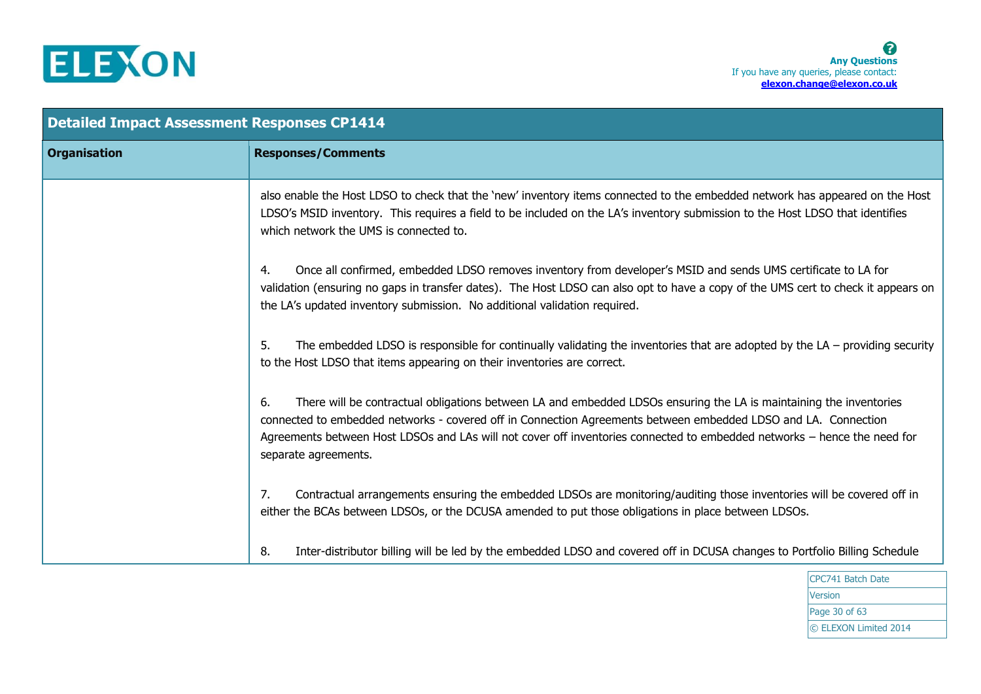

| <b>Detailed Impact Assessment Responses CP1414</b> |                                                                                                                                                                                                                                                                                                                                                                                                |
|----------------------------------------------------|------------------------------------------------------------------------------------------------------------------------------------------------------------------------------------------------------------------------------------------------------------------------------------------------------------------------------------------------------------------------------------------------|
| <b>Organisation</b>                                | <b>Responses/Comments</b>                                                                                                                                                                                                                                                                                                                                                                      |
|                                                    | also enable the Host LDSO to check that the 'new' inventory items connected to the embedded network has appeared on the Host<br>LDSO's MSID inventory. This requires a field to be included on the LA's inventory submission to the Host LDSO that identifies<br>which network the UMS is connected to.                                                                                        |
|                                                    | Once all confirmed, embedded LDSO removes inventory from developer's MSID and sends UMS certificate to LA for<br>4.<br>validation (ensuring no gaps in transfer dates). The Host LDSO can also opt to have a copy of the UMS cert to check it appears on<br>the LA's updated inventory submission. No additional validation required.                                                          |
|                                                    | The embedded LDSO is responsible for continually validating the inventories that are adopted by the $LA$ – providing security<br>5.<br>to the Host LDSO that items appearing on their inventories are correct.                                                                                                                                                                                 |
|                                                    | There will be contractual obligations between LA and embedded LDSOs ensuring the LA is maintaining the inventories<br>6.<br>connected to embedded networks - covered off in Connection Agreements between embedded LDSO and LA. Connection<br>Agreements between Host LDSOs and LAs will not cover off inventories connected to embedded networks - hence the need for<br>separate agreements. |
|                                                    | 7.<br>Contractual arrangements ensuring the embedded LDSOs are monitoring/auditing those inventories will be covered off in<br>either the BCAs between LDSOs, or the DCUSA amended to put those obligations in place between LDSOs.                                                                                                                                                            |
|                                                    | Inter-distributor billing will be led by the embedded LDSO and covered off in DCUSA changes to Portfolio Billing Schedule<br>8.                                                                                                                                                                                                                                                                |

CPC741 Batch Date **Version** Page 30 of 63 © ELEXON Limited 2014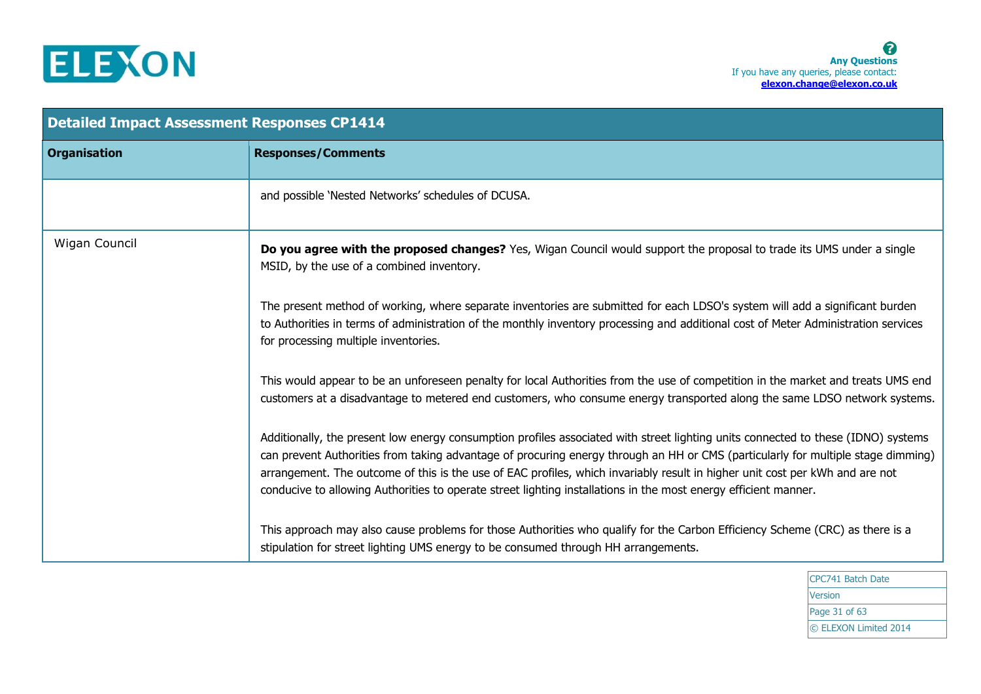

| <b>Detailed Impact Assessment Responses CP1414</b> |                                                                                                                                                                                                                                                                                                                                                                                                                                                                                                                          |
|----------------------------------------------------|--------------------------------------------------------------------------------------------------------------------------------------------------------------------------------------------------------------------------------------------------------------------------------------------------------------------------------------------------------------------------------------------------------------------------------------------------------------------------------------------------------------------------|
| <b>Organisation</b>                                | <b>Responses/Comments</b>                                                                                                                                                                                                                                                                                                                                                                                                                                                                                                |
|                                                    | and possible 'Nested Networks' schedules of DCUSA.                                                                                                                                                                                                                                                                                                                                                                                                                                                                       |
| Wigan Council                                      | Do you agree with the proposed changes? Yes, Wigan Council would support the proposal to trade its UMS under a single<br>MSID, by the use of a combined inventory.                                                                                                                                                                                                                                                                                                                                                       |
|                                                    | The present method of working, where separate inventories are submitted for each LDSO's system will add a significant burden<br>to Authorities in terms of administration of the monthly inventory processing and additional cost of Meter Administration services<br>for processing multiple inventories.                                                                                                                                                                                                               |
|                                                    | This would appear to be an unforeseen penalty for local Authorities from the use of competition in the market and treats UMS end<br>customers at a disadvantage to metered end customers, who consume energy transported along the same LDSO network systems.                                                                                                                                                                                                                                                            |
|                                                    | Additionally, the present low energy consumption profiles associated with street lighting units connected to these (IDNO) systems<br>can prevent Authorities from taking advantage of procuring energy through an HH or CMS (particularly for multiple stage dimming)<br>arrangement. The outcome of this is the use of EAC profiles, which invariably result in higher unit cost per kWh and are not<br>conducive to allowing Authorities to operate street lighting installations in the most energy efficient manner. |
|                                                    | This approach may also cause problems for those Authorities who qualify for the Carbon Efficiency Scheme (CRC) as there is a<br>stipulation for street lighting UMS energy to be consumed through HH arrangements.                                                                                                                                                                                                                                                                                                       |

CPC741 Batch Date Version Page 31 of 63 © ELEXON Limited 2014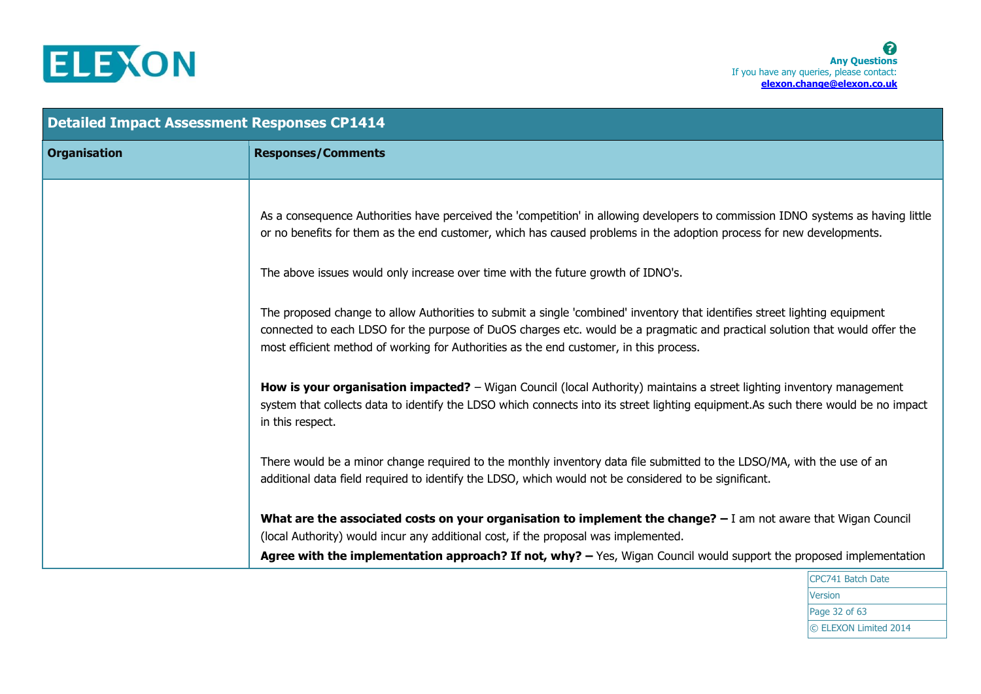

| <b>Detailed Impact Assessment Responses CP1414</b> |                                                                                                                                                                                                                                                                                                                                                      |
|----------------------------------------------------|------------------------------------------------------------------------------------------------------------------------------------------------------------------------------------------------------------------------------------------------------------------------------------------------------------------------------------------------------|
| <b>Organisation</b>                                | <b>Responses/Comments</b>                                                                                                                                                                                                                                                                                                                            |
|                                                    | As a consequence Authorities have perceived the 'competition' in allowing developers to commission IDNO systems as having little<br>or no benefits for them as the end customer, which has caused problems in the adoption process for new developments.<br>The above issues would only increase over time with the future growth of IDNO's.         |
|                                                    | The proposed change to allow Authorities to submit a single 'combined' inventory that identifies street lighting equipment<br>connected to each LDSO for the purpose of DuOS charges etc. would be a pragmatic and practical solution that would offer the<br>most efficient method of working for Authorities as the end customer, in this process. |
|                                                    | <b>How is your organisation impacted?</b> - Wigan Council (local Authority) maintains a street lighting inventory management<br>system that collects data to identify the LDSO which connects into its street lighting equipment. As such there would be no impact<br>in this respect.                                                               |
|                                                    | There would be a minor change required to the monthly inventory data file submitted to the LDSO/MA, with the use of an<br>additional data field required to identify the LDSO, which would not be considered to be significant.                                                                                                                      |
|                                                    | What are the associated costs on your organisation to implement the change? $-1$ am not aware that Wigan Council<br>(local Authority) would incur any additional cost, if the proposal was implemented.<br>Agree with the implementation approach? If not, why? $-$ Yes, Wigan Council would support the proposed implementation                     |

CPC741 Batch Date **Version** Page 32 of 63 © ELEXON Limited 2014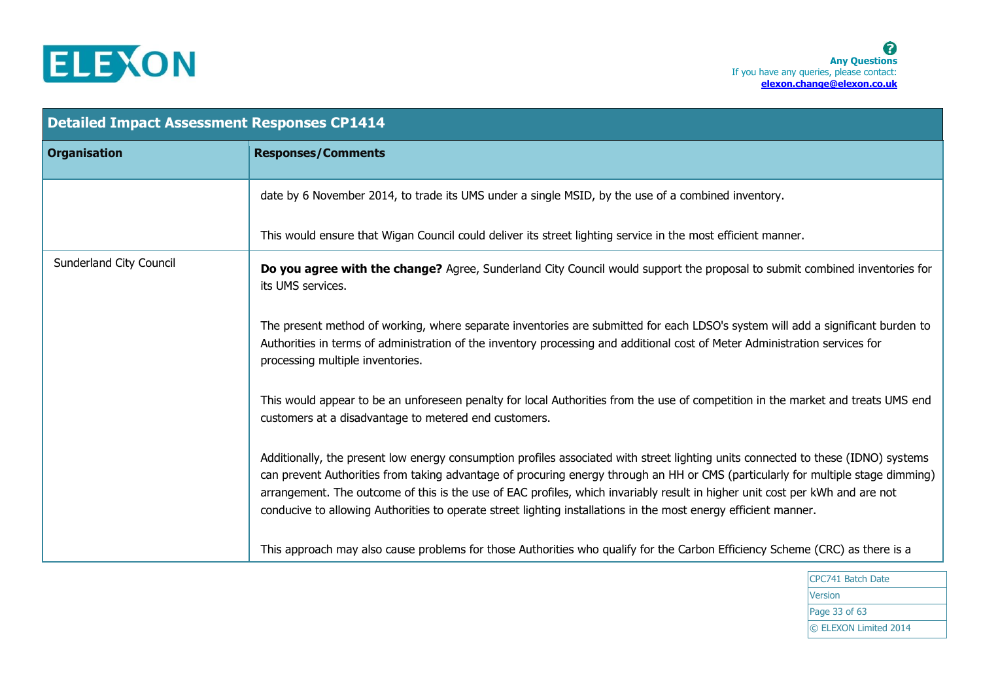

| <b>Detailed Impact Assessment Responses CP1414</b> |                                                                                                                                                                                                                                                                                                                                                                                                                                                                                                                          |
|----------------------------------------------------|--------------------------------------------------------------------------------------------------------------------------------------------------------------------------------------------------------------------------------------------------------------------------------------------------------------------------------------------------------------------------------------------------------------------------------------------------------------------------------------------------------------------------|
| <b>Organisation</b>                                | <b>Responses/Comments</b>                                                                                                                                                                                                                                                                                                                                                                                                                                                                                                |
|                                                    | date by 6 November 2014, to trade its UMS under a single MSID, by the use of a combined inventory.                                                                                                                                                                                                                                                                                                                                                                                                                       |
|                                                    | This would ensure that Wigan Council could deliver its street lighting service in the most efficient manner.                                                                                                                                                                                                                                                                                                                                                                                                             |
| Sunderland City Council                            | Do you agree with the change? Agree, Sunderland City Council would support the proposal to submit combined inventories for<br>its UMS services.                                                                                                                                                                                                                                                                                                                                                                          |
|                                                    | The present method of working, where separate inventories are submitted for each LDSO's system will add a significant burden to<br>Authorities in terms of administration of the inventory processing and additional cost of Meter Administration services for<br>processing multiple inventories.                                                                                                                                                                                                                       |
|                                                    | This would appear to be an unforeseen penalty for local Authorities from the use of competition in the market and treats UMS end<br>customers at a disadvantage to metered end customers.                                                                                                                                                                                                                                                                                                                                |
|                                                    | Additionally, the present low energy consumption profiles associated with street lighting units connected to these (IDNO) systems<br>can prevent Authorities from taking advantage of procuring energy through an HH or CMS (particularly for multiple stage dimming)<br>arrangement. The outcome of this is the use of EAC profiles, which invariably result in higher unit cost per kWh and are not<br>conducive to allowing Authorities to operate street lighting installations in the most energy efficient manner. |
|                                                    | This approach may also cause problems for those Authorities who qualify for the Carbon Efficiency Scheme (CRC) as there is a                                                                                                                                                                                                                                                                                                                                                                                             |

CPC741 Batch Date Version Page 33 of 63 © ELEXON Limited 2014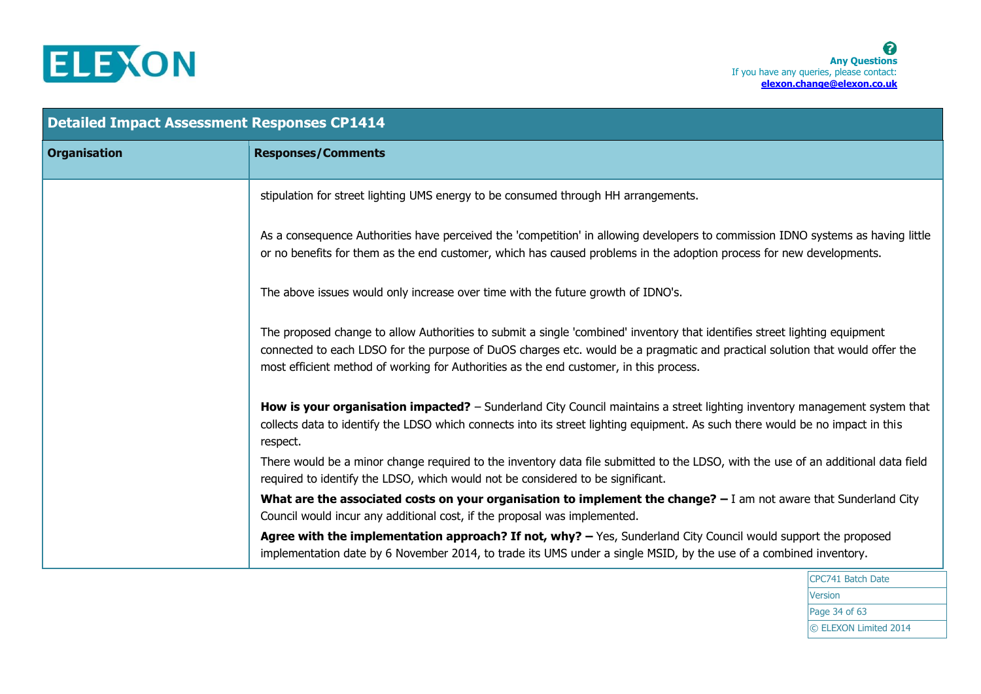

| <b>Detailed Impact Assessment Responses CP1414</b> |                                                                                                                                                                                                                                                                                                                                                      |
|----------------------------------------------------|------------------------------------------------------------------------------------------------------------------------------------------------------------------------------------------------------------------------------------------------------------------------------------------------------------------------------------------------------|
| <b>Organisation</b>                                | <b>Responses/Comments</b>                                                                                                                                                                                                                                                                                                                            |
|                                                    | stipulation for street lighting UMS energy to be consumed through HH arrangements.                                                                                                                                                                                                                                                                   |
|                                                    | As a consequence Authorities have perceived the 'competition' in allowing developers to commission IDNO systems as having little<br>or no benefits for them as the end customer, which has caused problems in the adoption process for new developments.                                                                                             |
|                                                    | The above issues would only increase over time with the future growth of IDNO's.                                                                                                                                                                                                                                                                     |
|                                                    | The proposed change to allow Authorities to submit a single 'combined' inventory that identifies street lighting equipment<br>connected to each LDSO for the purpose of DuOS charges etc. would be a pragmatic and practical solution that would offer the<br>most efficient method of working for Authorities as the end customer, in this process. |
|                                                    | How is your organisation impacted? - Sunderland City Council maintains a street lighting inventory management system that<br>collects data to identify the LDSO which connects into its street lighting equipment. As such there would be no impact in this<br>respect.                                                                              |
|                                                    | There would be a minor change required to the inventory data file submitted to the LDSO, with the use of an additional data field<br>required to identify the LDSO, which would not be considered to be significant.                                                                                                                                 |
|                                                    | What are the associated costs on your organisation to implement the change? - I am not aware that Sunderland City<br>Council would incur any additional cost, if the proposal was implemented.                                                                                                                                                       |
|                                                    | Agree with the implementation approach? If not, why? $-$ Yes, Sunderland City Council would support the proposed<br>implementation date by 6 November 2014, to trade its UMS under a single MSID, by the use of a combined inventory.                                                                                                                |

CPC741 Batch Date **Version** Page 34 of 63 © ELEXON Limited 2014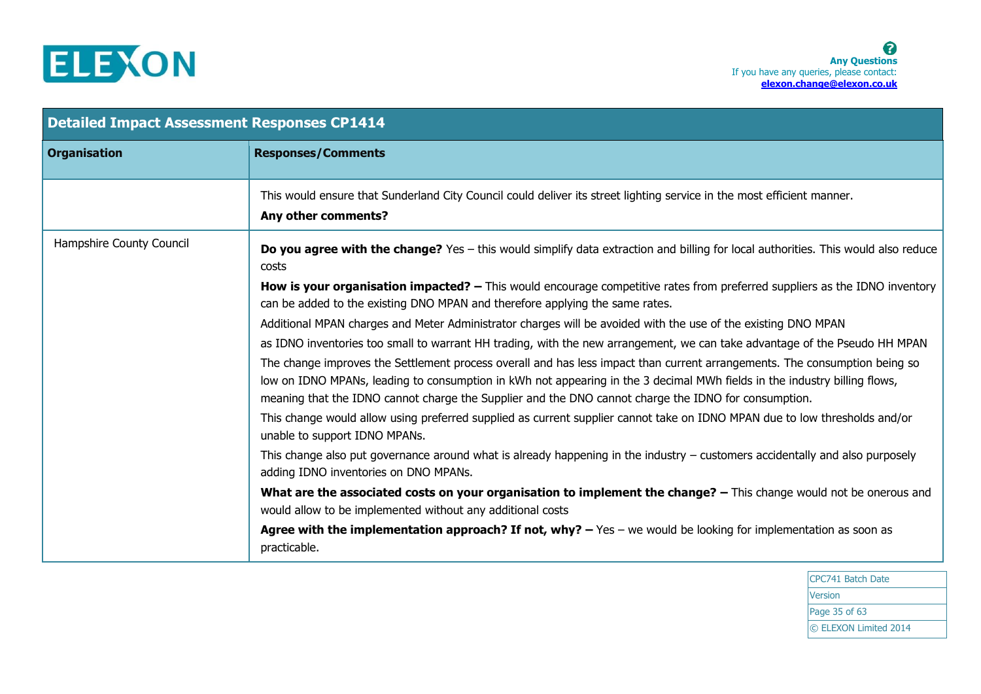

| <b>Detailed Impact Assessment Responses CP1414</b> |                                                                                                                                                                                                                                                                                                                                                                 |
|----------------------------------------------------|-----------------------------------------------------------------------------------------------------------------------------------------------------------------------------------------------------------------------------------------------------------------------------------------------------------------------------------------------------------------|
| <b>Organisation</b>                                | <b>Responses/Comments</b>                                                                                                                                                                                                                                                                                                                                       |
|                                                    | This would ensure that Sunderland City Council could deliver its street lighting service in the most efficient manner.<br>Any other comments?                                                                                                                                                                                                                   |
| Hampshire County Council                           | <b>Do you agree with the change?</b> Yes – this would simplify data extraction and billing for local authorities. This would also reduce<br>costs                                                                                                                                                                                                               |
|                                                    | <b>How is your organisation impacted?</b> – This would encourage competitive rates from preferred suppliers as the IDNO inventory<br>can be added to the existing DNO MPAN and therefore applying the same rates.                                                                                                                                               |
|                                                    | Additional MPAN charges and Meter Administrator charges will be avoided with the use of the existing DNO MPAN                                                                                                                                                                                                                                                   |
|                                                    | as IDNO inventories too small to warrant HH trading, with the new arrangement, we can take advantage of the Pseudo HH MPAN                                                                                                                                                                                                                                      |
|                                                    | The change improves the Settlement process overall and has less impact than current arrangements. The consumption being so<br>low on IDNO MPANs, leading to consumption in kWh not appearing in the 3 decimal MWh fields in the industry billing flows,<br>meaning that the IDNO cannot charge the Supplier and the DNO cannot charge the IDNO for consumption. |
|                                                    | This change would allow using preferred supplied as current supplier cannot take on IDNO MPAN due to low thresholds and/or<br>unable to support IDNO MPANs.                                                                                                                                                                                                     |
|                                                    | This change also put governance around what is already happening in the industry $-$ customers accidentally and also purposely<br>adding IDNO inventories on DNO MPANs.                                                                                                                                                                                         |
|                                                    | What are the associated costs on your organisation to implement the change? - This change would not be onerous and<br>would allow to be implemented without any additional costs                                                                                                                                                                                |
|                                                    | Agree with the implementation approach? If not, why? $-$ Yes $-$ we would be looking for implementation as soon as<br>practicable.                                                                                                                                                                                                                              |

CPC741 Batch Date Version Page 35 of 63 © ELEXON Limited 2014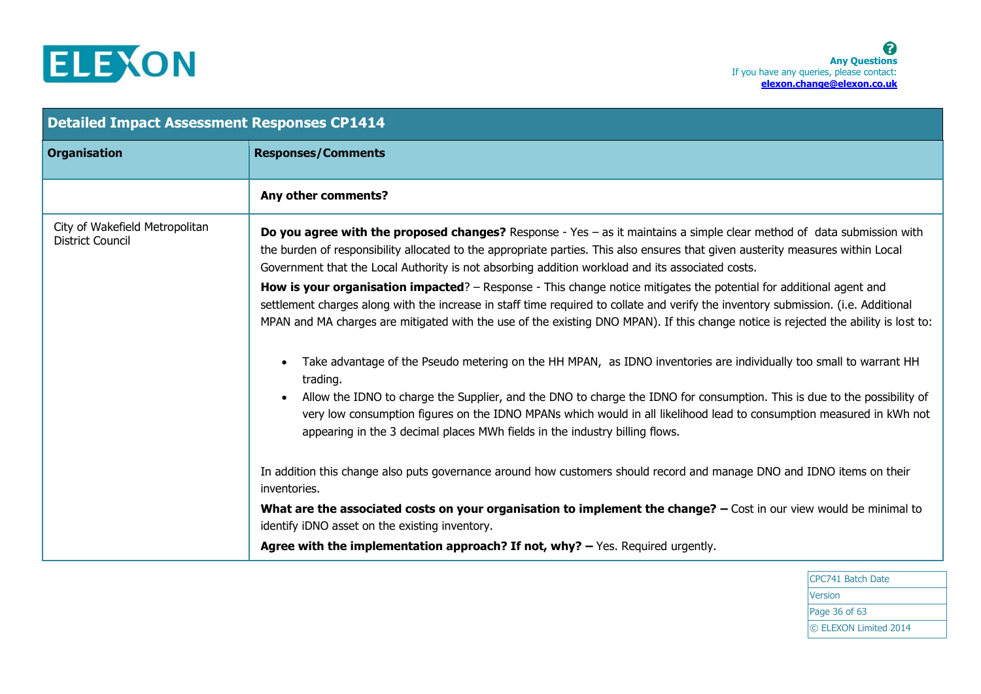

| <b>Detailed Impact Assessment Responses CP1414</b>        |                                                                                                                                                                                                                                                                                                                                                                                                                                                                                                                                                                                                                                                                                                                                                                                                                                                                                                                                                                                                                                 |
|-----------------------------------------------------------|---------------------------------------------------------------------------------------------------------------------------------------------------------------------------------------------------------------------------------------------------------------------------------------------------------------------------------------------------------------------------------------------------------------------------------------------------------------------------------------------------------------------------------------------------------------------------------------------------------------------------------------------------------------------------------------------------------------------------------------------------------------------------------------------------------------------------------------------------------------------------------------------------------------------------------------------------------------------------------------------------------------------------------|
| <b>Organisation</b>                                       | <b>Responses/Comments</b>                                                                                                                                                                                                                                                                                                                                                                                                                                                                                                                                                                                                                                                                                                                                                                                                                                                                                                                                                                                                       |
|                                                           | Any other comments?                                                                                                                                                                                                                                                                                                                                                                                                                                                                                                                                                                                                                                                                                                                                                                                                                                                                                                                                                                                                             |
| City of Wakefield Metropolitan<br><b>District Council</b> | Do you agree with the proposed changes? Response - Yes - as it maintains a simple clear method of data submission with<br>the burden of responsibility allocated to the appropriate parties. This also ensures that given austerity measures within Local<br>Government that the Local Authority is not absorbing addition workload and its associated costs.<br>How is your organisation impacted? – Response - This change notice mitigates the potential for additional agent and<br>settlement charges along with the increase in staff time required to collate and verify the inventory submission. (i.e. Additional<br>MPAN and MA charges are mitigated with the use of the existing DNO MPAN). If this change notice is rejected the ability is lost to:<br>Take advantage of the Pseudo metering on the HH MPAN, as IDNO inventories are individually too small to warrant HH<br>trading.<br>Allow the IDNO to charge the Supplier, and the DNO to charge the IDNO for consumption. This is due to the possibility of |
|                                                           | very low consumption figures on the IDNO MPANs which would in all likelihood lead to consumption measured in kWh not<br>appearing in the 3 decimal places MWh fields in the industry billing flows.<br>In addition this change also puts governance around how customers should record and manage DNO and IDNO items on their<br>inventories.<br>What are the associated costs on your organisation to implement the change? - Cost in our view would be minimal to<br>identify iDNO asset on the existing inventory.<br>Agree with the implementation approach? If not, why? - Yes. Required urgently.                                                                                                                                                                                                                                                                                                                                                                                                                         |

CPC741 Batch Date Version Page 36 of 63 © ELEXON Limited 2014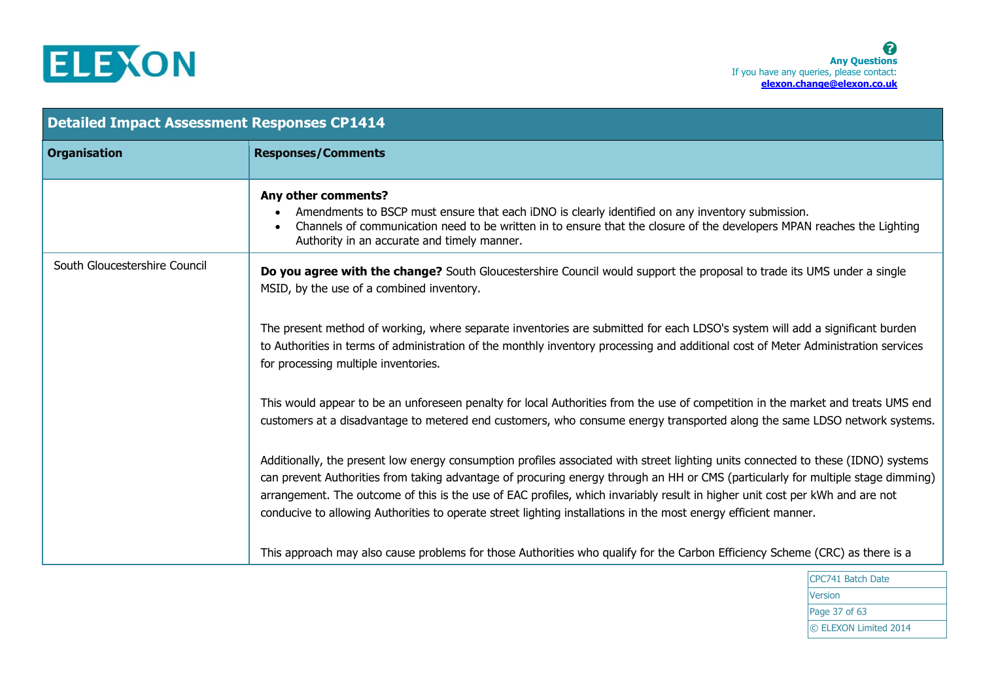

| <b>Detailed Impact Assessment Responses CP1414</b> |                                                                                                                                                                                                                                                                                                                                                                                                                                                                                                                          |
|----------------------------------------------------|--------------------------------------------------------------------------------------------------------------------------------------------------------------------------------------------------------------------------------------------------------------------------------------------------------------------------------------------------------------------------------------------------------------------------------------------------------------------------------------------------------------------------|
| <b>Organisation</b>                                | <b>Responses/Comments</b>                                                                                                                                                                                                                                                                                                                                                                                                                                                                                                |
|                                                    | Any other comments?<br>Amendments to BSCP must ensure that each iDNO is clearly identified on any inventory submission.<br>Channels of communication need to be written in to ensure that the closure of the developers MPAN reaches the Lighting<br>Authority in an accurate and timely manner.                                                                                                                                                                                                                         |
| South Gloucestershire Council                      | Do you agree with the change? South Gloucestershire Council would support the proposal to trade its UMS under a single<br>MSID, by the use of a combined inventory.                                                                                                                                                                                                                                                                                                                                                      |
|                                                    | The present method of working, where separate inventories are submitted for each LDSO's system will add a significant burden<br>to Authorities in terms of administration of the monthly inventory processing and additional cost of Meter Administration services<br>for processing multiple inventories.                                                                                                                                                                                                               |
|                                                    | This would appear to be an unforeseen penalty for local Authorities from the use of competition in the market and treats UMS end<br>customers at a disadvantage to metered end customers, who consume energy transported along the same LDSO network systems.                                                                                                                                                                                                                                                            |
|                                                    | Additionally, the present low energy consumption profiles associated with street lighting units connected to these (IDNO) systems<br>can prevent Authorities from taking advantage of procuring energy through an HH or CMS (particularly for multiple stage dimming)<br>arrangement. The outcome of this is the use of EAC profiles, which invariably result in higher unit cost per kWh and are not<br>conducive to allowing Authorities to operate street lighting installations in the most energy efficient manner. |
|                                                    | This approach may also cause problems for those Authorities who qualify for the Carbon Efficiency Scheme (CRC) as there is a                                                                                                                                                                                                                                                                                                                                                                                             |

CPC741 Batch Date **Version** Page 37 of 63 © ELEXON Limited 2014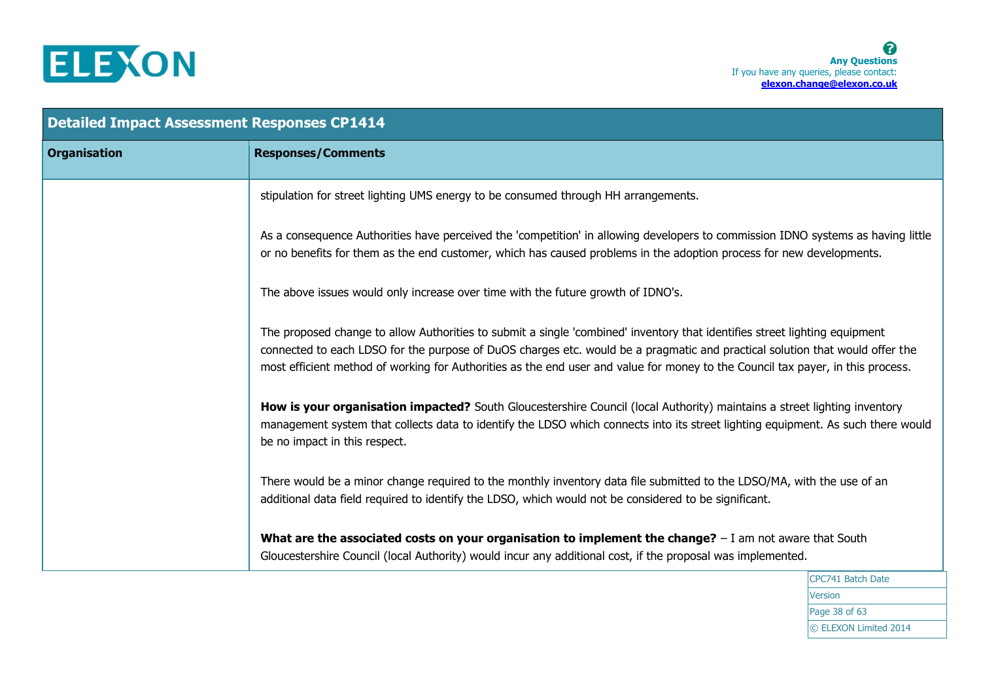

| <b>Detailed Impact Assessment Responses CP1414</b> |                                                                                                                                                                                                                                                                                                                                                                                               |
|----------------------------------------------------|-----------------------------------------------------------------------------------------------------------------------------------------------------------------------------------------------------------------------------------------------------------------------------------------------------------------------------------------------------------------------------------------------|
| <b>Organisation</b>                                | <b>Responses/Comments</b>                                                                                                                                                                                                                                                                                                                                                                     |
|                                                    | stipulation for street lighting UMS energy to be consumed through HH arrangements.                                                                                                                                                                                                                                                                                                            |
|                                                    | As a consequence Authorities have perceived the 'competition' in allowing developers to commission IDNO systems as having little<br>or no benefits for them as the end customer, which has caused problems in the adoption process for new developments.                                                                                                                                      |
|                                                    | The above issues would only increase over time with the future growth of IDNO's.                                                                                                                                                                                                                                                                                                              |
|                                                    | The proposed change to allow Authorities to submit a single 'combined' inventory that identifies street lighting equipment<br>connected to each LDSO for the purpose of DuOS charges etc. would be a pragmatic and practical solution that would offer the<br>most efficient method of working for Authorities as the end user and value for money to the Council tax payer, in this process. |
|                                                    | How is your organisation impacted? South Gloucestershire Council (local Authority) maintains a street lighting inventory<br>management system that collects data to identify the LDSO which connects into its street lighting equipment. As such there would<br>be no impact in this respect.                                                                                                 |
|                                                    | There would be a minor change required to the monthly inventory data file submitted to the LDSO/MA, with the use of an<br>additional data field required to identify the LDSO, which would not be considered to be significant.                                                                                                                                                               |
|                                                    | What are the associated costs on your organisation to implement the change? $- I$ am not aware that South<br>Gloucestershire Council (local Authority) would incur any additional cost, if the proposal was implemented.                                                                                                                                                                      |
|                                                    | CPC741 Batch Date                                                                                                                                                                                                                                                                                                                                                                             |

CPC741 Batch Date Version Page 38 of 63 © ELEXON Limited 2014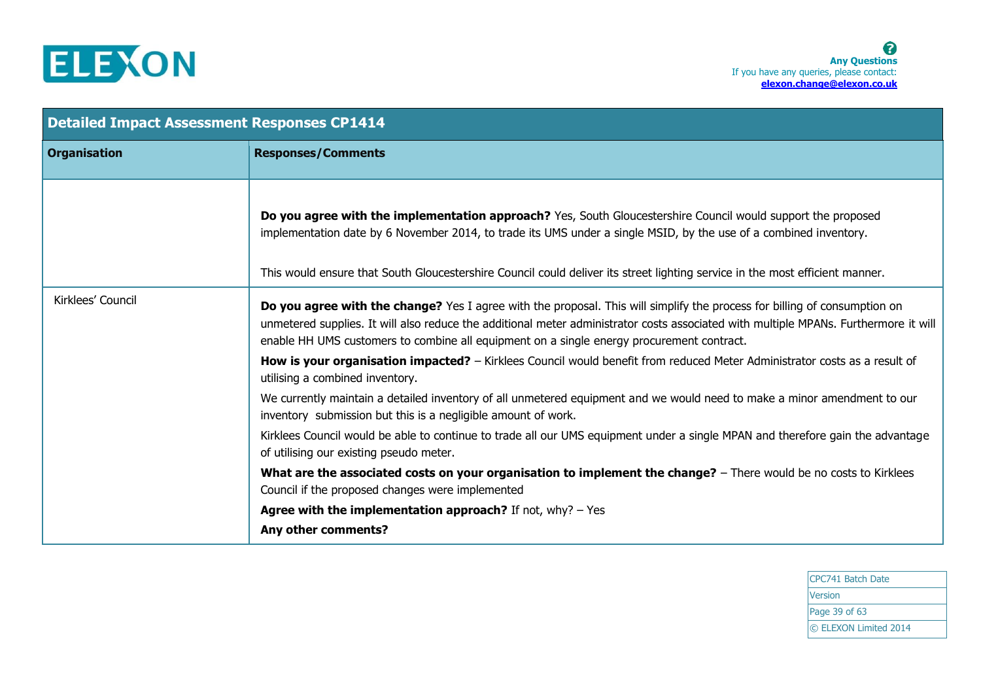

| <b>Detailed Impact Assessment Responses CP1414</b> |                                                                                                                                                                                                                                                                                                                                                                   |
|----------------------------------------------------|-------------------------------------------------------------------------------------------------------------------------------------------------------------------------------------------------------------------------------------------------------------------------------------------------------------------------------------------------------------------|
| <b>Organisation</b>                                | <b>Responses/Comments</b>                                                                                                                                                                                                                                                                                                                                         |
|                                                    | Do you agree with the implementation approach? Yes, South Gloucestershire Council would support the proposed<br>implementation date by 6 November 2014, to trade its UMS under a single MSID, by the use of a combined inventory.<br>This would ensure that South Gloucestershire Council could deliver its street lighting service in the most efficient manner. |
| Kirklees' Council                                  | Do you agree with the change? Yes I agree with the proposal. This will simplify the process for billing of consumption on<br>unmetered supplies. It will also reduce the additional meter administrator costs associated with multiple MPANs. Furthermore it will<br>enable HH UMS customers to combine all equipment on a single energy procurement contract.    |
|                                                    | How is your organisation impacted? - Kirklees Council would benefit from reduced Meter Administrator costs as a result of<br>utilising a combined inventory.                                                                                                                                                                                                      |
|                                                    | We currently maintain a detailed inventory of all unmetered equipment and we would need to make a minor amendment to our<br>inventory submission but this is a negligible amount of work.                                                                                                                                                                         |
|                                                    | Kirklees Council would be able to continue to trade all our UMS equipment under a single MPAN and therefore gain the advantage<br>of utilising our existing pseudo meter.                                                                                                                                                                                         |
|                                                    | What are the associated costs on your organisation to implement the change? - There would be no costs to Kirklees<br>Council if the proposed changes were implemented                                                                                                                                                                                             |
|                                                    | Agree with the implementation approach? If not, $why? - Yes$<br>Any other comments?                                                                                                                                                                                                                                                                               |

CPC741 Batch Date Version Page 39 of 63 © ELEXON Limited 2014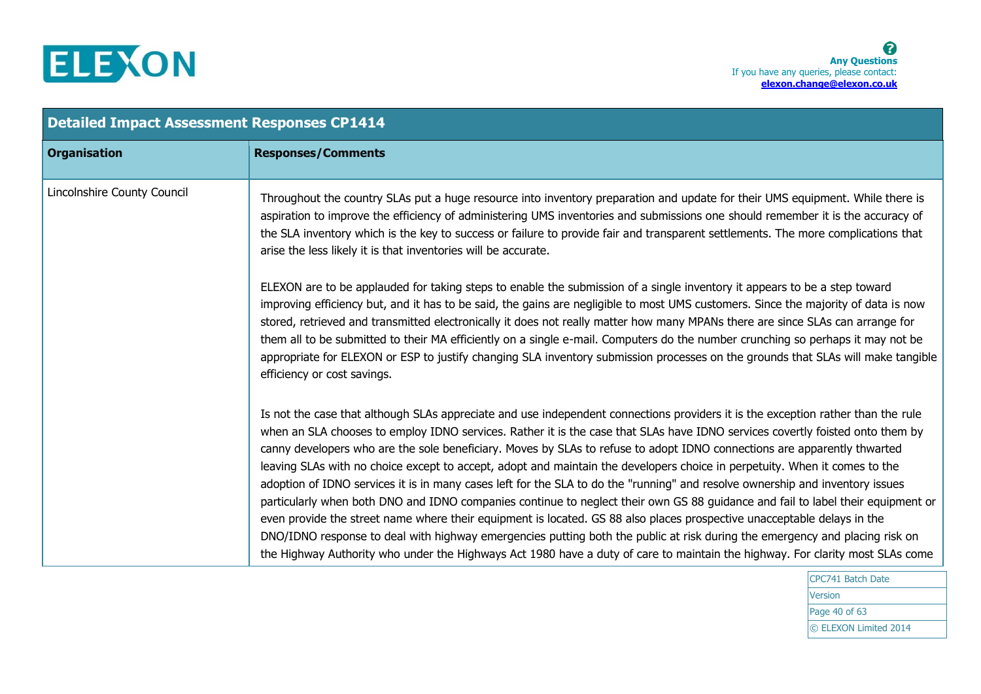

| <b>Detailed Impact Assessment Responses CP1414</b> |                                                                                                                                                                                                                                                                                                                                                                                                                                                                                                                                                                                                                                                                                                                                                                                                                                                                                                                                                                                                                                                                                                                                                                                            |  |
|----------------------------------------------------|--------------------------------------------------------------------------------------------------------------------------------------------------------------------------------------------------------------------------------------------------------------------------------------------------------------------------------------------------------------------------------------------------------------------------------------------------------------------------------------------------------------------------------------------------------------------------------------------------------------------------------------------------------------------------------------------------------------------------------------------------------------------------------------------------------------------------------------------------------------------------------------------------------------------------------------------------------------------------------------------------------------------------------------------------------------------------------------------------------------------------------------------------------------------------------------------|--|
| <b>Organisation</b>                                | <b>Responses/Comments</b>                                                                                                                                                                                                                                                                                                                                                                                                                                                                                                                                                                                                                                                                                                                                                                                                                                                                                                                                                                                                                                                                                                                                                                  |  |
| Lincolnshire County Council                        | Throughout the country SLAs put a huge resource into inventory preparation and update for their UMS equipment. While there is<br>aspiration to improve the efficiency of administering UMS inventories and submissions one should remember it is the accuracy of<br>the SLA inventory which is the key to success or failure to provide fair and transparent settlements. The more complications that<br>arise the less likely it is that inventories will be accurate.                                                                                                                                                                                                                                                                                                                                                                                                                                                                                                                                                                                                                                                                                                                    |  |
|                                                    | ELEXON are to be applauded for taking steps to enable the submission of a single inventory it appears to be a step toward<br>improving efficiency but, and it has to be said, the gains are negligible to most UMS customers. Since the majority of data is now<br>stored, retrieved and transmitted electronically it does not really matter how many MPANs there are since SLAs can arrange for<br>them all to be submitted to their MA efficiently on a single e-mail. Computers do the number crunching so perhaps it may not be<br>appropriate for ELEXON or ESP to justify changing SLA inventory submission processes on the grounds that SLAs will make tangible<br>efficiency or cost savings.                                                                                                                                                                                                                                                                                                                                                                                                                                                                                    |  |
|                                                    | Is not the case that although SLAs appreciate and use independent connections providers it is the exception rather than the rule<br>when an SLA chooses to employ IDNO services. Rather it is the case that SLAs have IDNO services covertly foisted onto them by<br>canny developers who are the sole beneficiary. Moves by SLAs to refuse to adopt IDNO connections are apparently thwarted<br>leaving SLAs with no choice except to accept, adopt and maintain the developers choice in perpetuity. When it comes to the<br>adoption of IDNO services it is in many cases left for the SLA to do the "running" and resolve ownership and inventory issues<br>particularly when both DNO and IDNO companies continue to neglect their own GS 88 guidance and fail to label their equipment or<br>even provide the street name where their equipment is located. GS 88 also places prospective unacceptable delays in the<br>DNO/IDNO response to deal with highway emergencies putting both the public at risk during the emergency and placing risk on<br>the Highway Authority who under the Highways Act 1980 have a duty of care to maintain the highway. For clarity most SLAs come |  |

CPC741 Batch Date **Version** Page 40 of 63 © ELEXON Limited 2014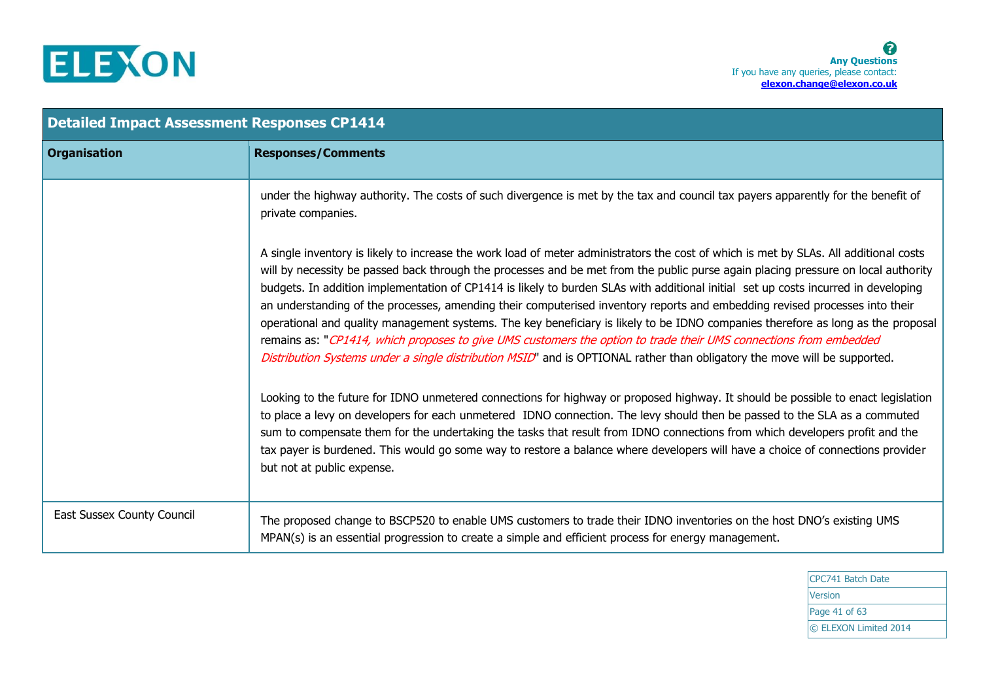

| <b>Detailed Impact Assessment Responses CP1414</b> |                                                                                                                                                                                                                                                                                                                                                                                                                                                                                                                                                                                                                                                                                                                                                                                                                                                                                                                                       |
|----------------------------------------------------|---------------------------------------------------------------------------------------------------------------------------------------------------------------------------------------------------------------------------------------------------------------------------------------------------------------------------------------------------------------------------------------------------------------------------------------------------------------------------------------------------------------------------------------------------------------------------------------------------------------------------------------------------------------------------------------------------------------------------------------------------------------------------------------------------------------------------------------------------------------------------------------------------------------------------------------|
| <b>Organisation</b>                                | <b>Responses/Comments</b>                                                                                                                                                                                                                                                                                                                                                                                                                                                                                                                                                                                                                                                                                                                                                                                                                                                                                                             |
|                                                    | under the highway authority. The costs of such divergence is met by the tax and council tax payers apparently for the benefit of<br>private companies.                                                                                                                                                                                                                                                                                                                                                                                                                                                                                                                                                                                                                                                                                                                                                                                |
|                                                    | A single inventory is likely to increase the work load of meter administrators the cost of which is met by SLAs. All additional costs<br>will by necessity be passed back through the processes and be met from the public purse again placing pressure on local authority<br>budgets. In addition implementation of CP1414 is likely to burden SLAs with additional initial set up costs incurred in developing<br>an understanding of the processes, amending their computerised inventory reports and embedding revised processes into their<br>operational and quality management systems. The key beneficiary is likely to be IDNO companies therefore as long as the proposal<br>remains as: "CP1414, which proposes to give UMS customers the option to trade their UMS connections from embedded<br>Distribution Systems under a single distribution MSID" and is OPTIONAL rather than obligatory the move will be supported. |
|                                                    | Looking to the future for IDNO unmetered connections for highway or proposed highway. It should be possible to enact legislation<br>to place a levy on developers for each unmetered IDNO connection. The levy should then be passed to the SLA as a commuted<br>sum to compensate them for the undertaking the tasks that result from IDNO connections from which developers profit and the<br>tax payer is burdened. This would go some way to restore a balance where developers will have a choice of connections provider<br>but not at public expense.                                                                                                                                                                                                                                                                                                                                                                          |
| East Sussex County Council                         | The proposed change to BSCP520 to enable UMS customers to trade their IDNO inventories on the host DNO's existing UMS<br>MPAN(s) is an essential progression to create a simple and efficient process for energy management.                                                                                                                                                                                                                                                                                                                                                                                                                                                                                                                                                                                                                                                                                                          |

CPC741 Batch Date Version Page 41 of 63 © ELEXON Limited 2014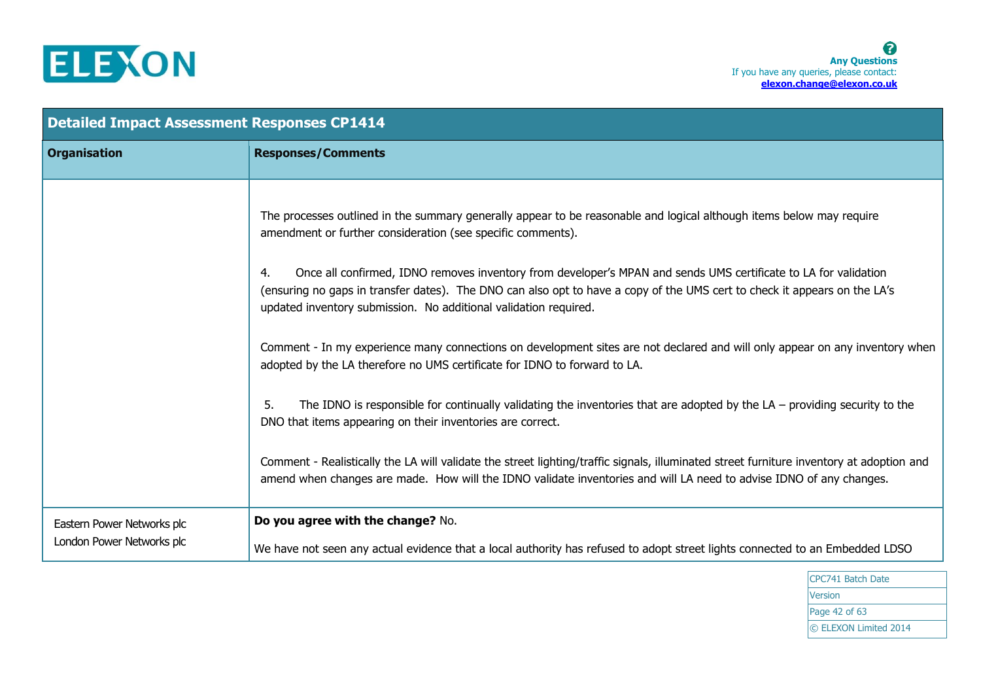

| <b>Detailed Impact Assessment Responses CP1414</b>      |                                                                                                                                                                                                                                                                                                                                                                                                                                                                                                                                                                                                                                                                                                                                                                                                                                                                                                                                                                                                                                                                                                                                                                                                  |
|---------------------------------------------------------|--------------------------------------------------------------------------------------------------------------------------------------------------------------------------------------------------------------------------------------------------------------------------------------------------------------------------------------------------------------------------------------------------------------------------------------------------------------------------------------------------------------------------------------------------------------------------------------------------------------------------------------------------------------------------------------------------------------------------------------------------------------------------------------------------------------------------------------------------------------------------------------------------------------------------------------------------------------------------------------------------------------------------------------------------------------------------------------------------------------------------------------------------------------------------------------------------|
| <b>Organisation</b>                                     | <b>Responses/Comments</b>                                                                                                                                                                                                                                                                                                                                                                                                                                                                                                                                                                                                                                                                                                                                                                                                                                                                                                                                                                                                                                                                                                                                                                        |
|                                                         | The processes outlined in the summary generally appear to be reasonable and logical although items below may require<br>amendment or further consideration (see specific comments).<br>Once all confirmed, IDNO removes inventory from developer's MPAN and sends UMS certificate to LA for validation<br>4.<br>(ensuring no gaps in transfer dates). The DNO can also opt to have a copy of the UMS cert to check it appears on the LA's<br>updated inventory submission. No additional validation required.<br>Comment - In my experience many connections on development sites are not declared and will only appear on any inventory when<br>adopted by the LA therefore no UMS certificate for IDNO to forward to LA.<br>The IDNO is responsible for continually validating the inventories that are adopted by the $LA$ - providing security to the<br>5.<br>DNO that items appearing on their inventories are correct.<br>Comment - Realistically the LA will validate the street lighting/traffic signals, illuminated street furniture inventory at adoption and<br>amend when changes are made. How will the IDNO validate inventories and will LA need to advise IDNO of any changes. |
| Eastern Power Networks plc<br>London Power Networks plc | Do you agree with the change? No.<br>We have not seen any actual evidence that a local authority has refused to adopt street lights connected to an Embedded LDSO                                                                                                                                                                                                                                                                                                                                                                                                                                                                                                                                                                                                                                                                                                                                                                                                                                                                                                                                                                                                                                |

CPC741 Batch Date Version Page 42 of 63 © ELEXON Limited 2014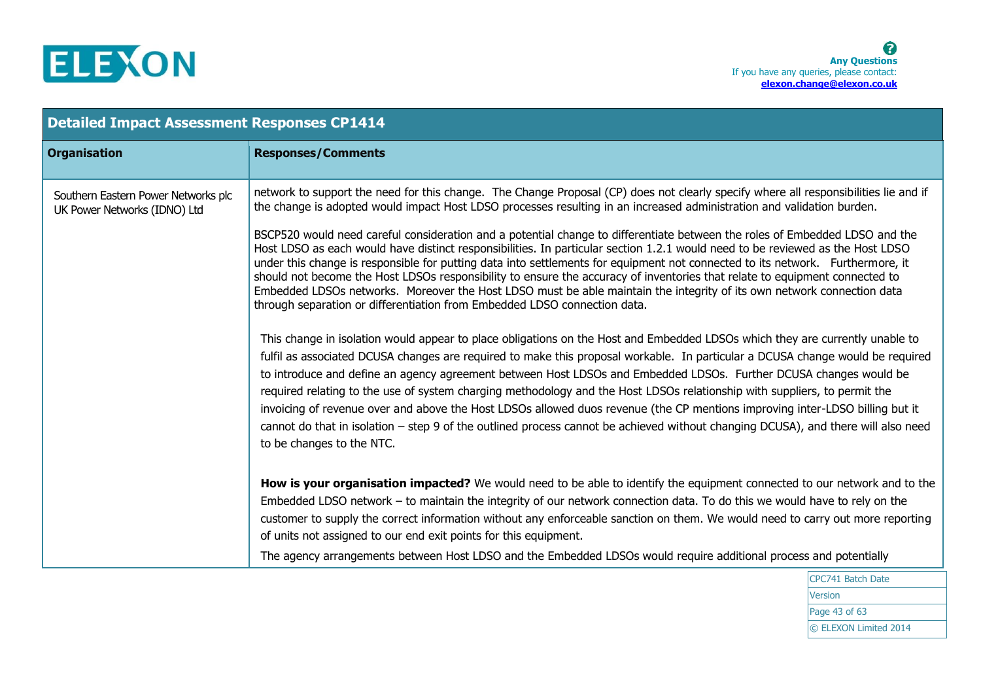

| <b>Detailed Impact Assessment Responses CP1414</b>                  |                                                                                                                                                                                                                                                                                                                                                                                                                                                                                                                                                                                                                                                                                                                                                                                                                    |  |
|---------------------------------------------------------------------|--------------------------------------------------------------------------------------------------------------------------------------------------------------------------------------------------------------------------------------------------------------------------------------------------------------------------------------------------------------------------------------------------------------------------------------------------------------------------------------------------------------------------------------------------------------------------------------------------------------------------------------------------------------------------------------------------------------------------------------------------------------------------------------------------------------------|--|
| <b>Organisation</b>                                                 | <b>Responses/Comments</b>                                                                                                                                                                                                                                                                                                                                                                                                                                                                                                                                                                                                                                                                                                                                                                                          |  |
| Southern Eastern Power Networks plc<br>UK Power Networks (IDNO) Ltd | network to support the need for this change. The Change Proposal (CP) does not clearly specify where all responsibilities lie and if<br>the change is adopted would impact Host LDSO processes resulting in an increased administration and validation burden.                                                                                                                                                                                                                                                                                                                                                                                                                                                                                                                                                     |  |
|                                                                     | BSCP520 would need careful consideration and a potential change to differentiate between the roles of Embedded LDSO and the<br>Host LDSO as each would have distinct responsibilities. In particular section 1.2.1 would need to be reviewed as the Host LDSO<br>under this change is responsible for putting data into settlements for equipment not connected to its network. Furthermore, it<br>should not become the Host LDSOs responsibility to ensure the accuracy of inventories that relate to equipment connected to<br>Embedded LDSOs networks. Moreover the Host LDSO must be able maintain the integrity of its own network connection data<br>through separation or differentiation from Embedded LDSO connection data.                                                                              |  |
|                                                                     | This change in isolation would appear to place obligations on the Host and Embedded LDSOs which they are currently unable to<br>fulfil as associated DCUSA changes are required to make this proposal workable. In particular a DCUSA change would be required<br>to introduce and define an agency agreement between Host LDSOs and Embedded LDSOs. Further DCUSA changes would be<br>required relating to the use of system charging methodology and the Host LDSOs relationship with suppliers, to permit the<br>invoicing of revenue over and above the Host LDSOs allowed duos revenue (the CP mentions improving inter-LDSO billing but it<br>cannot do that in isolation – step 9 of the outlined process cannot be achieved without changing DCUSA), and there will also need<br>to be changes to the NTC. |  |
|                                                                     | How is your organisation impacted? We would need to be able to identify the equipment connected to our network and to the<br>Embedded LDSO network - to maintain the integrity of our network connection data. To do this we would have to rely on the<br>customer to supply the correct information without any enforceable sanction on them. We would need to carry out more reporting<br>of units not assigned to our end exit points for this equipment.                                                                                                                                                                                                                                                                                                                                                       |  |
|                                                                     | The agency arrangements between Host LDSO and the Embedded LDSOs would require additional process and potentially                                                                                                                                                                                                                                                                                                                                                                                                                                                                                                                                                                                                                                                                                                  |  |

CPC741 Batch Date Version Page 43 of 63 © ELEXON Limited 2014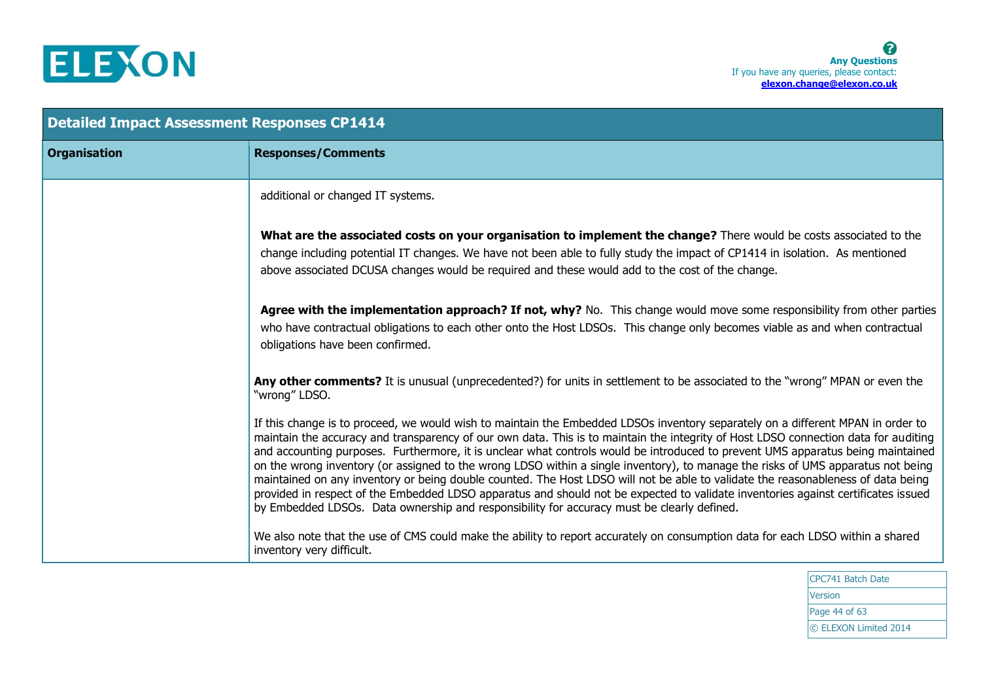

| <b>Detailed Impact Assessment Responses CP1414</b> |                                                                                                                                                                                                                                                                                                                                                                                                                                                                                                                                                                                                                                                                                                                                                                                                                                                                                                                      |
|----------------------------------------------------|----------------------------------------------------------------------------------------------------------------------------------------------------------------------------------------------------------------------------------------------------------------------------------------------------------------------------------------------------------------------------------------------------------------------------------------------------------------------------------------------------------------------------------------------------------------------------------------------------------------------------------------------------------------------------------------------------------------------------------------------------------------------------------------------------------------------------------------------------------------------------------------------------------------------|
| <b>Organisation</b>                                | <b>Responses/Comments</b>                                                                                                                                                                                                                                                                                                                                                                                                                                                                                                                                                                                                                                                                                                                                                                                                                                                                                            |
|                                                    | additional or changed IT systems.                                                                                                                                                                                                                                                                                                                                                                                                                                                                                                                                                                                                                                                                                                                                                                                                                                                                                    |
|                                                    | What are the associated costs on your organisation to implement the change? There would be costs associated to the<br>change including potential IT changes. We have not been able to fully study the impact of CP1414 in isolation. As mentioned<br>above associated DCUSA changes would be required and these would add to the cost of the change.                                                                                                                                                                                                                                                                                                                                                                                                                                                                                                                                                                 |
|                                                    | Agree with the implementation approach? If not, why? No. This change would move some responsibility from other parties<br>who have contractual obligations to each other onto the Host LDSOs. This change only becomes viable as and when contractual<br>obligations have been confirmed.                                                                                                                                                                                                                                                                                                                                                                                                                                                                                                                                                                                                                            |
|                                                    | Any other comments? It is unusual (unprecedented?) for units in settlement to be associated to the "wrong" MPAN or even the<br>"wrong" LDSO.                                                                                                                                                                                                                                                                                                                                                                                                                                                                                                                                                                                                                                                                                                                                                                         |
|                                                    | If this change is to proceed, we would wish to maintain the Embedded LDSOs inventory separately on a different MPAN in order to<br>maintain the accuracy and transparency of our own data. This is to maintain the integrity of Host LDSO connection data for auditing<br>and accounting purposes. Furthermore, it is unclear what controls would be introduced to prevent UMS apparatus being maintained<br>on the wrong inventory (or assigned to the wrong LDSO within a single inventory), to manage the risks of UMS apparatus not being<br>maintained on any inventory or being double counted. The Host LDSO will not be able to validate the reasonableness of data being<br>provided in respect of the Embedded LDSO apparatus and should not be expected to validate inventories against certificates issued<br>by Embedded LDSOs. Data ownership and responsibility for accuracy must be clearly defined. |
|                                                    | We also note that the use of CMS could make the ability to report accurately on consumption data for each LDSO within a shared<br>inventory very difficult.                                                                                                                                                                                                                                                                                                                                                                                                                                                                                                                                                                                                                                                                                                                                                          |

CPC741 Batch Date Version Page 44 of 63 © ELEXON Limited 2014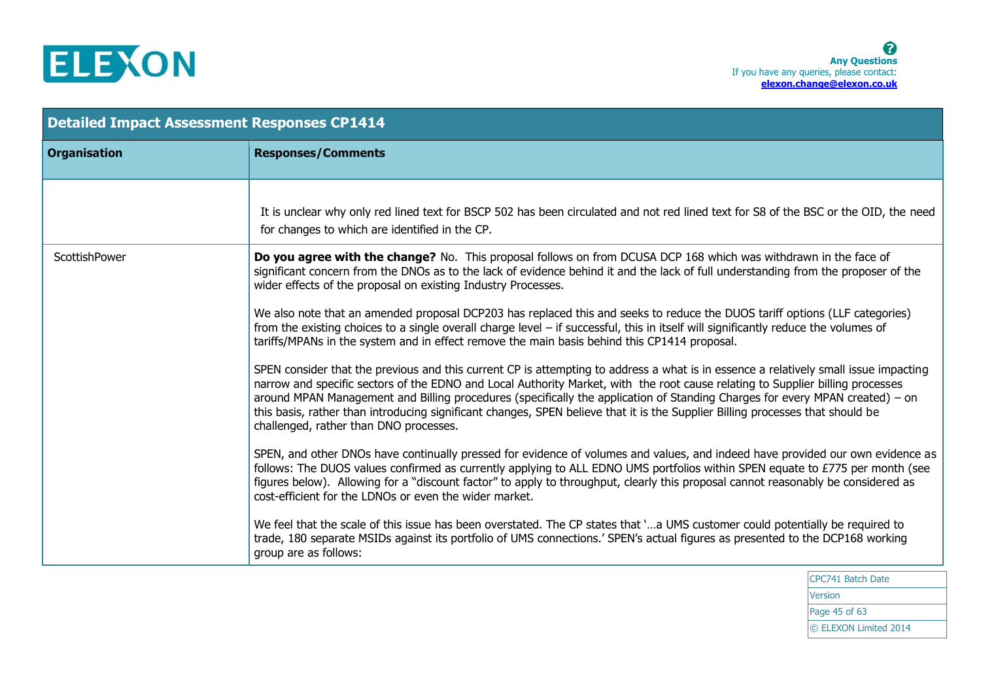

| <b>Organisation</b><br><b>Responses/Comments</b><br>It is unclear why only red lined text for BSCP 502 has been circulated and not red lined text for S8 of the BSC or the OID, the need<br>for changes to which are identified in the CP.<br><b>ScottishPower</b><br>Do you agree with the change? No. This proposal follows on from DCUSA DCP 168 which was withdrawn in the face of<br>significant concern from the DNOs as to the lack of evidence behind it and the lack of full understanding from the proposer of the<br>wider effects of the proposal on existing Industry Processes. |  |
|-----------------------------------------------------------------------------------------------------------------------------------------------------------------------------------------------------------------------------------------------------------------------------------------------------------------------------------------------------------------------------------------------------------------------------------------------------------------------------------------------------------------------------------------------------------------------------------------------|--|
|                                                                                                                                                                                                                                                                                                                                                                                                                                                                                                                                                                                               |  |
|                                                                                                                                                                                                                                                                                                                                                                                                                                                                                                                                                                                               |  |
|                                                                                                                                                                                                                                                                                                                                                                                                                                                                                                                                                                                               |  |
| We also note that an amended proposal DCP203 has replaced this and seeks to reduce the DUOS tariff options (LLF categories)<br>from the existing choices to a single overall charge level $-$ if successful, this in itself will significantly reduce the volumes of<br>tariffs/MPANs in the system and in effect remove the main basis behind this CP1414 proposal.                                                                                                                                                                                                                          |  |
| SPEN consider that the previous and this current CP is attempting to address a what is in essence a relatively small issue impacting<br>narrow and specific sectors of the EDNO and Local Authority Market, with the root cause relating to Supplier billing processes<br>around MPAN Management and Billing procedures (specifically the application of Standing Charges for every MPAN created) - on<br>this basis, rather than introducing significant changes, SPEN believe that it is the Supplier Billing processes that should be<br>challenged, rather than DNO processes.            |  |
| SPEN, and other DNOs have continually pressed for evidence of volumes and values, and indeed have provided our own evidence as<br>follows: The DUOS values confirmed as currently applying to ALL EDNO UMS portfolios within SPEN equate to £775 per month (see<br>figures below). Allowing for a "discount factor" to apply to throughput, clearly this proposal cannot reasonably be considered as<br>cost-efficient for the LDNOs or even the wider market.                                                                                                                                |  |
| We feel that the scale of this issue has been overstated. The CP states that 'a UMS customer could potentially be required to<br>trade, 180 separate MSIDs against its portfolio of UMS connections.' SPEN's actual figures as presented to the DCP168 working<br>group are as follows:                                                                                                                                                                                                                                                                                                       |  |

CPC741 Batch Date **Version** Page 45 of 63 © ELEXON Limited 2014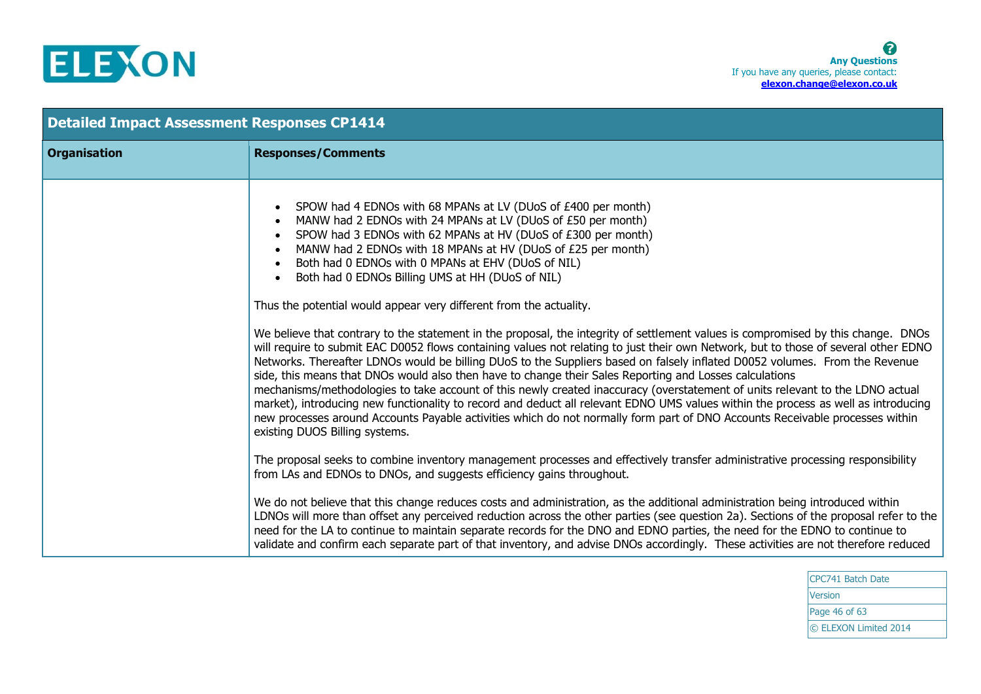

| <b>Detailed Impact Assessment Responses CP1414</b> |                                                                                                                                                                                                                                                                                                                                                                                                                                                                                                                                                                                                                                                                                                                                                                                                                                                                                                                                                                                                                                                                                                                                                                                                                                                                                                                                                                                                                                                                                             |
|----------------------------------------------------|---------------------------------------------------------------------------------------------------------------------------------------------------------------------------------------------------------------------------------------------------------------------------------------------------------------------------------------------------------------------------------------------------------------------------------------------------------------------------------------------------------------------------------------------------------------------------------------------------------------------------------------------------------------------------------------------------------------------------------------------------------------------------------------------------------------------------------------------------------------------------------------------------------------------------------------------------------------------------------------------------------------------------------------------------------------------------------------------------------------------------------------------------------------------------------------------------------------------------------------------------------------------------------------------------------------------------------------------------------------------------------------------------------------------------------------------------------------------------------------------|
| <b>Organisation</b>                                | <b>Responses/Comments</b>                                                                                                                                                                                                                                                                                                                                                                                                                                                                                                                                                                                                                                                                                                                                                                                                                                                                                                                                                                                                                                                                                                                                                                                                                                                                                                                                                                                                                                                                   |
|                                                    | SPOW had 4 EDNOs with 68 MPANs at LV (DUoS of £400 per month)<br>$\bullet$<br>MANW had 2 EDNOs with 24 MPANs at LV (DUoS of £50 per month)<br>$\bullet$<br>SPOW had 3 EDNOs with 62 MPANs at HV (DUoS of £300 per month)<br>$\bullet$<br>MANW had 2 EDNOs with 18 MPANs at HV (DUoS of £25 per month)<br>$\bullet$<br>Both had 0 EDNOs with 0 MPANs at EHV (DUoS of NIL)<br>$\bullet$<br>Both had 0 EDNOs Billing UMS at HH (DUoS of NIL)<br>$\bullet$<br>Thus the potential would appear very different from the actuality.<br>We believe that contrary to the statement in the proposal, the integrity of settlement values is compromised by this change. DNOs<br>will require to submit EAC D0052 flows containing values not relating to just their own Network, but to those of several other EDNO<br>Networks. Thereafter LDNOs would be billing DUoS to the Suppliers based on falsely inflated D0052 volumes. From the Revenue<br>side, this means that DNOs would also then have to change their Sales Reporting and Losses calculations<br>mechanisms/methodologies to take account of this newly created inaccuracy (overstatement of units relevant to the LDNO actual<br>market), introducing new functionality to record and deduct all relevant EDNO UMS values within the process as well as introducing<br>new processes around Accounts Payable activities which do not normally form part of DNO Accounts Receivable processes within<br>existing DUOS Billing systems. |
|                                                    | The proposal seeks to combine inventory management processes and effectively transfer administrative processing responsibility<br>from LAs and EDNOs to DNOs, and suggests efficiency gains throughout.                                                                                                                                                                                                                                                                                                                                                                                                                                                                                                                                                                                                                                                                                                                                                                                                                                                                                                                                                                                                                                                                                                                                                                                                                                                                                     |
|                                                    | We do not believe that this change reduces costs and administration, as the additional administration being introduced within<br>LDNOs will more than offset any perceived reduction across the other parties (see question 2a). Sections of the proposal refer to the<br>need for the LA to continue to maintain separate records for the DNO and EDNO parties, the need for the EDNO to continue to<br>validate and confirm each separate part of that inventory, and advise DNOs accordingly. These activities are not therefore reduced                                                                                                                                                                                                                                                                                                                                                                                                                                                                                                                                                                                                                                                                                                                                                                                                                                                                                                                                                 |

CPC741 Batch Date Version Page 46 of 63 © ELEXON Limited 2014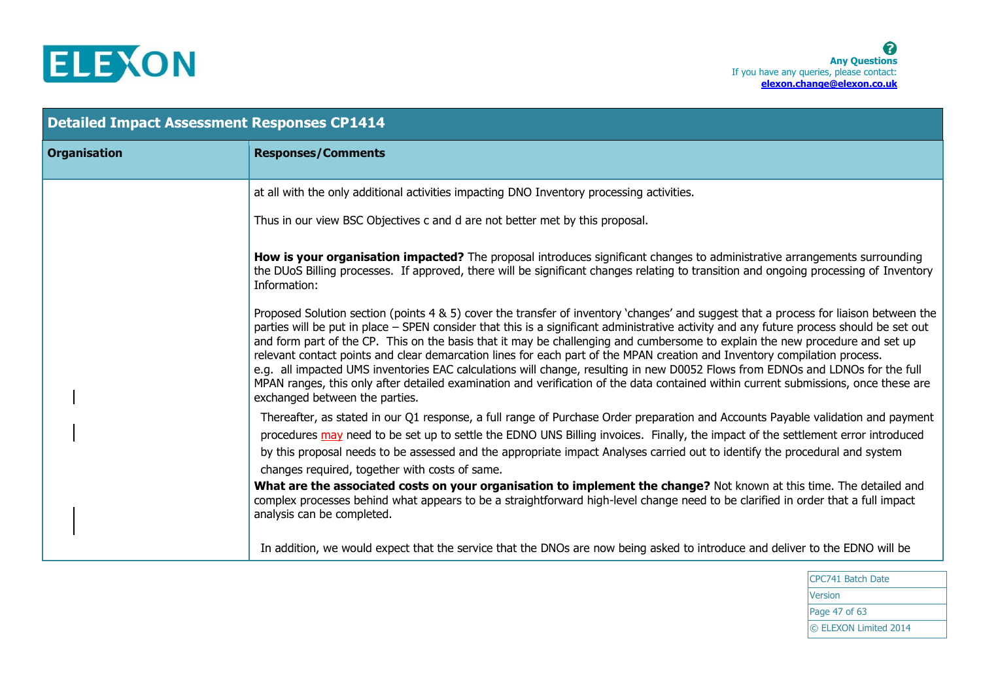

| <b>Detailed Impact Assessment Responses CP1414</b> |                                                                                                                                                                                                                                                                                                                                                                                                                                                                                                                                                                                                                                                                                                                                                                                                                                                           |
|----------------------------------------------------|-----------------------------------------------------------------------------------------------------------------------------------------------------------------------------------------------------------------------------------------------------------------------------------------------------------------------------------------------------------------------------------------------------------------------------------------------------------------------------------------------------------------------------------------------------------------------------------------------------------------------------------------------------------------------------------------------------------------------------------------------------------------------------------------------------------------------------------------------------------|
| <b>Organisation</b>                                | <b>Responses/Comments</b>                                                                                                                                                                                                                                                                                                                                                                                                                                                                                                                                                                                                                                                                                                                                                                                                                                 |
|                                                    | at all with the only additional activities impacting DNO Inventory processing activities.                                                                                                                                                                                                                                                                                                                                                                                                                                                                                                                                                                                                                                                                                                                                                                 |
|                                                    | Thus in our view BSC Objectives c and d are not better met by this proposal.                                                                                                                                                                                                                                                                                                                                                                                                                                                                                                                                                                                                                                                                                                                                                                              |
|                                                    | How is your organisation impacted? The proposal introduces significant changes to administrative arrangements surrounding<br>the DUoS Billing processes. If approved, there will be significant changes relating to transition and ongoing processing of Inventory<br>Information:                                                                                                                                                                                                                                                                                                                                                                                                                                                                                                                                                                        |
|                                                    | Proposed Solution section (points 4 & 5) cover the transfer of inventory 'changes' and suggest that a process for liaison between the<br>parties will be put in place - SPEN consider that this is a significant administrative activity and any future process should be set out<br>and form part of the CP. This on the basis that it may be challenging and cumbersome to explain the new procedure and set up<br>relevant contact points and clear demarcation lines for each part of the MPAN creation and Inventory compilation process.<br>e.g. all impacted UMS inventories EAC calculations will change, resulting in new D0052 Flows from EDNOs and LDNOs for the full<br>MPAN ranges, this only after detailed examination and verification of the data contained within current submissions, once these are<br>exchanged between the parties. |
|                                                    | Thereafter, as stated in our Q1 response, a full range of Purchase Order preparation and Accounts Payable validation and payment<br>procedures may need to be set up to settle the EDNO UNS Billing invoices. Finally, the impact of the settlement error introduced<br>by this proposal needs to be assessed and the appropriate impact Analyses carried out to identify the procedural and system<br>changes required, together with costs of same.                                                                                                                                                                                                                                                                                                                                                                                                     |
|                                                    | What are the associated costs on your organisation to implement the change? Not known at this time. The detailed and<br>complex processes behind what appears to be a straightforward high-level change need to be clarified in order that a full impact<br>analysis can be completed.                                                                                                                                                                                                                                                                                                                                                                                                                                                                                                                                                                    |
|                                                    | In addition, we would expect that the service that the DNOs are now being asked to introduce and deliver to the EDNO will be                                                                                                                                                                                                                                                                                                                                                                                                                                                                                                                                                                                                                                                                                                                              |

CPC741 Batch Date Version Page 47 of 63 © ELEXON Limited 2014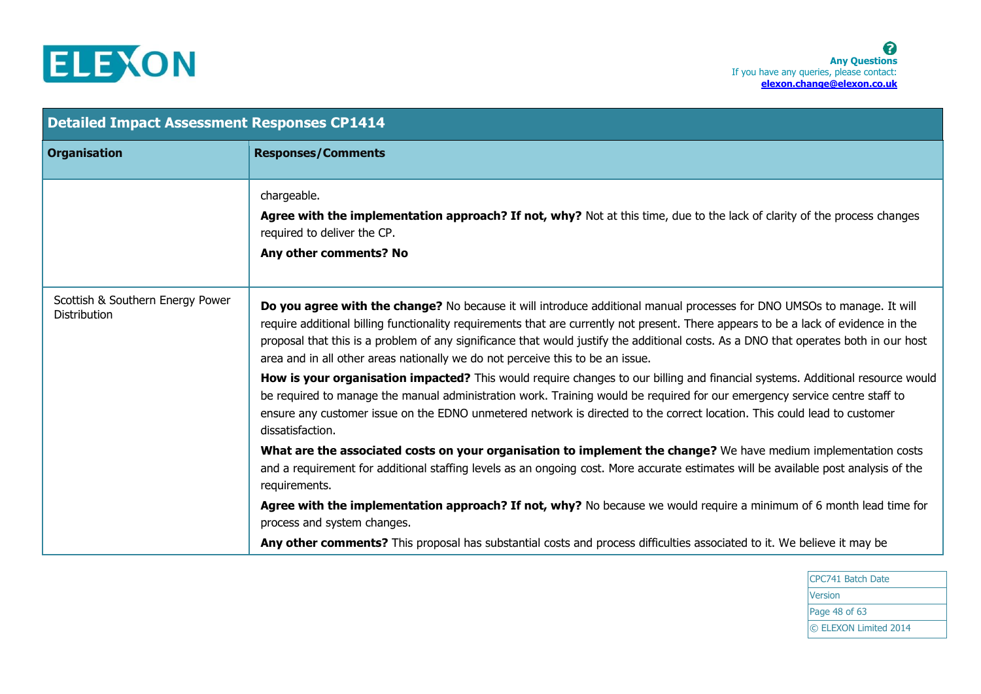

| <b>Detailed Impact Assessment Responses CP1414</b>      |                                                                                                                                                                                                                                                                                                                                                                                                                                                                                          |
|---------------------------------------------------------|------------------------------------------------------------------------------------------------------------------------------------------------------------------------------------------------------------------------------------------------------------------------------------------------------------------------------------------------------------------------------------------------------------------------------------------------------------------------------------------|
| <b>Organisation</b>                                     | <b>Responses/Comments</b>                                                                                                                                                                                                                                                                                                                                                                                                                                                                |
|                                                         | chargeable.<br>Agree with the implementation approach? If not, why? Not at this time, due to the lack of clarity of the process changes<br>required to deliver the CP.<br>Any other comments? No                                                                                                                                                                                                                                                                                         |
| Scottish & Southern Energy Power<br><b>Distribution</b> | Do you agree with the change? No because it will introduce additional manual processes for DNO UMSOs to manage. It will<br>require additional billing functionality requirements that are currently not present. There appears to be a lack of evidence in the<br>proposal that this is a problem of any significance that would justify the additional costs. As a DNO that operates both in our host<br>area and in all other areas nationally we do not perceive this to be an issue. |
|                                                         | How is your organisation impacted? This would require changes to our billing and financial systems. Additional resource would<br>be required to manage the manual administration work. Training would be required for our emergency service centre staff to<br>ensure any customer issue on the EDNO unmetered network is directed to the correct location. This could lead to customer<br>dissatisfaction.                                                                              |
|                                                         | What are the associated costs on your organisation to implement the change? We have medium implementation costs<br>and a requirement for additional staffing levels as an ongoing cost. More accurate estimates will be available post analysis of the<br>requirements.                                                                                                                                                                                                                  |
|                                                         | Agree with the implementation approach? If not, why? No because we would require a minimum of 6 month lead time for<br>process and system changes.                                                                                                                                                                                                                                                                                                                                       |
|                                                         | Any other comments? This proposal has substantial costs and process difficulties associated to it. We believe it may be                                                                                                                                                                                                                                                                                                                                                                  |

CPC741 Batch Date Version Page 48 of 63 © ELEXON Limited 2014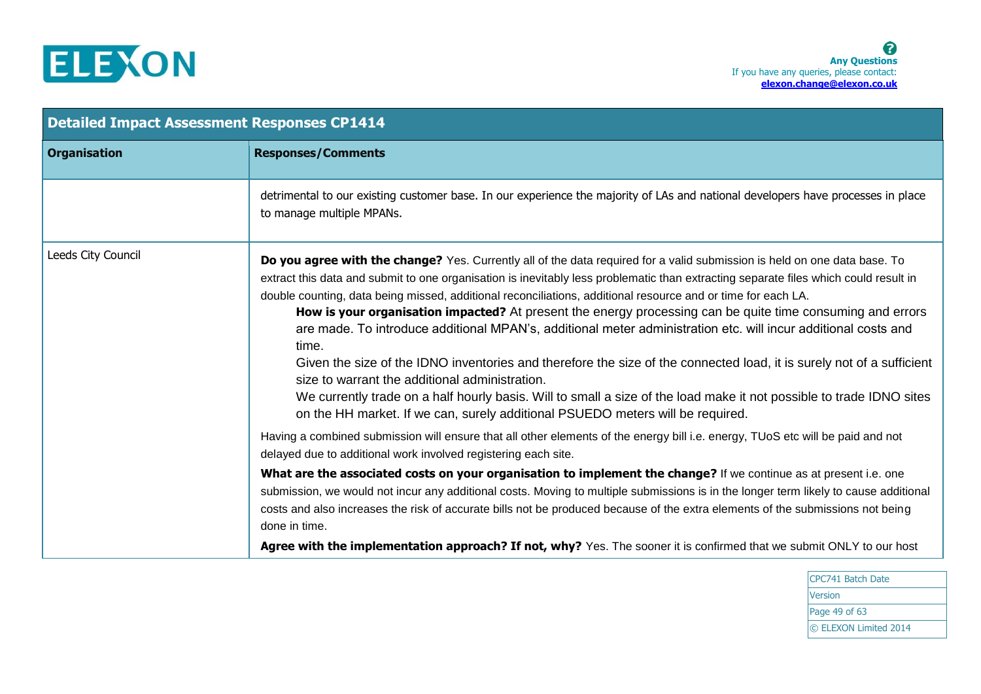

| <b>Detailed Impact Assessment Responses CP1414</b> |                                                                                                                                                                                                                                                                                                                                                                                                                                                                                                                                                                                                                                                                                                                                                                                                                                                                                                                                                                                                                 |  |
|----------------------------------------------------|-----------------------------------------------------------------------------------------------------------------------------------------------------------------------------------------------------------------------------------------------------------------------------------------------------------------------------------------------------------------------------------------------------------------------------------------------------------------------------------------------------------------------------------------------------------------------------------------------------------------------------------------------------------------------------------------------------------------------------------------------------------------------------------------------------------------------------------------------------------------------------------------------------------------------------------------------------------------------------------------------------------------|--|
| <b>Organisation</b>                                | <b>Responses/Comments</b>                                                                                                                                                                                                                                                                                                                                                                                                                                                                                                                                                                                                                                                                                                                                                                                                                                                                                                                                                                                       |  |
|                                                    | detrimental to our existing customer base. In our experience the majority of LAs and national developers have processes in place<br>to manage multiple MPANs.                                                                                                                                                                                                                                                                                                                                                                                                                                                                                                                                                                                                                                                                                                                                                                                                                                                   |  |
| Leeds City Council                                 | Do you agree with the change? Yes. Currently all of the data required for a valid submission is held on one data base. To<br>extract this data and submit to one organisation is inevitably less problematic than extracting separate files which could result in<br>double counting, data being missed, additional reconciliations, additional resource and or time for each LA.<br>How is your organisation impacted? At present the energy processing can be quite time consuming and errors<br>are made. To introduce additional MPAN's, additional meter administration etc. will incur additional costs and<br>time.<br>Given the size of the IDNO inventories and therefore the size of the connected load, it is surely not of a sufficient<br>size to warrant the additional administration.<br>We currently trade on a half hourly basis. Will to small a size of the load make it not possible to trade IDNO sites<br>on the HH market. If we can, surely additional PSUEDO meters will be required. |  |
|                                                    | Having a combined submission will ensure that all other elements of the energy bill i.e. energy, TUoS etc will be paid and not<br>delayed due to additional work involved registering each site.                                                                                                                                                                                                                                                                                                                                                                                                                                                                                                                                                                                                                                                                                                                                                                                                                |  |
|                                                    | What are the associated costs on your organisation to implement the change? If we continue as at present i.e. one<br>submission, we would not incur any additional costs. Moving to multiple submissions is in the longer term likely to cause additional<br>costs and also increases the risk of accurate bills not be produced because of the extra elements of the submissions not being<br>done in time.                                                                                                                                                                                                                                                                                                                                                                                                                                                                                                                                                                                                    |  |
|                                                    | Agree with the implementation approach? If not, why? Yes. The sooner it is confirmed that we submit ONLY to our host                                                                                                                                                                                                                                                                                                                                                                                                                                                                                                                                                                                                                                                                                                                                                                                                                                                                                            |  |

CPC741 Batch Date Version Page 49 of 63 © ELEXON Limited 2014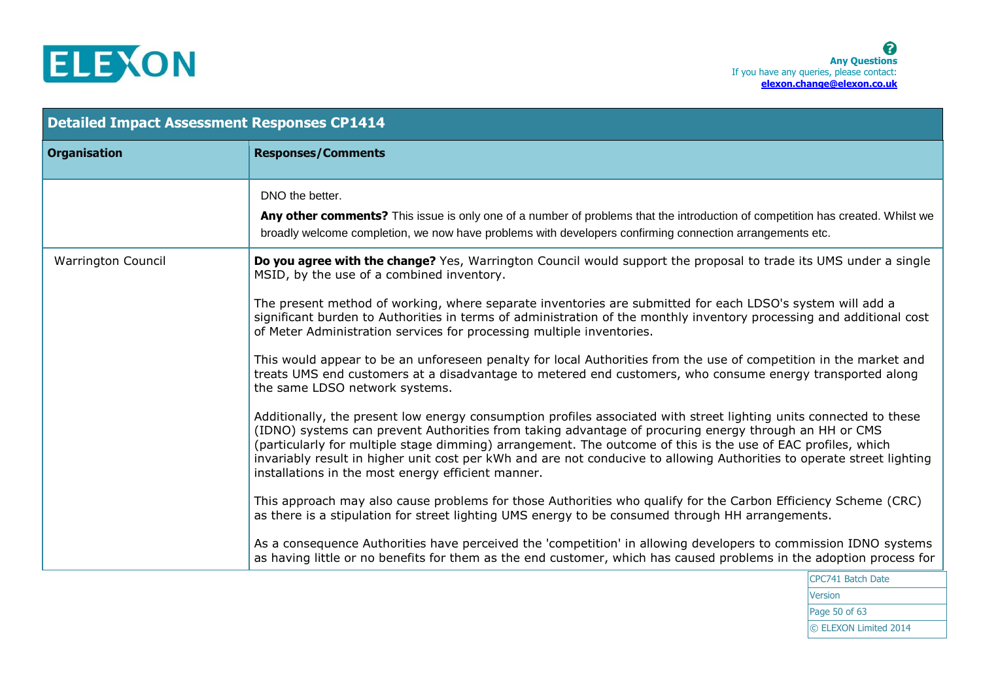

| <b>Detailed Impact Assessment Responses CP1414</b> |                                                                                                                                                                                                                                                                                                                                                                                                                                                                                                                                                                                                                                                                                                                                                                                                                                                                                                                                                                                                                                                                                                                                                                                                                                                                                                                                                                                                                                                                                                                                                                                                                                                                                                                                                                           |  |  |
|----------------------------------------------------|---------------------------------------------------------------------------------------------------------------------------------------------------------------------------------------------------------------------------------------------------------------------------------------------------------------------------------------------------------------------------------------------------------------------------------------------------------------------------------------------------------------------------------------------------------------------------------------------------------------------------------------------------------------------------------------------------------------------------------------------------------------------------------------------------------------------------------------------------------------------------------------------------------------------------------------------------------------------------------------------------------------------------------------------------------------------------------------------------------------------------------------------------------------------------------------------------------------------------------------------------------------------------------------------------------------------------------------------------------------------------------------------------------------------------------------------------------------------------------------------------------------------------------------------------------------------------------------------------------------------------------------------------------------------------------------------------------------------------------------------------------------------------|--|--|
| <b>Organisation</b>                                | <b>Responses/Comments</b>                                                                                                                                                                                                                                                                                                                                                                                                                                                                                                                                                                                                                                                                                                                                                                                                                                                                                                                                                                                                                                                                                                                                                                                                                                                                                                                                                                                                                                                                                                                                                                                                                                                                                                                                                 |  |  |
|                                                    | DNO the better.<br>Any other comments? This issue is only one of a number of problems that the introduction of competition has created. Whilst we<br>broadly welcome completion, we now have problems with developers confirming connection arrangements etc.                                                                                                                                                                                                                                                                                                                                                                                                                                                                                                                                                                                                                                                                                                                                                                                                                                                                                                                                                                                                                                                                                                                                                                                                                                                                                                                                                                                                                                                                                                             |  |  |
| <b>Warrington Council</b>                          | Do you agree with the change? Yes, Warrington Council would support the proposal to trade its UMS under a single<br>MSID, by the use of a combined inventory.<br>The present method of working, where separate inventories are submitted for each LDSO's system will add a<br>significant burden to Authorities in terms of administration of the monthly inventory processing and additional cost<br>of Meter Administration services for processing multiple inventories.<br>This would appear to be an unforeseen penalty for local Authorities from the use of competition in the market and<br>treats UMS end customers at a disadvantage to metered end customers, who consume energy transported along<br>the same LDSO network systems.<br>Additionally, the present low energy consumption profiles associated with street lighting units connected to these<br>(IDNO) systems can prevent Authorities from taking advantage of procuring energy through an HH or CMS<br>(particularly for multiple stage dimming) arrangement. The outcome of this is the use of EAC profiles, which<br>invariably result in higher unit cost per kWh and are not conducive to allowing Authorities to operate street lighting<br>installations in the most energy efficient manner.<br>This approach may also cause problems for those Authorities who qualify for the Carbon Efficiency Scheme (CRC)<br>as there is a stipulation for street lighting UMS energy to be consumed through HH arrangements.<br>As a consequence Authorities have perceived the 'competition' in allowing developers to commission IDNO systems<br>as having little or no benefits for them as the end customer, which has caused problems in the adoption process for<br>$CDCZ44$ $D=LLL$ $D=LL$ |  |  |

CPC741 Batch Date Version Page 50 of 63 © ELEXON Limited 2014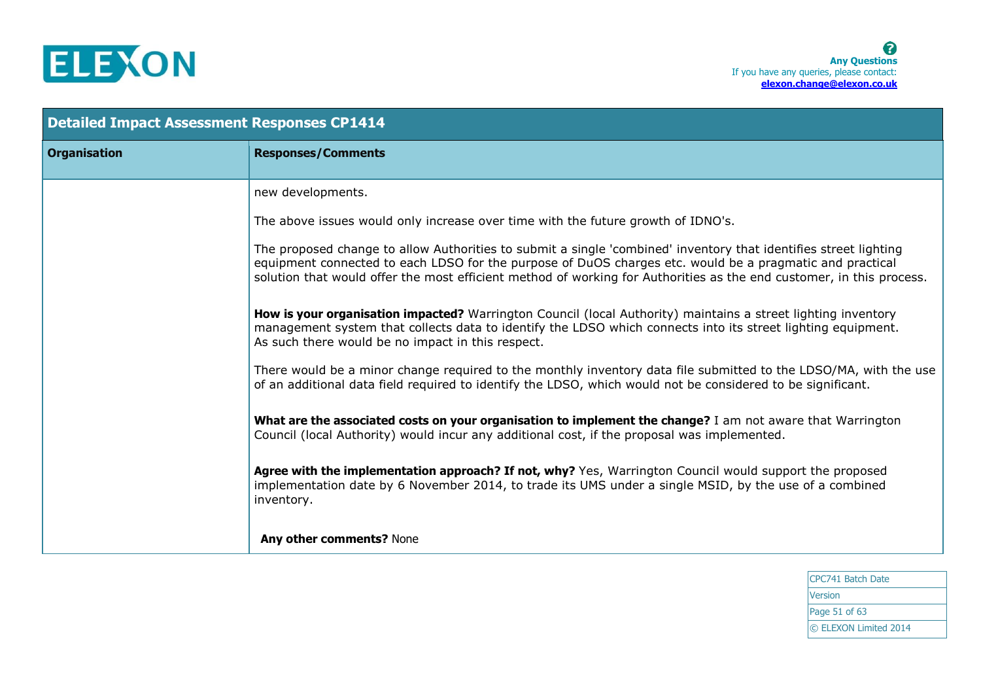

| <b>Detailed Impact Assessment Responses CP1414</b> |                                                                                                                                                                                                                                                                                                                                                      |  |  |
|----------------------------------------------------|------------------------------------------------------------------------------------------------------------------------------------------------------------------------------------------------------------------------------------------------------------------------------------------------------------------------------------------------------|--|--|
| <b>Organisation</b>                                | <b>Responses/Comments</b>                                                                                                                                                                                                                                                                                                                            |  |  |
|                                                    | new developments.                                                                                                                                                                                                                                                                                                                                    |  |  |
|                                                    | The above issues would only increase over time with the future growth of IDNO's.                                                                                                                                                                                                                                                                     |  |  |
|                                                    | The proposed change to allow Authorities to submit a single 'combined' inventory that identifies street lighting<br>equipment connected to each LDSO for the purpose of DuOS charges etc. would be a pragmatic and practical<br>solution that would offer the most efficient method of working for Authorities as the end customer, in this process. |  |  |
|                                                    | How is your organisation impacted? Warrington Council (local Authority) maintains a street lighting inventory<br>management system that collects data to identify the LDSO which connects into its street lighting equipment.<br>As such there would be no impact in this respect.                                                                   |  |  |
|                                                    | There would be a minor change required to the monthly inventory data file submitted to the LDSO/MA, with the use<br>of an additional data field required to identify the LDSO, which would not be considered to be significant.                                                                                                                      |  |  |
|                                                    | What are the associated costs on your organisation to implement the change? I am not aware that Warrington<br>Council (local Authority) would incur any additional cost, if the proposal was implemented.                                                                                                                                            |  |  |
|                                                    | Agree with the implementation approach? If not, why? Yes, Warrington Council would support the proposed<br>implementation date by 6 November 2014, to trade its UMS under a single MSID, by the use of a combined<br>inventory.                                                                                                                      |  |  |
|                                                    | Any other comments? None                                                                                                                                                                                                                                                                                                                             |  |  |

CPC741 Batch Date Version Page 51 of 63 © ELEXON Limited 2014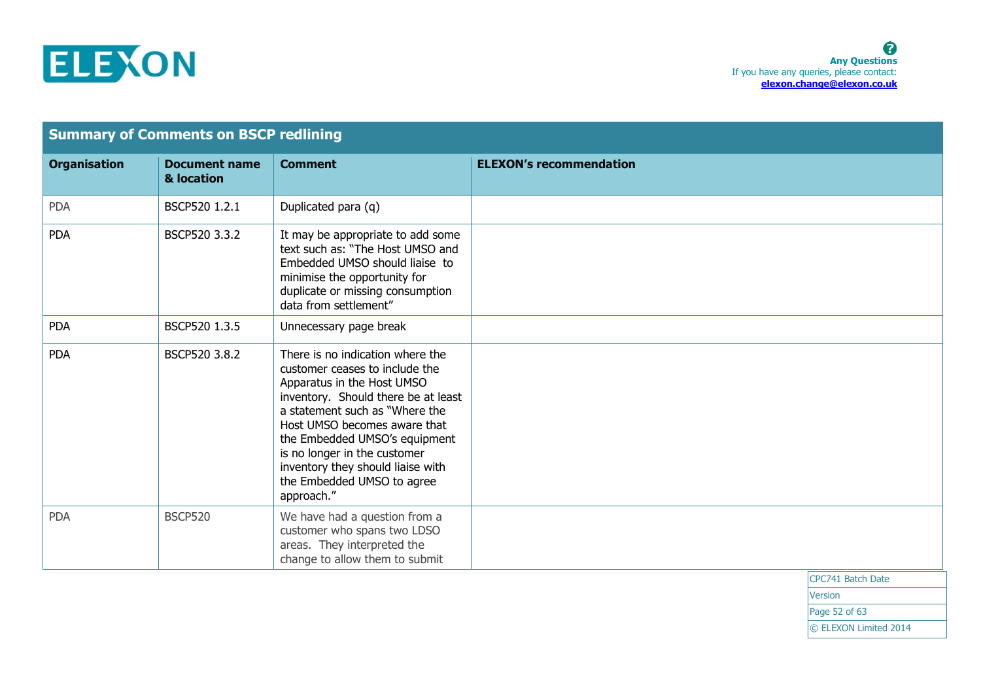

| <b>Summary of Comments on BSCP redlining</b> |                                    |                                                                                                                                                                                                                                                                                                                                                             |                                |                   |
|----------------------------------------------|------------------------------------|-------------------------------------------------------------------------------------------------------------------------------------------------------------------------------------------------------------------------------------------------------------------------------------------------------------------------------------------------------------|--------------------------------|-------------------|
| <b>Organisation</b>                          | <b>Document name</b><br>& location | <b>Comment</b>                                                                                                                                                                                                                                                                                                                                              | <b>ELEXON's recommendation</b> |                   |
| <b>PDA</b>                                   | BSCP520 1.2.1                      | Duplicated para (q)                                                                                                                                                                                                                                                                                                                                         |                                |                   |
| <b>PDA</b>                                   | BSCP520 3.3.2                      | It may be appropriate to add some<br>text such as: "The Host UMSO and<br>Embedded UMSO should liaise to<br>minimise the opportunity for<br>duplicate or missing consumption<br>data from settlement"                                                                                                                                                        |                                |                   |
| <b>PDA</b>                                   | BSCP520 1.3.5                      | Unnecessary page break                                                                                                                                                                                                                                                                                                                                      |                                |                   |
| <b>PDA</b>                                   | BSCP520 3.8.2                      | There is no indication where the<br>customer ceases to include the<br>Apparatus in the Host UMSO<br>inventory. Should there be at least<br>a statement such as "Where the<br>Host UMSO becomes aware that<br>the Embedded UMSO's equipment<br>is no longer in the customer<br>inventory they should liaise with<br>the Embedded UMSO to agree<br>approach." |                                |                   |
| <b>PDA</b>                                   | <b>BSCP520</b>                     | We have had a question from a<br>customer who spans two LDSO<br>areas. They interpreted the<br>change to allow them to submit                                                                                                                                                                                                                               |                                |                   |
|                                              |                                    |                                                                                                                                                                                                                                                                                                                                                             |                                | CPC741 Batch Date |

Version Page 52 of 63 © ELEXON Limited 2014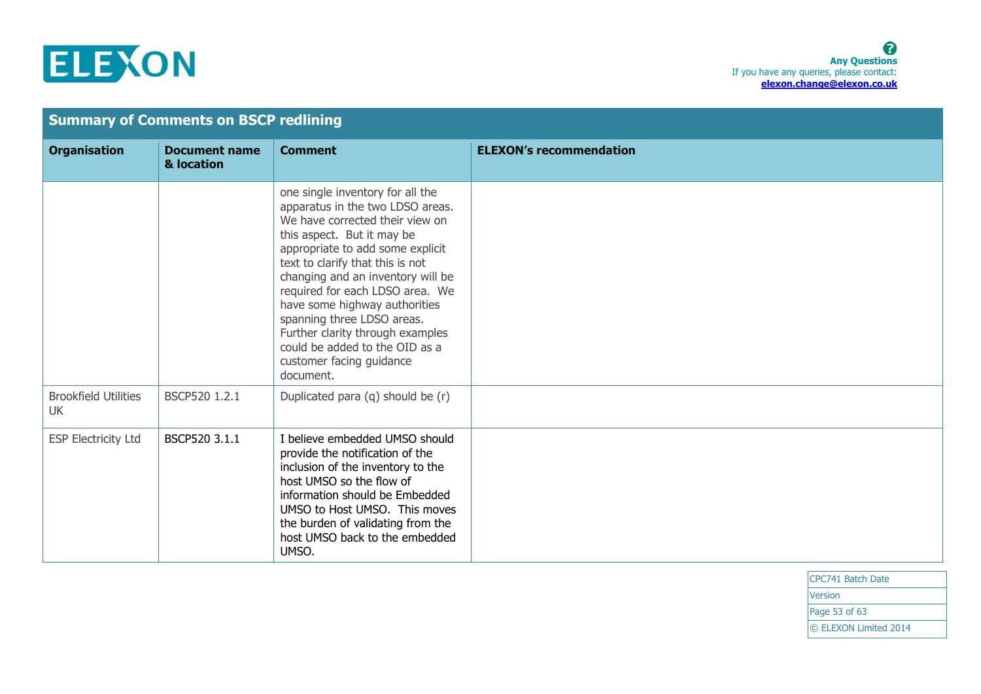

|                                          | <b>Summary of Comments on BSCP redlining</b> |                                                                                                                                                                                                                                                                                                                                                                                                                                                                     |                                |  |
|------------------------------------------|----------------------------------------------|---------------------------------------------------------------------------------------------------------------------------------------------------------------------------------------------------------------------------------------------------------------------------------------------------------------------------------------------------------------------------------------------------------------------------------------------------------------------|--------------------------------|--|
| <b>Organisation</b>                      | <b>Document name</b><br>& location           | <b>Comment</b>                                                                                                                                                                                                                                                                                                                                                                                                                                                      | <b>ELEXON's recommendation</b> |  |
|                                          |                                              | one single inventory for all the<br>apparatus in the two LDSO areas.<br>We have corrected their view on<br>this aspect. But it may be<br>appropriate to add some explicit<br>text to clarify that this is not<br>changing and an inventory will be<br>required for each LDSO area. We<br>have some highway authorities<br>spanning three LDSO areas.<br>Further clarity through examples<br>could be added to the OID as a<br>customer facing guidance<br>document. |                                |  |
| <b>Brookfield Utilities</b><br><b>UK</b> | BSCP520 1.2.1                                | Duplicated para (q) should be (r)                                                                                                                                                                                                                                                                                                                                                                                                                                   |                                |  |
| <b>ESP Electricity Ltd</b>               | BSCP520 3.1.1                                | I believe embedded UMSO should<br>provide the notification of the<br>inclusion of the inventory to the<br>host UMSO so the flow of<br>information should be Embedded<br>UMSO to Host UMSO. This moves<br>the burden of validating from the<br>host UMSO back to the embedded<br>UMSO.                                                                                                                                                                               |                                |  |

CPC741 Batch Date **Version** Page 53 of 63 © ELEXON Limited 2014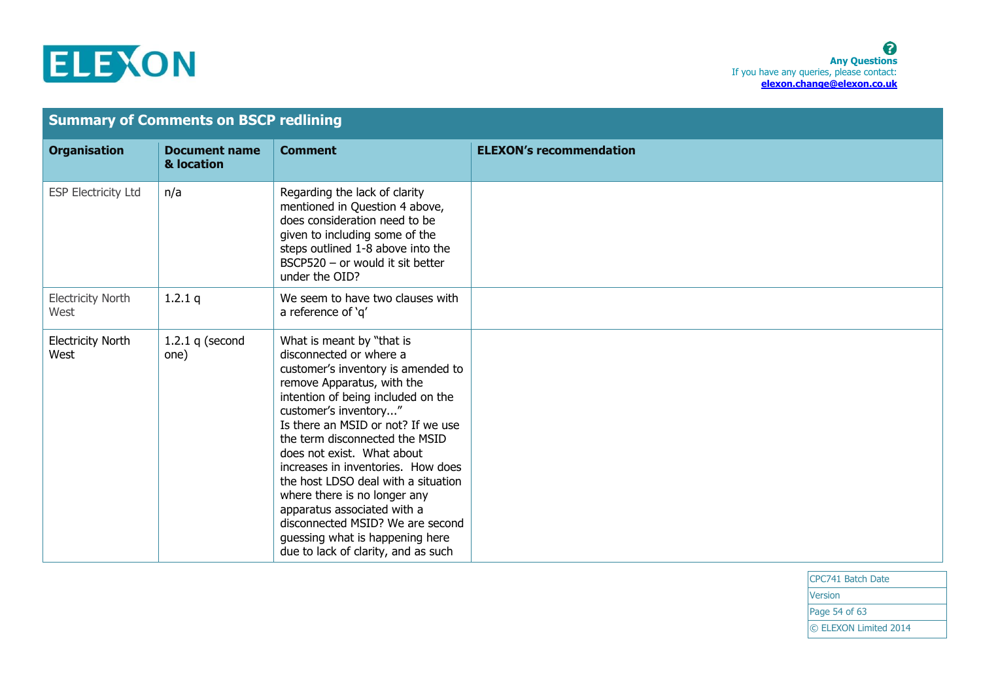

| <b>Summary of Comments on BSCP redlining</b> |                                    |                                                                                                                                                                                                                                                                                                                                                                                                                                                                                                                                                         |                                |
|----------------------------------------------|------------------------------------|---------------------------------------------------------------------------------------------------------------------------------------------------------------------------------------------------------------------------------------------------------------------------------------------------------------------------------------------------------------------------------------------------------------------------------------------------------------------------------------------------------------------------------------------------------|--------------------------------|
| <b>Organisation</b>                          | <b>Document name</b><br>& location | <b>Comment</b>                                                                                                                                                                                                                                                                                                                                                                                                                                                                                                                                          | <b>ELEXON's recommendation</b> |
| <b>ESP Electricity Ltd</b>                   | n/a                                | Regarding the lack of clarity<br>mentioned in Question 4 above,<br>does consideration need to be<br>given to including some of the<br>steps outlined 1-8 above into the<br>BSCP520 - or would it sit better<br>under the OID?                                                                                                                                                                                                                                                                                                                           |                                |
| <b>Electricity North</b><br>West             | 1.2.1 $q$                          | We seem to have two clauses with<br>a reference of 'q'                                                                                                                                                                                                                                                                                                                                                                                                                                                                                                  |                                |
| <b>Electricity North</b><br>West             | 1.2.1 $q$ (second<br>one)          | What is meant by "that is<br>disconnected or where a<br>customer's inventory is amended to<br>remove Apparatus, with the<br>intention of being included on the<br>customer's inventory"<br>Is there an MSID or not? If we use<br>the term disconnected the MSID<br>does not exist. What about<br>increases in inventories. How does<br>the host LDSO deal with a situation<br>where there is no longer any<br>apparatus associated with a<br>disconnected MSID? We are second<br>guessing what is happening here<br>due to lack of clarity, and as such |                                |

CPC741 Batch Date Version Page 54 of 63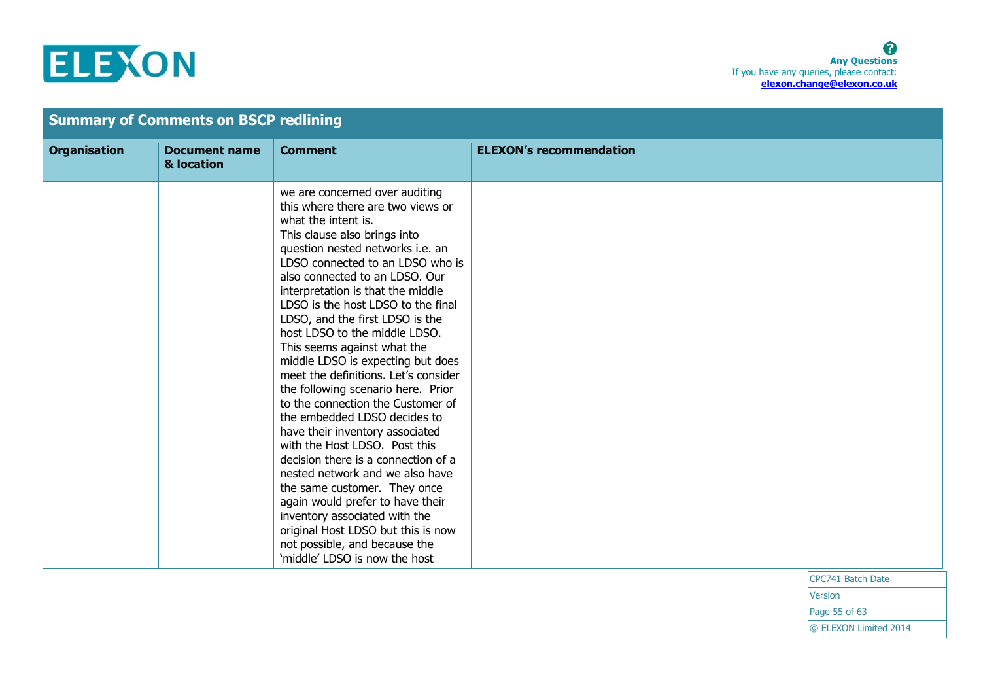## ELEXON

|                     | <b>Summary of Comments on BSCP redlining</b> |                                                                                                                                                                                                                                                                                                                                                                                                                                                                                                                                                                                                                                                                                                                                                                                                                                                                                                                                                                       |                                |
|---------------------|----------------------------------------------|-----------------------------------------------------------------------------------------------------------------------------------------------------------------------------------------------------------------------------------------------------------------------------------------------------------------------------------------------------------------------------------------------------------------------------------------------------------------------------------------------------------------------------------------------------------------------------------------------------------------------------------------------------------------------------------------------------------------------------------------------------------------------------------------------------------------------------------------------------------------------------------------------------------------------------------------------------------------------|--------------------------------|
| <b>Organisation</b> | <b>Document name</b><br>& location           | <b>Comment</b>                                                                                                                                                                                                                                                                                                                                                                                                                                                                                                                                                                                                                                                                                                                                                                                                                                                                                                                                                        | <b>ELEXON's recommendation</b> |
|                     |                                              | we are concerned over auditing<br>this where there are two views or<br>what the intent is.<br>This clause also brings into<br>question nested networks i.e. an<br>LDSO connected to an LDSO who is<br>also connected to an LDSO. Our<br>interpretation is that the middle<br>LDSO is the host LDSO to the final<br>LDSO, and the first LDSO is the<br>host LDSO to the middle LDSO.<br>This seems against what the<br>middle LDSO is expecting but does<br>meet the definitions. Let's consider<br>the following scenario here. Prior<br>to the connection the Customer of<br>the embedded LDSO decides to<br>have their inventory associated<br>with the Host LDSO. Post this<br>decision there is a connection of a<br>nested network and we also have<br>the same customer. They once<br>again would prefer to have their<br>inventory associated with the<br>original Host LDSO but this is now<br>not possible, and because the<br>'middle' LDSO is now the host | 1222 - 11 - 11 - 11 - 12       |

CPC741 Batch Date **Version** 

Page 55 of 63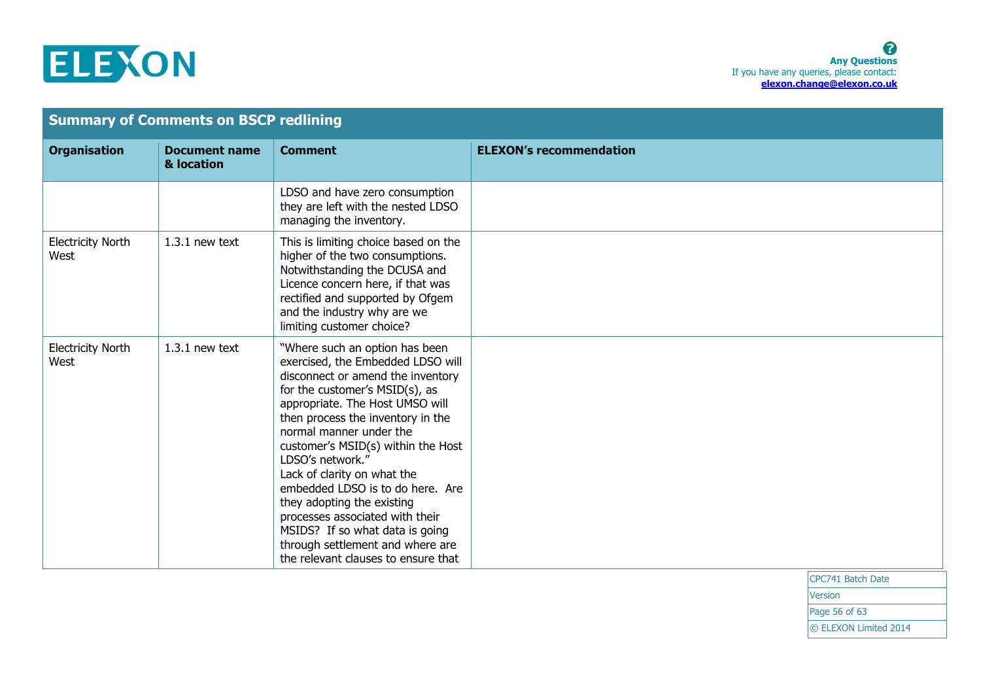

| <b>Summary of Comments on BSCP redlining</b> |                                    |                                                                                                                                                                                                                                                                                                                                                                                                                                                                                                                                                           |                                |                   |
|----------------------------------------------|------------------------------------|-----------------------------------------------------------------------------------------------------------------------------------------------------------------------------------------------------------------------------------------------------------------------------------------------------------------------------------------------------------------------------------------------------------------------------------------------------------------------------------------------------------------------------------------------------------|--------------------------------|-------------------|
| <b>Organisation</b>                          | <b>Document name</b><br>& location | <b>Comment</b>                                                                                                                                                                                                                                                                                                                                                                                                                                                                                                                                            | <b>ELEXON's recommendation</b> |                   |
|                                              |                                    | LDSO and have zero consumption<br>they are left with the nested LDSO<br>managing the inventory.                                                                                                                                                                                                                                                                                                                                                                                                                                                           |                                |                   |
| <b>Electricity North</b><br>West             | $1.3.1$ new text                   | This is limiting choice based on the<br>higher of the two consumptions.<br>Notwithstanding the DCUSA and<br>Licence concern here, if that was<br>rectified and supported by Ofgem<br>and the industry why are we<br>limiting customer choice?                                                                                                                                                                                                                                                                                                             |                                |                   |
| <b>Electricity North</b><br>West             | $1.3.1$ new text                   | "Where such an option has been<br>exercised, the Embedded LDSO will<br>disconnect or amend the inventory<br>for the customer's MSID(s), as<br>appropriate. The Host UMSO will<br>then process the inventory in the<br>normal manner under the<br>customer's MSID(s) within the Host<br>LDSO's network."<br>Lack of clarity on what the<br>embedded LDSO is to do here. Are<br>they adopting the existing<br>processes associated with their<br>MSIDS? If so what data is going<br>through settlement and where are<br>the relevant clauses to ensure that |                                |                   |
|                                              |                                    |                                                                                                                                                                                                                                                                                                                                                                                                                                                                                                                                                           |                                | CPC741 Batch Date |

**Version** Page 56 of 63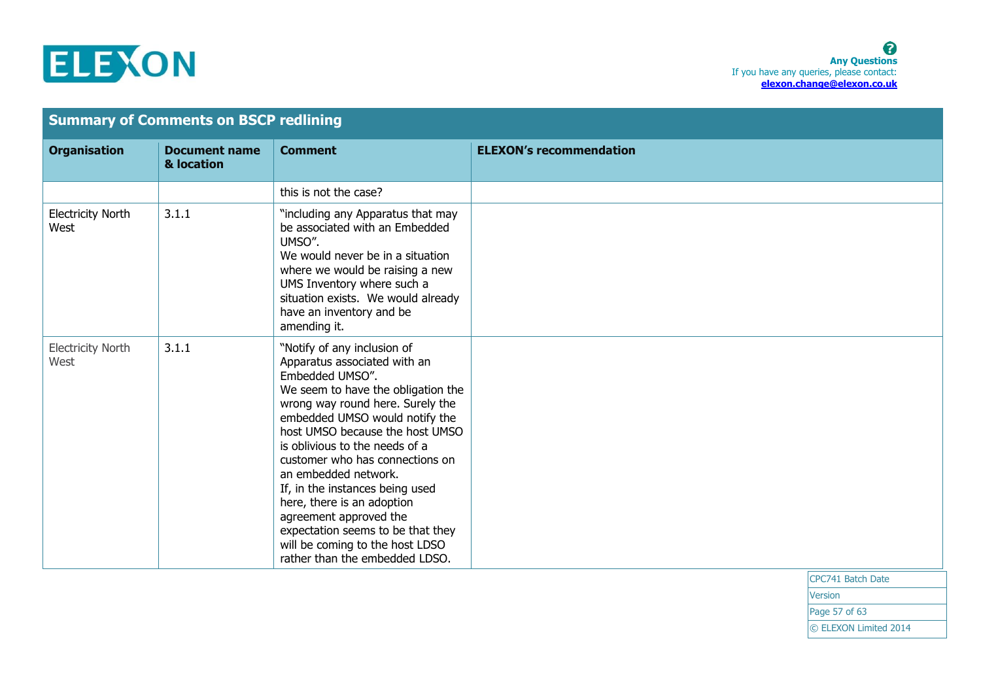

| <b>Summary of Comments on BSCP redlining</b> |                                    |                                                                                                                                                                                                                                                                                                                                                                                                                                                                                                                                 |                                |                   |
|----------------------------------------------|------------------------------------|---------------------------------------------------------------------------------------------------------------------------------------------------------------------------------------------------------------------------------------------------------------------------------------------------------------------------------------------------------------------------------------------------------------------------------------------------------------------------------------------------------------------------------|--------------------------------|-------------------|
| <b>Organisation</b>                          | <b>Document name</b><br>& location | <b>Comment</b>                                                                                                                                                                                                                                                                                                                                                                                                                                                                                                                  | <b>ELEXON's recommendation</b> |                   |
|                                              |                                    | this is not the case?                                                                                                                                                                                                                                                                                                                                                                                                                                                                                                           |                                |                   |
| <b>Electricity North</b><br>West             | 3.1.1                              | "including any Apparatus that may<br>be associated with an Embedded<br>UMSO".<br>We would never be in a situation<br>where we would be raising a new<br>UMS Inventory where such a<br>situation exists. We would already<br>have an inventory and be<br>amending it.                                                                                                                                                                                                                                                            |                                |                   |
| <b>Electricity North</b><br>West             | 3.1.1                              | "Notify of any inclusion of<br>Apparatus associated with an<br>Embedded UMSO".<br>We seem to have the obligation the<br>wrong way round here. Surely the<br>embedded UMSO would notify the<br>host UMSO because the host UMSO<br>is oblivious to the needs of a<br>customer who has connections on<br>an embedded network.<br>If, in the instances being used<br>here, there is an adoption<br>agreement approved the<br>expectation seems to be that they<br>will be coming to the host LDSO<br>rather than the embedded LDSO. |                                |                   |
|                                              |                                    |                                                                                                                                                                                                                                                                                                                                                                                                                                                                                                                                 |                                | CPC741 Batch Date |

CPC741 Batch Date Version

Page 57 of 63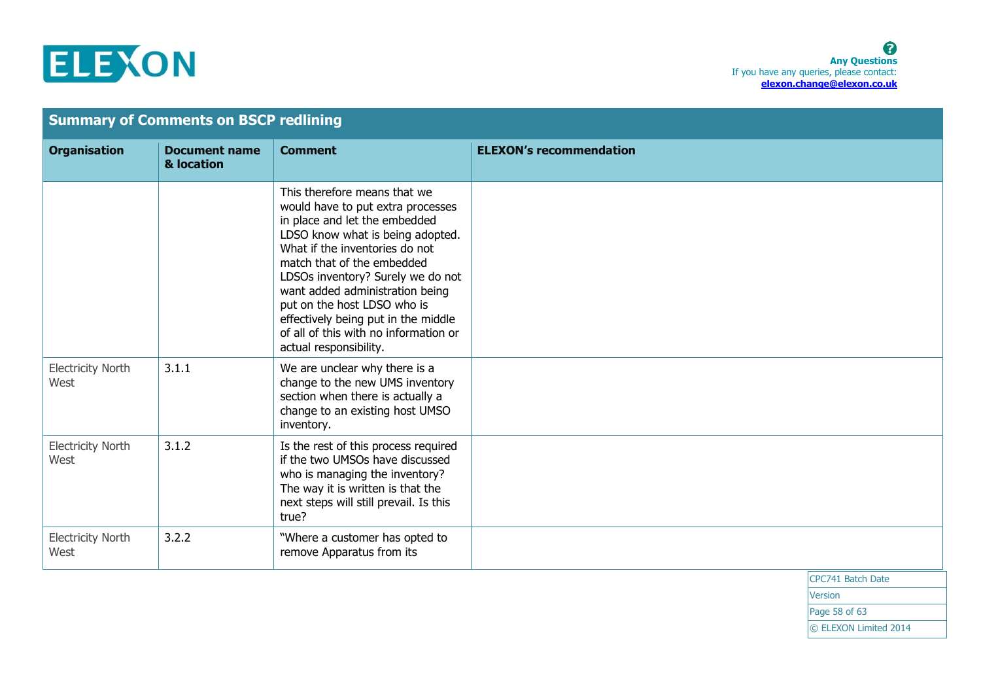

| <b>Summary of Comments on BSCP redlining</b> |                                    |                                                                                                                                                                                                                                                                                                                                                                                                                         |                                |
|----------------------------------------------|------------------------------------|-------------------------------------------------------------------------------------------------------------------------------------------------------------------------------------------------------------------------------------------------------------------------------------------------------------------------------------------------------------------------------------------------------------------------|--------------------------------|
| <b>Organisation</b>                          | <b>Document name</b><br>& location | <b>Comment</b>                                                                                                                                                                                                                                                                                                                                                                                                          | <b>ELEXON's recommendation</b> |
|                                              |                                    | This therefore means that we<br>would have to put extra processes<br>in place and let the embedded<br>LDSO know what is being adopted.<br>What if the inventories do not<br>match that of the embedded<br>LDSOs inventory? Surely we do not<br>want added administration being<br>put on the host LDSO who is<br>effectively being put in the middle<br>of all of this with no information or<br>actual responsibility. |                                |
| <b>Electricity North</b><br>West             | 3.1.1                              | We are unclear why there is a<br>change to the new UMS inventory<br>section when there is actually a<br>change to an existing host UMSO<br>inventory.                                                                                                                                                                                                                                                                   |                                |
| <b>Electricity North</b><br>West             | 3.1.2                              | Is the rest of this process required<br>if the two UMSOs have discussed<br>who is managing the inventory?<br>The way it is written is that the<br>next steps will still prevail. Is this<br>true?                                                                                                                                                                                                                       |                                |
| <b>Electricity North</b><br>West             | 3.2.2                              | "Where a customer has opted to<br>remove Apparatus from its                                                                                                                                                                                                                                                                                                                                                             |                                |

CPC741 Batch Date

**Version** 

Page 58 of 63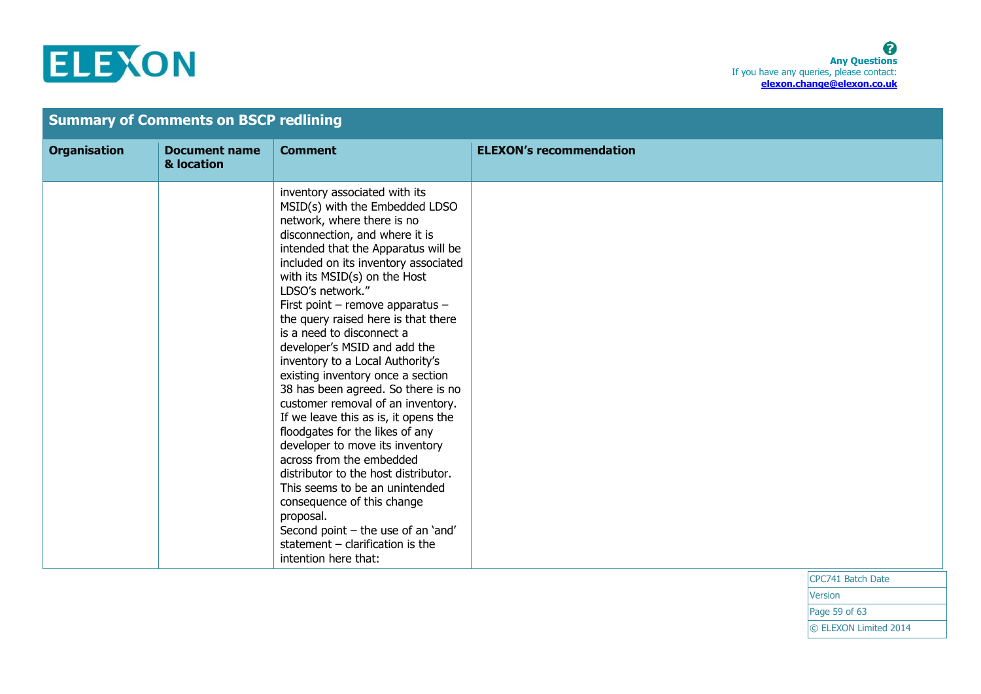

| <b>Summary of Comments on BSCP redlining</b> |                                    |                                                                                                                                                                                                                                                                                                                                                                                                                                                                                                                                                                                                                                                                                                                                                                                                                                                                                                                                   |                                                                                                                                    |
|----------------------------------------------|------------------------------------|-----------------------------------------------------------------------------------------------------------------------------------------------------------------------------------------------------------------------------------------------------------------------------------------------------------------------------------------------------------------------------------------------------------------------------------------------------------------------------------------------------------------------------------------------------------------------------------------------------------------------------------------------------------------------------------------------------------------------------------------------------------------------------------------------------------------------------------------------------------------------------------------------------------------------------------|------------------------------------------------------------------------------------------------------------------------------------|
| <b>Organisation</b>                          | <b>Document name</b><br>& location | <b>Comment</b>                                                                                                                                                                                                                                                                                                                                                                                                                                                                                                                                                                                                                                                                                                                                                                                                                                                                                                                    | <b>ELEXON's recommendation</b>                                                                                                     |
|                                              |                                    | inventory associated with its<br>MSID(s) with the Embedded LDSO<br>network, where there is no<br>disconnection, and where it is<br>intended that the Apparatus will be<br>included on its inventory associated<br>with its MSID(s) on the Host<br>LDSO's network."<br>First point – remove apparatus –<br>the query raised here is that there<br>is a need to disconnect a<br>developer's MSID and add the<br>inventory to a Local Authority's<br>existing inventory once a section<br>38 has been agreed. So there is no<br>customer removal of an inventory.<br>If we leave this as is, it opens the<br>floodgates for the likes of any<br>developer to move its inventory<br>across from the embedded<br>distributor to the host distributor.<br>This seems to be an unintended<br>consequence of this change<br>proposal.<br>Second point - the use of an 'and'<br>statement $-$ clarification is the<br>intention here that: | $\begin{array}{c} \n\text{CNOT} \rightarrow \text{C} \rightarrow \text{C} \rightarrow \text{C} \rightarrow \text{C} \n\end{array}$ |

CPC741 Batch Date **Version** 

Page 59 of 63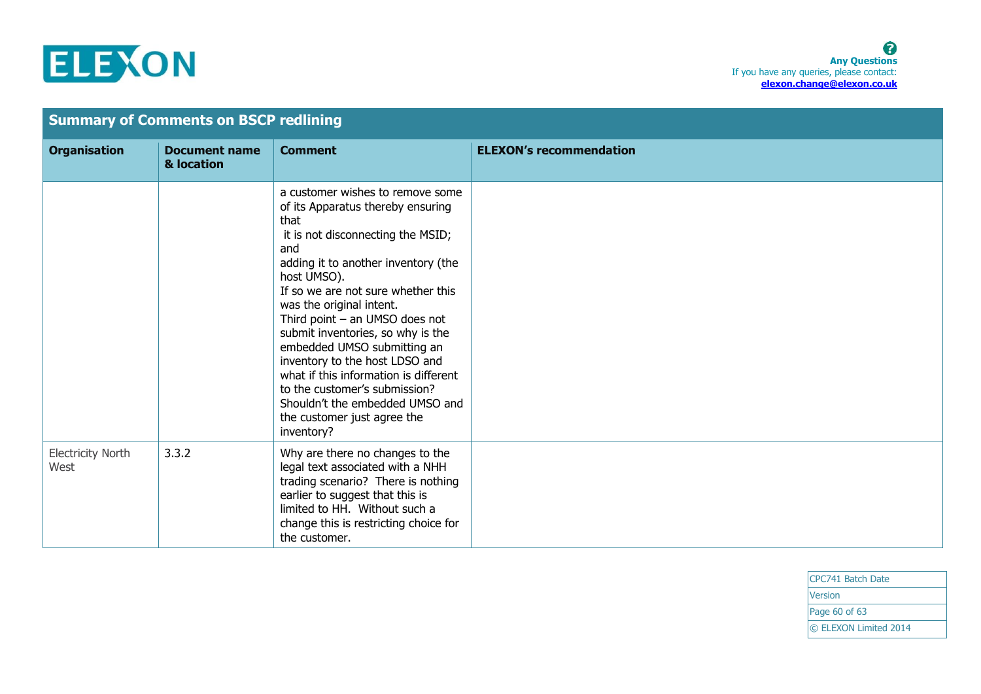

| <b>Summary of Comments on BSCP redlining</b> |                                    |                                                                                                                                                                                                                                                                                                                                                                                                                                                                                                                                                       |                                |
|----------------------------------------------|------------------------------------|-------------------------------------------------------------------------------------------------------------------------------------------------------------------------------------------------------------------------------------------------------------------------------------------------------------------------------------------------------------------------------------------------------------------------------------------------------------------------------------------------------------------------------------------------------|--------------------------------|
| <b>Organisation</b>                          | <b>Document name</b><br>& location | <b>Comment</b>                                                                                                                                                                                                                                                                                                                                                                                                                                                                                                                                        | <b>ELEXON's recommendation</b> |
|                                              |                                    | a customer wishes to remove some<br>of its Apparatus thereby ensuring<br>that<br>it is not disconnecting the MSID;<br>and<br>adding it to another inventory (the<br>host UMSO).<br>If so we are not sure whether this<br>was the original intent.<br>Third point $-$ an UMSO does not<br>submit inventories, so why is the<br>embedded UMSO submitting an<br>inventory to the host LDSO and<br>what if this information is different<br>to the customer's submission?<br>Shouldn't the embedded UMSO and<br>the customer just agree the<br>inventory? |                                |
| <b>Electricity North</b><br>West             | 3.3.2                              | Why are there no changes to the<br>legal text associated with a NHH<br>trading scenario? There is nothing<br>earlier to suggest that this is<br>limited to HH. Without such a<br>change this is restricting choice for<br>the customer.                                                                                                                                                                                                                                                                                                               |                                |

CPC741 Batch Date Version Page 60 of 63 © ELEXON Limited 2014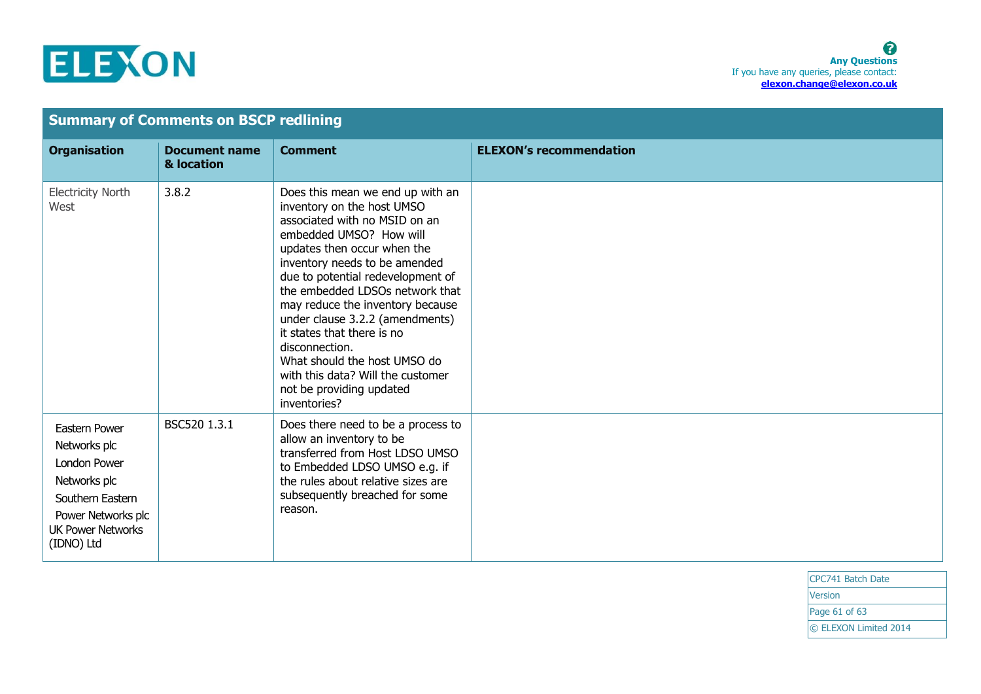## ELEXON

| <b>Summary of Comments on BSCP redlining</b>                                                                                                             |                                    |                                                                                                                                                                                                                                                                                                                                                                                                                                                                                                            |                                |  |  |
|----------------------------------------------------------------------------------------------------------------------------------------------------------|------------------------------------|------------------------------------------------------------------------------------------------------------------------------------------------------------------------------------------------------------------------------------------------------------------------------------------------------------------------------------------------------------------------------------------------------------------------------------------------------------------------------------------------------------|--------------------------------|--|--|
| <b>Organisation</b>                                                                                                                                      | <b>Document name</b><br>& location | <b>Comment</b>                                                                                                                                                                                                                                                                                                                                                                                                                                                                                             | <b>ELEXON's recommendation</b> |  |  |
| <b>Electricity North</b><br>West                                                                                                                         | 3.8.2                              | Does this mean we end up with an<br>inventory on the host UMSO<br>associated with no MSID on an<br>embedded UMSO? How will<br>updates then occur when the<br>inventory needs to be amended<br>due to potential redevelopment of<br>the embedded LDSOs network that<br>may reduce the inventory because<br>under clause 3.2.2 (amendments)<br>it states that there is no<br>disconnection.<br>What should the host UMSO do<br>with this data? Will the customer<br>not be providing updated<br>inventories? |                                |  |  |
| Eastern Power<br>Networks plc<br><b>London Power</b><br>Networks plc<br>Southern Eastern<br>Power Networks plc<br><b>UK Power Networks</b><br>(IDNO) Ltd | BSC520 1.3.1                       | Does there need to be a process to<br>allow an inventory to be<br>transferred from Host LDSO UMSO<br>to Embedded LDSO UMSO e.g. if<br>the rules about relative sizes are<br>subsequently breached for some<br>reason.                                                                                                                                                                                                                                                                                      |                                |  |  |

CPC741 Batch Date **Version** Page 61 of 63 © ELEXON Limited 2014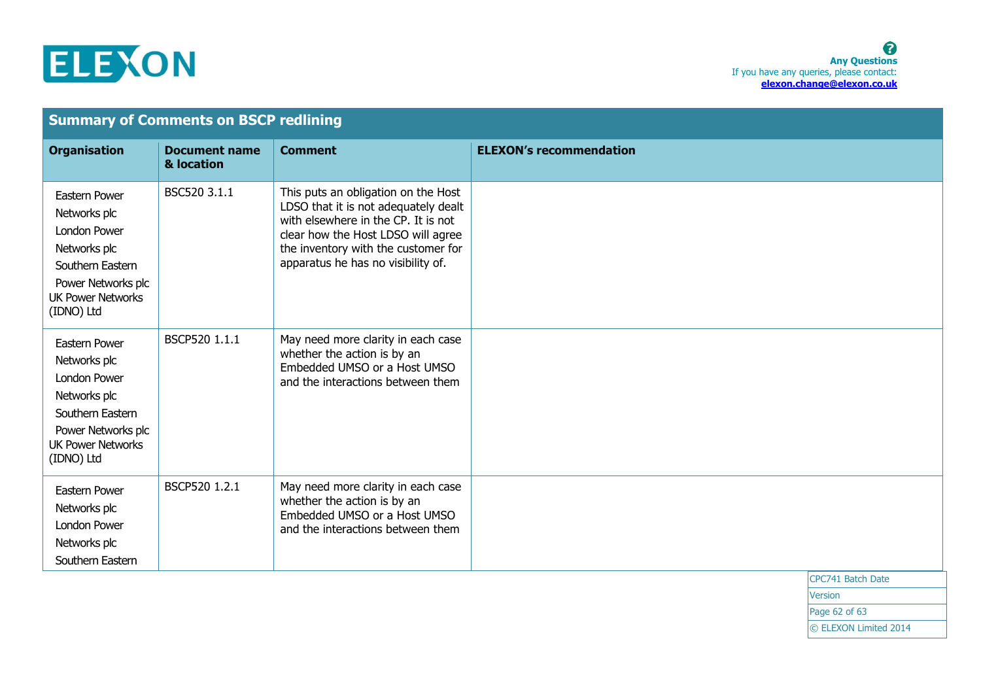

| <b>Summary of Comments on BSCP redlining</b>                                                                                                             |                                    |                                                                                                                                                                                                                                       |                                |                   |  |  |
|----------------------------------------------------------------------------------------------------------------------------------------------------------|------------------------------------|---------------------------------------------------------------------------------------------------------------------------------------------------------------------------------------------------------------------------------------|--------------------------------|-------------------|--|--|
| <b>Organisation</b>                                                                                                                                      | <b>Document name</b><br>& location | <b>Comment</b>                                                                                                                                                                                                                        | <b>ELEXON's recommendation</b> |                   |  |  |
| Eastern Power<br>Networks plc<br>London Power<br>Networks plc<br>Southern Eastern<br>Power Networks plc<br><b>UK Power Networks</b><br>(IDNO) Ltd        | BSC520 3.1.1                       | This puts an obligation on the Host<br>LDSO that it is not adequately dealt<br>with elsewhere in the CP. It is not<br>clear how the Host LDSO will agree<br>the inventory with the customer for<br>apparatus he has no visibility of. |                                |                   |  |  |
| Eastern Power<br>Networks plc<br><b>London Power</b><br>Networks plc<br>Southern Eastern<br>Power Networks plc<br><b>UK Power Networks</b><br>(IDNO) Ltd | BSCP520 1.1.1                      | May need more clarity in each case<br>whether the action is by an<br>Embedded UMSO or a Host UMSO<br>and the interactions between them                                                                                                |                                |                   |  |  |
| Eastern Power<br>Networks plc<br>London Power<br>Networks plc<br>Southern Eastern                                                                        | BSCP520 1.2.1                      | May need more clarity in each case<br>whether the action is by an<br>Embedded UMSO or a Host UMSO<br>and the interactions between them                                                                                                |                                |                   |  |  |
|                                                                                                                                                          |                                    |                                                                                                                                                                                                                                       |                                | CPC741 Batch Date |  |  |

Version

Page 62 of 63